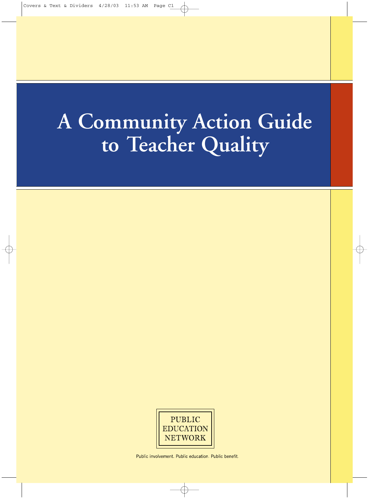## **A Community Action Guide to Teacher Quality**



Public involvement Public education. Public benefit.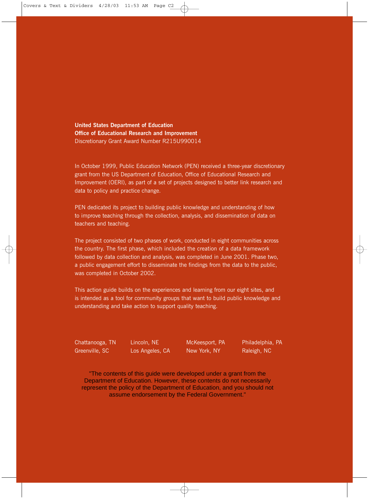**United States Department of Education Office of Educational Research and Improvement** Discretionary Grant Award Number R215U990014

In October 1999, Public Education Network (PEN) received a three-year discretionary grant from the US Department of Education, Office of Educational Research and Improvement (OERI), as part of a set of projects designed to better link research and data to policy and practice change.

PEN dedicated its project to building public knowledge and understanding of how to improve teaching through the collection, analysis, and dissemination of data on teachers and teaching.

The project consisted of two phases of work, conducted in eight communities across the country. The first phase, which included the creation of a data framework followed by data collection and analysis, was completed in June 2001. Phase two, a public engagement effort to disseminate the findings from the data to the public, was completed in October 2002.

This action guide builds on the experiences and learning from our eight sites, and is intended as a tool for community groups that want to build public knowledge and understanding and take action to support quality teaching.

Chattanooga, TN Greenville, SC

Lincoln, NE Los Angeles, CA McKeesport, PA New York, NY

Philadelphia, PA Raleigh, NC

"The contents of this guide were developed under a grant from the Department of Education. However, these contents do not necessarily represent the policy of the Department of Education, and you should not assume endorsement by the Federal Government."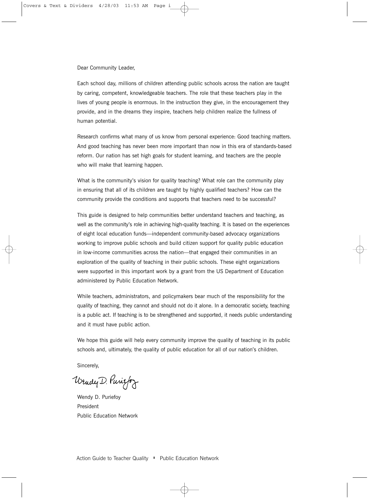Dear Community Leader,

Each school day, millions of children attending public schools across the nation are taught by caring, competent, knowledgeable teachers. The role that these teachers play in the lives of young people is enormous. In the instruction they give, in the encouragement they provide, and in the dreams they inspire, teachers help children realize the fullness of human potential.

Research confirms what many of us know from personal experience: Good teaching matters. And good teaching has never been more important than now in this era of standards-based reform. Our nation has set high goals for student learning, and teachers are the people who will make that learning happen.

What is the community's vision for quality teaching? What role can the community play in ensuring that all of its children are taught by highly qualified teachers? How can the community provide the conditions and supports that teachers need to be successful?

This guide is designed to help communities better understand teachers and teaching, as well as the community's role in achieving high-quality teaching. It is based on the experiences of eight local education funds—independent community-based advocacy organizations working to improve public schools and build citizen support for quality public education in low-income communities across the nation—that engaged their communities in an exploration of the quality of teaching in their public schools. These eight organizations were supported in this important work by a grant from the US Department of Education administered by Public Education Network.

While teachers, administrators, and policymakers bear much of the responsibility for the quality of teaching, they cannot and should not do it alone. In a democratic society, teaching is a public act. If teaching is to be strengthened and supported, it needs public understanding and it must have public action.

We hope this guide will help every community improve the quality of teaching in its public schools and, ultimately, the quality of public education for all of our nation's children.

Sincerely,

Wrudy D. Purisfor

Wendy D. Puriefoy President Public Education Network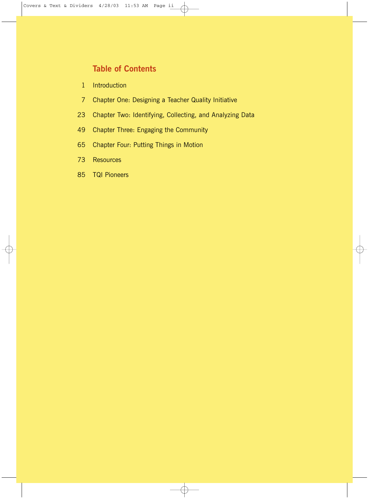#### **Table of Contents**

- 1 Introduction
- 7 Chapter One: Designing a Teacher Quality Initiative
- 23 Chapter Two: Identifying, Collecting, and Analyzing Data
- 49 Chapter Three: Engaging the Community
- 65 Chapter Four: Putting Things in Motion
- 73 Resources
- 85 TQI Pioneers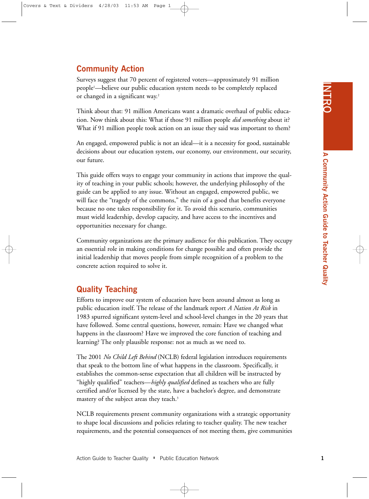#### **Community Action**

Surveys suggest that 70 percent of registered voters—approximately 91 million people1 —believe our public education system needs to be completely replaced or changed in a significant way.<sup>2</sup>

Think about that: 91 million Americans want a dramatic overhaul of public education. Now think about this: What if those 91 million people *did something* about it? What if 91 million people took action on an issue they said was important to them?

An engaged, empowered public is not an ideal—it is a necessity for good, sustainable decisions about our education system, our economy, our environment, our security, our future.

people<sup>11</sup>—believe compile photo-change incomplete by the politic control of the public education of the method of the simulation Americans want a dramatic overhand of public education<br>Think about that 9.1 million American This guide offers ways to engage your community in actions that improve the quality of teaching in your public schools; however, the underlying philosophy of the guide can be applied to any issue. Without an engaged, empowered public, we will face the "tragedy of the commons," the ruin of a good that benefits everyone because no one takes responsibility for it. To avoid this scenario, communities must wield leadership, develop capacity, and have access to the incentives and opportunities necessary for change.

Community organizations are the primary audience for this publication. They occupy an essential role in making conditions for change possible and often provide the initial leadership that moves people from simple recognition of a problem to the concrete action required to solve it.

#### **Quality Teaching**

Efforts to improve our system of education have been around almost as long as public education itself. The release of the landmark report *A Nation At Risk* in 1983 spurred significant system-level and school-level changes in the 20 years that have followed. Some central questions, however, remain: Have we changed what happens in the classroom? Have we improved the core function of teaching and learning? The only plausible response: not as much as we need to.

The 2001 *No Child Left Behind* (NCLB) federal legislation introduces requirements that speak to the bottom line of what happens in the classroom. Specifically, it establishes the common-sense expectation that all children will be instructed by "highly qualified" teachers—*highly qualified* defined as teachers who are fully certified and/or licensed by the state, have a bachelor's degree, and demonstrate mastery of the subject areas they teach.<sup>3</sup>

NCLB requirements present community organizations with a strategic opportunity to shape local discussions and policies relating to teacher quality. The new teacher requirements, and the potential consequences of not meeting them, give communities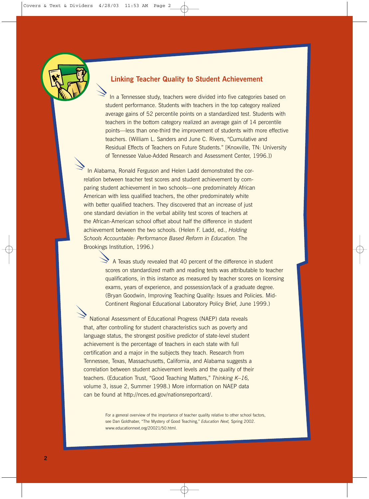

#### **Linking Teacher Quality to Student Achievement**

In a Tennessee study, teachers were divided into five categories based on student performance. Students with teachers in the top category realized average gains of 52 percentile points on a standardized test. Students with teachers in the bottom category realized an average gain of 14 percentile points—less than one-third the improvement of students with more effective teachers. (William L. Sanders and June C. Rivers, "Cumulative and Residual Effects of Teachers on Future Students." [Knoxville, TN: University of Tennessee Value-Added Research and Assessment Center, 1996.])

In Alabama, Ronald Ferguson and Helen Ladd demonstrated the correlation between teacher test scores and student achievement by comparing student achievement in two schools—one predominately African American with less qualified teachers, the other predominately white with better qualified teachers. They discovered that an increase of just one standard deviation in the verbal ability test scores of teachers at the African-American school offset about half the difference in student achievement between the two schools. (Helen F. Ladd, ed., *Holding Schools Accountable: Performance Based Reform in Education.* The Brookings Institution, 1996.)

> A Texas study revealed that 40 percent of the difference in student scores on standardized math and reading tests was attributable to teacher qualifications, in this instance as measured by teacher scores on licensing exams, years of experience, and possession/lack of a graduate degree. (Bryan Goodwin, Improving Teaching Quality: Issues and Policies. Mid-Continent Regional Educational Laboratory Policy Brief, June 1999.)

National Assessment of Educational Progress (NAEP) data reveals that, after controlling for student characteristics such as poverty and language status, the strongest positive predictor of state-level student achievement is the percentage of teachers in each state with full certification and a major in the subjects they teach. Research from Tennessee, Texas, Massachusetts, California, and Alabama suggests a correlation between student achievement levels and the quality of their teachers. (Education Trust, "Good Teaching Matters," *Thinking K–16,* volume 3, issue 2, Summer 1998.) More information on NAEP data can be found at http://nces.ed.gov/nationsreportcard/.

> For a general overview of the importance of teacher quality relative to other school factors, see Dan Goldhaber, "The Mystery of Good Teaching," *Education Next,* Spring 2002. www.educationnext.org/20021/50.html.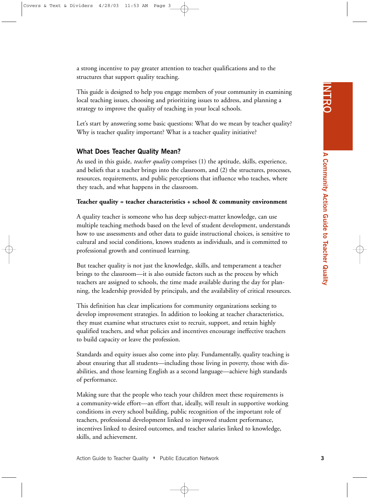a strong incentive to pay greater attention to teacher qualifications and to the structures that support quality teaching.

This guide is designed to help you engage members of your community in examining local teaching issues, choosing and prioritizing issues to address, and planning a strategy to improve the quality of teaching in your local schools.

Let's start by answering some basic questions: What do we mean by teacher quality? Why is teacher quality important? What is a teacher quality initiative?

#### **What Does Teacher Quality Mean?**

As used in this guide, *teacher quality* comprises (1) the aptitude, skills, experience, and beliefs that a teacher brings into the classroom, and (2) the structures, processes, resources, requirements, and public perceptions that influence who teaches, where they teach, and what happens in the classroom.

#### **Teacher quality = teacher characteristics + school & community environment**

A quality teacher is someone who has deep subject-matter knowledge, can use multiple teaching methods based on the level of student development, understands how to use assessments and other data to guide instructional choices, is sensitive to cultural and social conditions, knows students as individuals, and is committed to professional growth and continued learning.

But teacher quality is not just the knowledge, skills, and temperament a teacher brings to the classroom—it is also outside factors such as the process by which teachers are assigned to schools, the time made available during the day for planning, the leadership provided by principals, and the availability of critical resources.

This definition has clear implications for community organizations seeking to develop improvement strategies. In addition to looking at teacher characteristics, they must examine what structures exist to recruit, support, and retain highly qualified teachers, and what policies and incentives encourage ineffective teachers to build capacity or leave the profession.

Standards and equity issues also come into play. Fundamentally, quality teaching is about ensuring that all students—including those living in poverty, those with disabilities, and those learning English as a second language—achieve high standards of performance.

This guide is designed to help you engage members of your community in examining<br>color teaching issues, also doing and probriding issues to aldeless, and planting a<br>strategy to improve the quality of eaching in your local Making sure that the people who teach your children meet these requirements is a community-wide effort—an effort that, ideally, will result in supportive working conditions in every school building, public recognition of the important role of teachers, professional development linked to improved student performance, incentives linked to desired outcomes, and teacher salaries linked to knowledge, skills, and achievement.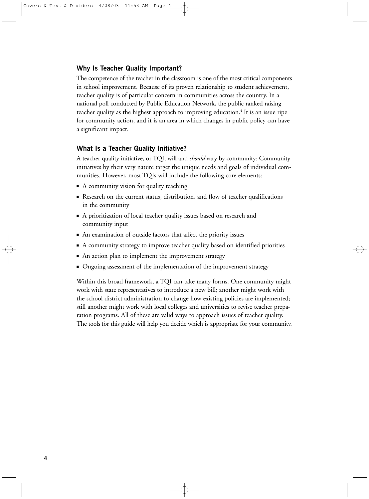#### **Why Is Teacher Quality Important?**

The competence of the teacher in the classroom is one of the most critical components in school improvement. Because of its proven relationship to student achievement, teacher quality is of particular concern in communities across the country. In a national poll conducted by Public Education Network, the public ranked raising teacher quality as the highest approach to improving education.<sup>4</sup> It is an issue ripe for community action, and it is an area in which changes in public policy can have a significant impact.

#### **What Is a Teacher Quality Initiative?**

A teacher quality initiative, or TQI, will and *should* vary by community: Community initiatives by their very nature target the unique needs and goals of individual communities. However, most TQIs will include the following core elements:

- A community vision for quality teaching
- Research on the current status, distribution, and flow of teacher qualifications in the community
- A prioritization of local teacher quality issues based on research and community input
- An examination of outside factors that affect the priority issues
- A community strategy to improve teacher quality based on identified priorities
- An action plan to implement the improvement strategy
- Ongoing assessment of the implementation of the improvement strategy

Within this broad framework, a TQI can take many forms. One community might work with state representatives to introduce a new bill; another might work with the school district administration to change how existing policies are implemented; still another might work with local colleges and universities to revise teacher preparation programs. All of these are valid ways to approach issues of teacher quality. The tools for this guide will help you decide which is appropriate for your community.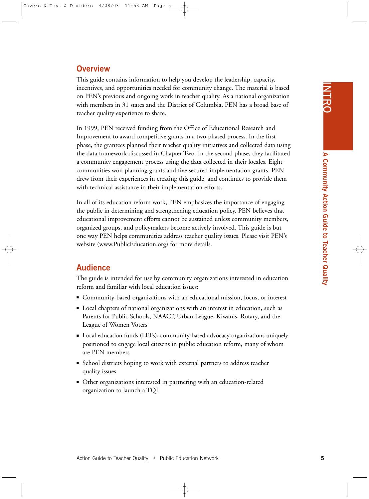#### **Overview**

This guide contains information to help you develop the leadership, capacity, incentives, and opportunities needed for community change. The material is based on PEN's previous and ongoing work in teacher quality. As a national organization with members in 31 states and the District of Columbia, PEN has a broad base of teacher quality experience to share.

In 1999, PEN received funding from the Office of Educational Research and Improvement to award competitive grants in a two-phased process. In the first phase, the grantees planned their teacher quality initiatives and collected data using the data framework discussed in Chapter Two. In the second phase, they facilitated a community engagement process using the data collected in their locales. Eight communities won planning grants and five secured implementation grants. PEN drew from their experiences in creating this guide, and continues to provide them with technical assistance in their implementation efforts. alionations, and opportunities needed for community change. The material is based<br>on the TVA previous and unguing work in teacher quality, As a suitonal negativation<br>with members in 31 states and the District of Calumbia,

In all of its education reform work, PEN emphasizes the importance of engaging the public in determining and strengthening education policy. PEN believes that educational improvement efforts cannot be sustained unless community members, organized groups, and policymakers become actively involved. This guide is but one way PEN helps communities address teacher quality issues. Please visit PEN's website (www.PublicEducation.org) for more details.

#### **Audience**

The guide is intended for use by community organizations interested in education reform and familiar with local education issues:

- Community-based organizations with an educational mission, focus, or interest
- Local chapters of national organizations with an interest in education, such as Parents for Public Schools, NAACP, Urban League, Kiwanis, Rotary, and the League of Women Voters
- Local education funds (LEFs), community-based advocacy organizations uniquely positioned to engage local citizens in public education reform, many of whom are PEN members
- School districts hoping to work with external partners to address teacher quality issues
- Other organizations interested in partnering with an education-related organization to launch a TQI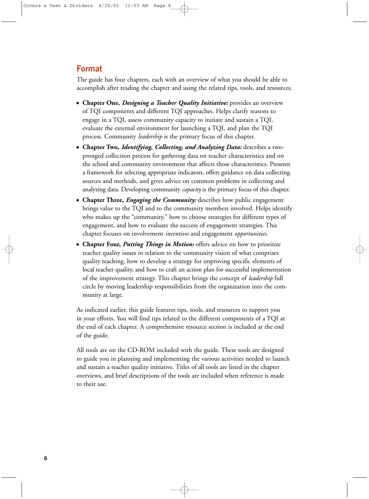#### **Format**

The guide has four chapters, each with an overview of what you should be able to accomplish after reading the chapter and using the related tips, tools, and resources.

- **Chapter One,** *Designing a Teacher Quality Initiative:* provides an overview of TQI components and different TQI approaches. Helps clarify reasons to engage in a TQI, assess community capacity to initiate and sustain a TQI, evaluate the external environment for launching a TQI, and plan the TQI process. Community *leadership* is the primary focus of this chapter.
- **Chapter Two,** *Identifying, Collecting, and Analyzing Data:* **describes a two**pronged collection process for gathering data on teacher characteristics and on the school and community environment that affects those characteristics. Presents a framework for selecting appropriate indicators, offers guidance on data collecting sources and methods, and gives advice on common problems in collecting and analyzing data. Developing community *capacity* is the primary focus of this chapter.
- **Chapter Three,** *Engaging the Community:* describes how public engagement brings value to the TQI and to the community members involved. Helps identify who makes up the "community," how to choose strategies for different types of engagement, and how to evaluate the success of engagement strategies. This chapter focuses on involvement *incentives* and engagement *opportunities.*
- **Chapter Four, Putting Things in Motion:** offers advice on how to prioritize teacher quality issues in relation to the community vision of what comprises quality teaching, how to develop a strategy for improving specific elements of local teacher quality, and how to craft an action plan for successful implementation of the improvement strategy. This chapter brings the concept of *leadership* full circle by moving leadership responsibilities from the organization into the community at large.

As indicated earlier, this guide features tips, tools, and resources to support you in your efforts. You will find tips related to the different components of a TQI at the end of each chapter. A comprehensive resource section is included at the end of the guide.

All tools are on the CD-ROM included with the guide. These tools are designed to guide you in planning and implementing the various activities needed to launch and sustain a teacher quality initiative. Titles of all tools are listed in the chapter overviews, and brief descriptions of the tools are included when reference is made to their use.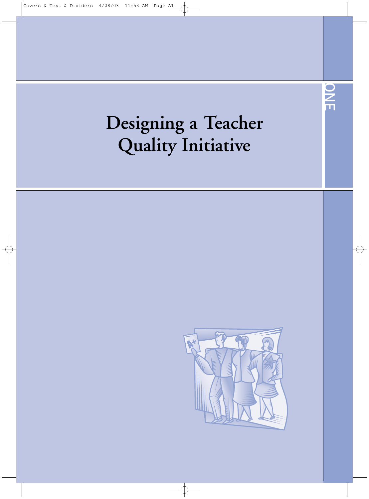# ONE

## **Designing a Teacher Quality Initiative**

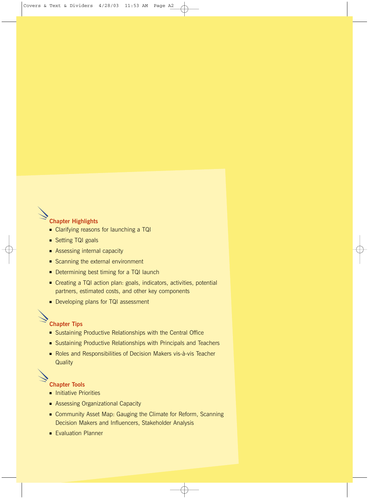#### **Chapter Highlights**

- Clarifying reasons for launching a TQI
- Setting TQI goals
- Assessing internal capacity
- Scanning the external environment
- Determining best timing for a TQI launch
- Creating a TQI action plan: goals, indicators, activities, potential partners, estimated costs, and other key components
- Developing plans for TQI assessment

#### **Chapter Tips**

- Sustaining Productive Relationships with the Central Office
- Sustaining Productive Relationships with Principals and Teachers
- Roles and Responsibilities of Decision Makers vis-à-vis Teacher **Quality**

#### **Chapter Tools**

- Initiative Priorities
- Assessing Organizational Capacity
- Community Asset Map: Gauging the Climate for Reform, Scanning Decision Makers and Influencers, Stakeholder Analysis
- Evaluation Planner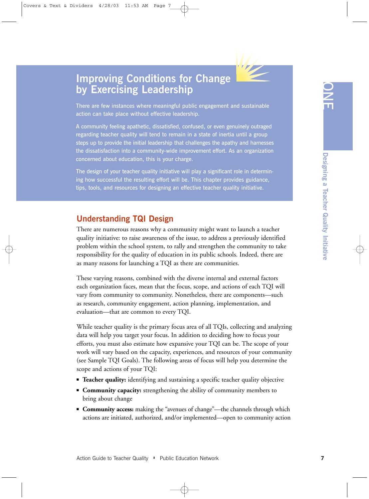### **Improving Conditions for Change by Exercising Leadership**

There are few instances where meaningful public engagement and sustainable action can take place without effective leadership.

A community feeling apathetic, dissatisfied, confused, or even genuinely outraged regarding teacher quality will tend to remain in a state of inertia until a group steps up to provide the initial leadership that challenges the apathy and harnesses the dissatisfaction into a community-wide improvement effort. As an organization concerned about education, this is your charge.

The design of your teacher quality initiative will play a significant role in determining how successful the resulting effort will be. This chapter provides guidance, tips, tools, and resources for designing an effective teacher quality initiative.

#### **Understanding TQI Design**

There are numerous reasons why a community might want to launch a teacher quality initiative: to raise awareness of the issue, to address a previously identified problem within the school system, to rally and strengthen the community to take responsibility for the quality of education in its public schools. Indeed, there are as many reasons for launching a TQI as there are communities.

These varying reasons, combined with the diverse internal and external factors each organization faces, mean that the focus, scope, and actions of each TQI will vary from community to community. Nonetheless, there are components—such as research, community engagement, action planning, implementation, and evaluation—that are common to every TQI.

While teacher quality is the primary focus area of all TQIs, collecting and analyzing data will help you target your focus. In addition to deciding how to focus your efforts, you must also estimate how expansive your TQI can be. The scope of your work will vary based on the capacity, experiences, and resources of your community (see Sample TQI Goals). The following areas of focus will help you determine the scope and actions of your TQI: **EVERGE STATE ACTION CONFIDENTIFY CONFIDENTIFY**<br>
These are for instances where meaningly public engagement and subtainable<br>
action can bue please which defines from this action of chemical cancerage<br>
the constrainty follo

- **Teacher quality:** identifying and sustaining a specific teacher quality objective
- **Community capacity:** strengthening the ability of community members to bring about change
- **Community access:** making the "avenues of change"—the channels through which actions are initiated, authorized, and/or implemented—open to community action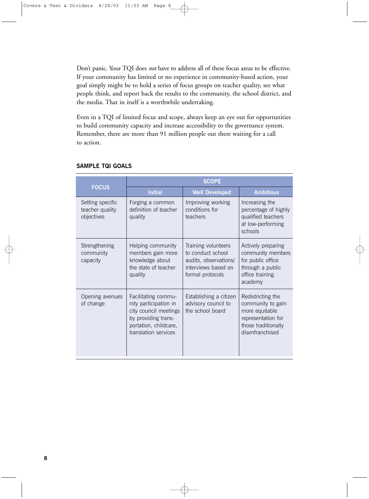Don't panic. Your TQI does *not* have to address all of these focus areas to be effective. If your community has limited or no experience in community-based action, your goal simply might be to hold a series of focus groups on teacher quality, see what people think, and report back the results to the community, the school district, and the media. That in itself is a worthwhile undertaking.

Even in a TQI of limited focus and scope, always keep an eye out for opportunities to build community capacity and increase accessibility to the governance system. Remember, there are more than 91 million people out there waiting for a call to action.

| <b>FOCUS</b>                                      | <b>SCOPE</b>                                                                                                                                  |                                                                                                              |                                                                                                                          |  |
|---------------------------------------------------|-----------------------------------------------------------------------------------------------------------------------------------------------|--------------------------------------------------------------------------------------------------------------|--------------------------------------------------------------------------------------------------------------------------|--|
|                                                   | <b>Initial</b>                                                                                                                                | <b>Well Developed</b>                                                                                        | <b>Ambitious</b>                                                                                                         |  |
| Setting specific<br>teacher quality<br>objectives | Forging a common<br>definition of teacher<br>quality                                                                                          | Improving working<br>conditions for<br>teachers                                                              | Increasing the<br>percentage of highly<br>qualified teachers<br>at low-performing<br>schools                             |  |
| Strengthening<br>community<br>capacity            | Helping community<br>members gain more<br>knowledge about<br>the state of teacher<br>quality                                                  | Training volunteers<br>to conduct school<br>audits, observations/<br>interviews based on<br>formal protocols | Actively preparing<br>community members<br>for public office<br>through a public<br>office training<br>academy           |  |
| Opening avenues<br>of change                      | Facilitating commu-<br>nity participation in<br>city council meetings<br>by providing trans-<br>portation, childcare,<br>translation services | Establishing a citizen<br>advisory council to<br>the school board                                            | Redistricting the<br>community to gain<br>more equitable<br>representation for<br>those traditionally<br>disenfranchised |  |

#### **SAMPLE TQI GOALS**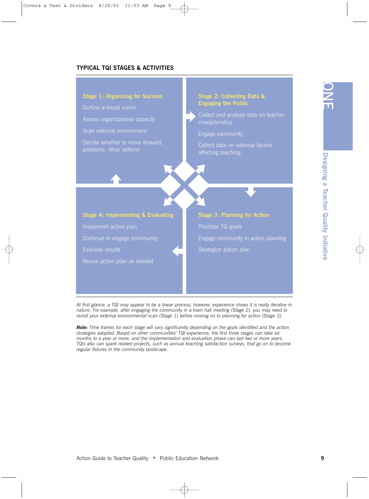#### **TYPICAL TQI STAGES & ACTIVITIES**



*At first glance, a TQI may appear to be a linear process; however, experience shows it is really iterative in nature. For example, after engaging the community in a town hall meeting (Stage 2), you may need to revisit your external environmental scan (Stage 1) before moving on to planning for action (Stage 3).*

*Note: Time frames for each stage will vary significantly depending on the goals identified and the action strategies adopted. Based on other communities' TQI experience, the first three stages can take six months to a year or more, and the implementation and evaluation phase can last two or more years. TQIs also can spark related projects, such as annual teaching satisfaction surveys, that go on to become regular fixtures in the community landscape.*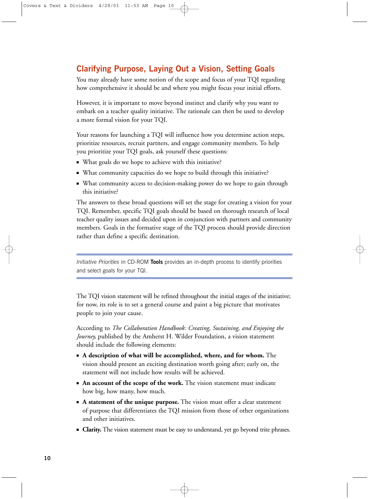#### **Clarifying Purpose, Laying Out a Vision, Setting Goals**

You may already have some notion of the scope and focus of your TQI regarding how comprehensive it should be and where you might focus your initial efforts.

However, it is important to move beyond instinct and clarify why you want to embark on a teacher quality initiative. The rationale can then be used to develop a more formal vision for your TQI.

Your reasons for launching a TQI will influence how you determine action steps, prioritize resources, recruit partners, and engage community members. To help you prioritize your TQI goals, ask yourself these questions:

- What goals do we hope to achieve with this initiative?
- What community capacities do we hope to build through this initiative?
- What community access to decision-making power do we hope to gain through this initiative?

The answers to these broad questions will set the stage for creating a vision for your TQI. Remember, specific TQI goals should be based on thorough research of local teacher quality issues and decided upon in conjunction with partners and community members. Goals in the formative stage of the TQI process should provide direction rather than define a specific destination.

*Initiative Priorities* in CD-ROM **Tools** provides an in-depth process to identify priorities and select goals for your TQI.

The TQI vision statement will be refined throughout the initial stages of the initiative; for now, its role is to set a general course and paint a big picture that motivates people to join your cause.

According to *The Collaboration Handbook: Creating, Sustaining, and Enjoying the Journey,* published by the Amherst H. Wilder Foundation, a vision statement should include the following elements:

- **A description of what will be accomplished, where, and for whom.** The vision should present an exciting destination worth going after; early on, the statement will not include how results will be achieved.
- **An account of the scope of the work.** The vision statement must indicate how big, how many, how much.
- **A statement of the unique purpose.** The vision must offer a clear statement of purpose that differentiates the TQI mission from those of other organizations and other initiatives.
- **Clarity.** The vision statement must be easy to understand, yet go beyond trite phrases.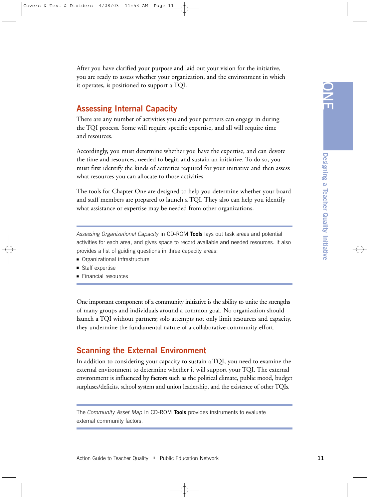After you have clarified your purpose and laid out your vision for the initiative, you are ready to assess whether your organization, and the environment in which it operates, is positioned to support a TQI.

#### **Assessing Internal Capacity**

There are any number of activities you and your partners can engage in during the TQI process. Some will require specific expertise, and all will require time and resources.

Accordingly, you must determine whether you have the expertise, and can devote the time and resources, needed to begin and sustain an initiative. To do so, you must first identify the kinds of activities required for your initiative and then assess what resources you can allocate to those activities. The operator, is positioned to support a TQL<br> **Assessing Internal Capacity**<br>
The reare are number of activities you and your partners can engage in during<br>
the TQI presses. Some will require quality evaluation and interti

The tools for Chapter One are designed to help you determine whether your board and staff members are prepared to launch a TQI. They also can help you identify what assistance or expertise may be needed from other organizations.

*Assessing Organizational Capacity* in CD-ROM **Tools** lays out task areas and potential activities for each area, and gives space to record available and needed resources. It also provides a list of guiding questions in three capacity areas:

- Organizational infrastructure
- Staff expertise
- Financial resources

One important component of a community initiative is the ability to unite the strengths of many groups and individuals around a common goal. No organization should launch a TQI without partners; solo attempts not only limit resources and capacity, they undermine the fundamental nature of a collaborative community effort.

#### **Scanning the External Environment**

In addition to considering your capacity to sustain a TQI, you need to examine the external environment to determine whether it will support your TQI. The external environment is influenced by factors such as the political climate, public mood, budget surpluses/deficits, school system and union leadership, and the existence of other TQIs.

The *Community Asset Map* in CD-ROM **Tools** provides instruments to evaluate external community factors.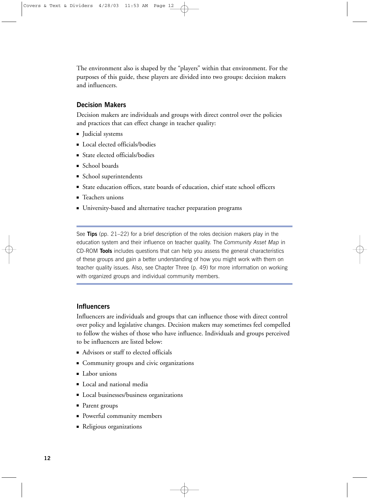The environment also is shaped by the "players" within that environment. For the purposes of this guide, these players are divided into two groups: decision makers and influencers.

#### **Decision Makers**

Decision makers are individuals and groups with direct control over the policies and practices that can effect change in teacher quality:

- Judicial systems
- Local elected officials/bodies
- State elected officials/bodies
- School boards
- School superintendents
- State education offices, state boards of education, chief state school officers
- Teachers unions
- University-based and alternative teacher preparation programs

See **Tips** (pp. 21–22) for a brief description of the roles decision makers play in the education system and their influence on teacher quality. The *Community Asset Map* in CD-ROM **Tools** includes questions that can help you assess the general characteristics of these groups and gain a better understanding of how you might work with them on teacher quality issues. Also, see Chapter Three (p. 49) for more information on working with organized groups and individual community members.

#### **Influencers**

Influencers are individuals and groups that can influence those with direct control over policy and legislative changes. Decision makers may sometimes feel compelled to follow the wishes of those who have influence. Individuals and groups perceived to be influencers are listed below:

- Advisors or staff to elected officials
- Community groups and civic organizations
- Labor unions
- Local and national media
- Local businesses/business organizations
- Parent groups
- Powerful community members
- Religious organizations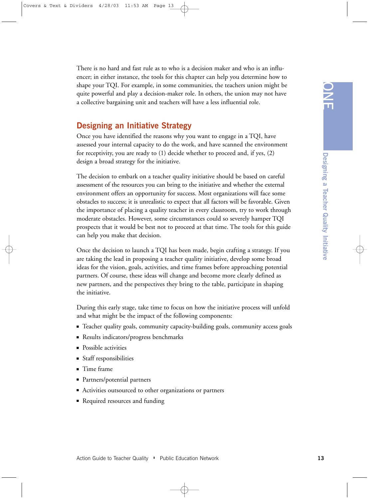There is no hard and fast rule as to who is a decision maker and who is an influencer; in either instance, the tools for this chapter can help you determine how to shape your TQI. For example, in some communities, the teachers union might be quite powerful and play a decision-maker role. In others, the union may not have a collective bargaining unit and teachers will have a less influential role.

#### **Designing an Initiative Strategy**

Once you have identified the reasons why you want to engage in a TQI, have assessed your internal capacity to do the work, and have scanned the environment for receptivity, you are ready to (1) decide whether to proceed and, if yes, (2) design a broad strategy for the initiative.

The decision to embark on a teacher quality initiative should be based on careful assessment of the resources you can bring to the initiative and whether the external environment offers an opportunity for success. Most organizations will face some obstacles to success; it is unrealistic to expect that all factors will be favorable. Given the importance of placing a quality teacher in every classroom, try to work through moderate obstacles. However, some circumstances could so severely hamper TQI prospects that it would be best not to proceed at that time. The tools for this guide can help you make that decision. shape your TQL for example, in some communities, the teachers union might be<br>duite powerful and play a decision-maker role. In orders, the union may not have<br>a collective longiting unit and eachers will how a less influen

Once the decision to launch a TQI has been made, begin crafting a strategy. If you are taking the lead in proposing a teacher quality initiative, develop some broad ideas for the vision, goals, activities, and time frames before approaching potential partners. Of course, these ideas will change and become more clearly defined as new partners, and the perspectives they bring to the table, participate in shaping the initiative.

During this early stage, take time to focus on how the initiative process will unfold and what might be the impact of the following components:

- Teacher quality goals, community capacity-building goals, community access goals
- Results indicators/progress benchmarks
- Possible activities
- Staff responsibilities
- Time frame
- Partners/potential partners
- Activities outsourced to other organizations or partners
- Required resources and funding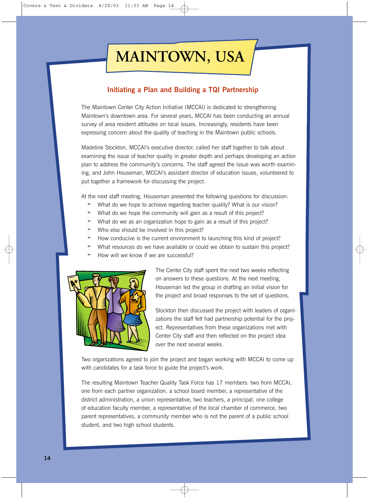### **MAINTOWN, USA**

#### **Initiating a Plan and Building a TQI Partnership**

The Maintown Center City Action Initiative (MCCAI) is dedicated to strengthening Maintown's downtown area. For several years, MCCAI has been conducting an annual survey of area resident attitudes on local issues. Increasingly, residents have been expressing concern about the quality of teaching in the Maintown public schools.

Madeline Stockton, MCCAI's executive director, called her staff together to talk about examining the issue of teacher quality in greater depth and perhaps developing an action plan to address the community's concerns. The staff agreed the issue was worth examining, and John Houseman, MCCAI's assistant director of education issues, volunteered to put together a framework for discussing the project.

At the next staff meeting, Houseman presented the following questions for discussion:

- ➣ What do we hope to achieve regarding teacher quality? What is our vision?
- ➣ What do we hope the community will gain as a result of this project?
- ➣ What do we as an organization hope to gain as a result of this project?
- ➣ Who else should be involved in this project?
- ➣ How conducive is the current environment to launching this kind of project?
- What resources do we have available or could we obtain to sustain this project?
- ➣ How will we know if we are successful?



The Center City staff spent the next two weeks reflecting on answers to these questions. At the next meeting, Houseman led the group in drafting an initial vision for the project and broad responses to the set of questions.

Stockton then discussed the project with leaders of organizations the staff felt had partnership potential for the project. Representatives from these organizations met with Center City staff and then reflected on the project idea over the next several weeks.

Two organizations agreed to join the project and began working with MCCAI to come up with candidates for a task force to guide the project's work.

The resulting Maintown Teacher Quality Task Force has 17 members: two from MCCAI, one from each partner organization, a school board member, a representative of the district administration, a union representative, two teachers, a principal, one college of education faculty member, a representative of the local chamber of commerce, two parent representatives, a community member who is not the parent of a public school student, and two high school students.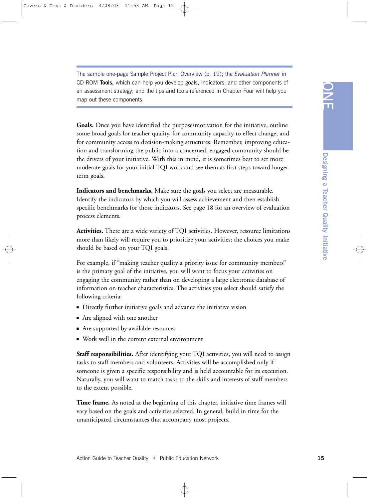The sample one-page Sample Project Plan Overview (p. 19); the *Evaluation Planner* in CD-ROM **Tools,** which can help you develop goals, indicators, and other components of an assessment strategy; and the tips and tools referenced in Chapter Four will help you map out these components.

**Goals.** Once you have identified the purpose/motivation for the initiative, outline some broad goals for teacher quality, for community capacity to effect change, and for community access to decision-making structures. Remember, improving education and transforming the public into a concerned, engaged community should be the drivers of your initiative. With this in mind, it is sometimes best to set more moderate goals for your initial TQI work and see them as first steps toward longerterm goals. Contene to the standinal total interptotion Guality alack the standinal and unit of the standard contexts and the standard contexts and the purposed include to Teacher Context in the standard of the standard context in the

**Indicators and benchmarks.** Make sure the goals you select are measurable. Identify the indicators by which you will assess achievement and then establish specific benchmarks for those indicators. See page 18 for an overview of evaluation process elements.

**Activities.** There are a wide variety of TQI activities. However, resource limitations more than likely will require you to prioritize your activities; the choices you make should be based on your TQI goals.

For example, if "making teacher quality a priority issue for community members" is the primary goal of the initiative, you will want to focus your activities on engaging the community rather than on developing a large electronic database of information on teacher characteristics. The activities you select should satisfy the following criteria:

- Directly further initiative goals and advance the initiative vision
- Are aligned with one another
- Are supported by available resources
- Work well in the current external environment

**Staff responsibilities.** After identifying your TQI activities, you will need to assign tasks to staff members and volunteers. Activities will be accomplished only if someone is given a specific responsibility and is held accountable for its execution. Naturally, you will want to match tasks to the skills and interests of staff members to the extent possible.

**Time frame.** As noted at the beginning of this chapter, initiative time frames will vary based on the goals and activities selected. In general, build in time for the unanticipated circumstances that accompany most projects.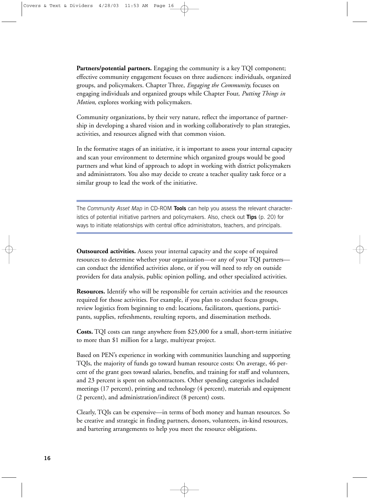**Partners/potential partners.** Engaging the community is a key TQI component; effective community engagement focuses on three audiences: individuals, organized groups, and policymakers. Chapter Three, *Engaging the Community,* focuses on engaging individuals and organized groups while Chapter Four, *Putting Things in Motion,* explores working with policymakers.

Community organizations, by their very nature, reflect the importance of partnership in developing a shared vision and in working collaboratively to plan strategies, activities, and resources aligned with that common vision.

In the formative stages of an initiative, it is important to assess your internal capacity and scan your environment to determine which organized groups would be good partners and what kind of approach to adopt in working with district policymakers and administrators. You also may decide to create a teacher quality task force or a similar group to lead the work of the initiative.

The *Community Asset Map* in CD-ROM **Tools** can help you assess the relevant characteristics of potential initiative partners and policymakers. Also, check out **Tips** (p. 20) for ways to initiate relationships with central office administrators, teachers, and principals.

**Outsourced activities.** Assess your internal capacity and the scope of required resources to determine whether your organization—or any of your TQI partners can conduct the identified activities alone, or if you will need to rely on outside providers for data analysis, public opinion polling, and other specialized activities.

**Resources.** Identify who will be responsible for certain activities and the resources required for those activities. For example, if you plan to conduct focus groups, review logistics from beginning to end: locations, facilitators, questions, participants, supplies, refreshments, resulting reports, and dissemination methods.

**Costs.** TQI costs can range anywhere from \$25,000 for a small, short-term initiative to more than \$1 million for a large, multiyear project.

Based on PEN's experience in working with communities launching and supporting TQIs, the majority of funds go toward human resource costs: On average, 46 percent of the grant goes toward salaries, benefits, and training for staff and volunteers, and 23 percent is spent on subcontractors. Other spending categories included meetings (17 percent), printing and technology (4 percent), materials and equipment (2 percent), and administration/indirect (8 percent) costs.

Clearly, TQIs can be expensive—in terms of both money and human resources. So be creative and strategic in finding partners, donors, volunteers, in-kind resources, and bartering arrangements to help you meet the resource obligations.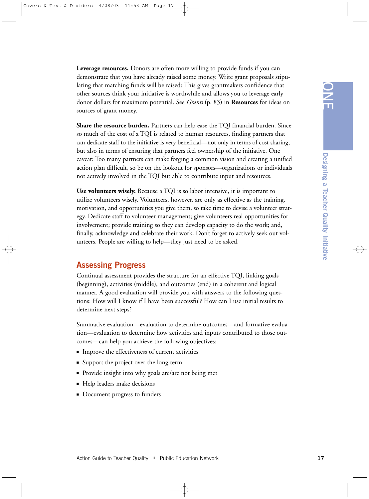**Leverage resources.** Donors are often more willing to provide funds if you can demonstrate that you have already raised some money. Write grant proposals stipulating that matching funds will be raised: This gives grantmakers confidence that other sources think your initiative is worthwhile and allows you to leverage early donor dollars for maximum potential. See *Grants* (p. 83) in **Resources** for ideas on sources of grant money.

**Share the resource burden.** Partners can help ease the TQI financial burden. Since so much of the cost of a TQI is related to human resources, finding partners that can dedicate staff to the initiative is very beneficial—not only in terms of cost sharing, but also in terms of ensuring that partners feel ownership of the initiative. One caveat: Too many partners can make forging a common vision and creating a unified action plan difficult, so be on the lookout for sponsors—organizations or individuals not actively involved in the TQI but able to contribute input and resources. Iteration Guide The wealth be related to This gives grantuates to confidence that<br>other tources this your initiative is vorthwhile and allows you to be<br>ergene ealty<br>our dollars for measuremum potential. See *Grenar* (p.

**Use volunteers wisely.** Because a TQI is so labor intensive, it is important to utilize volunteers wisely. Volunteers, however, are only as effective as the training, motivation, and opportunities you give them, so take time to devise a volunteer strategy. Dedicate staff to volunteer management; give volunteers real opportunities for involvement; provide training so they can develop capacity to do the work; and, finally, acknowledge and celebrate their work. Don't forget to actively seek out volunteers. People are willing to help—they just need to be asked.

#### **Assessing Progress**

Continual assessment provides the structure for an effective TQI, linking goals (beginning), activities (middle), and outcomes (end) in a coherent and logical manner. A good evaluation will provide you with answers to the following questions: How will I know if I have been successful? How can I use initial results to determine next steps?

Summative evaluation—evaluation to determine outcomes—and formative evaluation—evaluation to determine how activities and inputs contributed to those outcomes—can help you achieve the following objectives:

- Improve the effectiveness of current activities
- Support the project over the long term
- Provide insight into why goals are/are not being met
- Help leaders make decisions
- Document progress to funders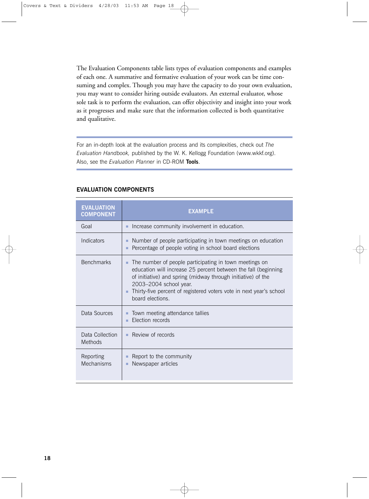The Evaluation Components table lists types of evaluation components and examples of each one. A summative and formative evaluation of your work can be time consuming and complex. Though you may have the capacity to do your own evaluation, you may want to consider hiring outside evaluators. An external evaluator, whose sole task is to perform the evaluation, can offer objectivity and insight into your work as it progresses and make sure that the information collected is both quantitative and qualitative.

For an in-depth look at the evaluation process and its complexities, check out *The Evaluation Handbook,* published by the W. K. Kellogg Foundation (www.wkkf.org). Also, see the *Evaluation Planner* in CD-ROM **Tools**.

| <b>EVALUATION</b><br><b>COMPONENT</b> | <b>EXAMPLE</b>                                                                                                                                                                                                                                                                                                           |  |  |
|---------------------------------------|--------------------------------------------------------------------------------------------------------------------------------------------------------------------------------------------------------------------------------------------------------------------------------------------------------------------------|--|--|
| Goal                                  | Increase community involvement in education.<br>٠                                                                                                                                                                                                                                                                        |  |  |
| Indicators                            | Number of people participating in town meetings on education<br>n,<br>Percentage of people voting in school board elections<br>٠                                                                                                                                                                                         |  |  |
| <b>Benchmarks</b>                     | The number of people participating in town meetings on<br>n,<br>education will increase 25 percent between the fall (beginning<br>of initiative) and spring (midway through initiative) of the<br>2003-2004 school year.<br>Thirty-five percent of registered voters vote in next year's school<br>٠<br>board elections. |  |  |
| Data Sources                          | Town meeting attendance tallies<br>٠<br>Flection records<br>٠                                                                                                                                                                                                                                                            |  |  |
| Data Collection<br>Methods            | Review of records<br>m.                                                                                                                                                                                                                                                                                                  |  |  |
| Reporting<br>Mechanisms               | Report to the community<br>٠<br>Newspaper articles<br>п                                                                                                                                                                                                                                                                  |  |  |

#### **EVALUATION COMPONENTS**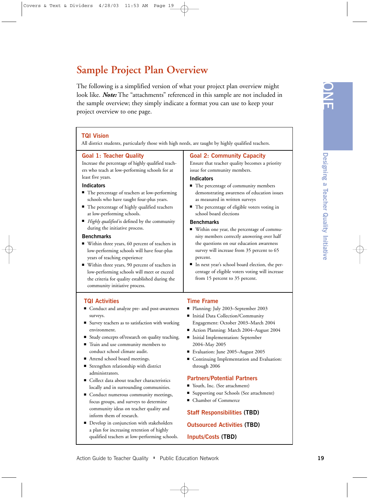### **Sample Project Plan Overview**

The following is a simplified version of what your project plan overview might look like. *Note:* The "attachments" referenced in this sample are not included in the sample overview; they simply indicate a format you can use to keep your project overview to one page. The Distribution is a simplified twisted to the simple a term in the simple are not increase to the properties of the simple and the simple of the simple state of the simple state of the simple state of the simple state o

#### **TQI Vision**

All district students, particularly those with high needs, are taught by highly qualified teachers.

#### **Goal 1: Teacher Quality**

Increase the percentage of highly qualified teachers who teach at low-performing schools for at least five years.

#### **Indicators**

- The percentage of teachers at low-performing schools who have taught four-plus years.
- The percentage of highly qualified teachers at low-performing schools.
- *Highly qualified* is defined by the community during the initiative process.

#### **Benchmarks**

- Within three years, 60 percent of teachers in low-performing schools will have four-plus years of teaching experience
- Within three years, 90 percent of teachers in low-performing schools will meet or exceed the criteria for quality established during the community initiative process.

#### **Goal 2: Community Capacity**

Ensure that teacher quality becomes a priority issue for community members.

#### **Indicators**

- The percentage of community members demonstrating awareness of education issues as measured in written surveys
- The percentage of eligible voters voting in school board elections

#### **Benchmarks**

- Within one year, the percentage of community members correctly answering over half the questions on our education awareness survey will increase from 35 percent to 65 percent.
- In next year's school board election, the percentage of eligible voters voting will increase from 15 percent to 35 percent.

#### **TQI Activities**

- Conduct and analyze pre- and post-awareness surveys.
- Survey teachers as to satisfaction with working environment.
- Study concepts of/research on quality teaching.
- Train and use community members to conduct school climate audit.
- Attend school board meetings.
- Strengthen relationship with district administrators.
- Collect data about teacher characteristics locally and in surrounding communities.
- Conduct numerous community meetings, focus groups, and surveys to determine community ideas on teacher quality and inform them of research.
- Develop in conjunction with stakeholders a plan for increasing retention of highly qualified teachers at low-performing schools.

#### **Time Frame**

- Planning: July 2003–September 2003
- Initial Data Collection/Community Engagement: October 2003–March 2004
- Action Planning: March 2004–August 2004
- Initial Implementation: September 2004–May 2005
- Evaluation: June 2005–August 2005
- Continuing Implementation and Evaluation: through 2006

#### **Partners/Potential Partners**

- Youth, Inc. (See attachment)
- Supporting our Schools (See attachment)
- Chamber of Commerce

#### **Staff Responsibilities (TBD)**

#### **Outsourced Activities (TBD)**

**Inputs/Costs (TBD)**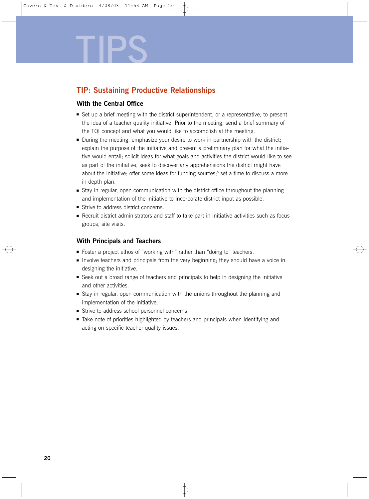# TIPS

#### **TIP: Sustaining Productive Relationships**

#### **With the Central Office**

- Set up a brief meeting with the district superintendent, or a representative, to present the idea of a teacher quality initiative. Prior to the meeting, send a brief summary of the TQI concept and what you would like to accomplish at the meeting.
- During the meeting, emphasize your desire to work in partnership with the district; explain the purpose of the initiative and present a preliminary plan for what the initiative would entail; solicit ideas for what goals and activities the district would like to see as part of the initiative; seek to discover any apprehensions the district might have about the initiative; offer some ideas for funding sources;<sup>5</sup> set a time to discuss a more in-depth plan.
- Stay in regular, open communication with the district office throughout the planning and implementation of the initiative to incorporate district input as possible.
- Strive to address district concerns.
- Recruit district administrators and staff to take part in initiative activities such as focus groups, site visits.

#### **With Principals and Teachers**

- Foster a project ethos of "working with" rather than "doing to" teachers.
- Involve teachers and principals from the very beginning; they should have a voice in designing the initiative.
- Seek out a broad range of teachers and principals to help in designing the initiative and other activities.
- Stay in regular, open communication with the unions throughout the planning and implementation of the initiative.
- Strive to address school personnel concerns.
- Take note of priorities highlighted by teachers and principals when identifying and acting on specific teacher quality issues.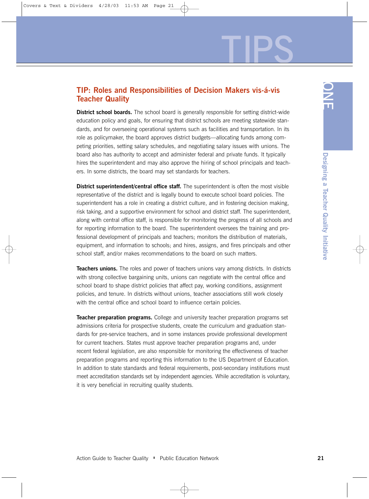# TIPS

#### **TIP: Roles and Responsibilities of Decision Makers vis-á-vis Teacher Quality**

**District school boards.** The school board is generally responsible for setting district-wide education policy and goals, for ensuring that district schools are meeting statewide standards, and for overseeing operational systems such as facilities and transportation. In its role as policymaker, the board approves district budgets—allocating funds among competing priorities, setting salary schedules, and negotiating salary issues with unions. The board also has authority to accept and administer federal and private funds. It typically hires the superintendent and may also approve the hiring of school principals and teachers. In some districts, the board may set standards for teachers.

**District superintendent/central office staff.** The superintendent is often the most visible representative of the district and is legally bound to execute school board policies. The superintendent has a role in creating a district culture, and in fostering decision making, risk taking, and a supportive environment for school and district staff. The superintendent, along with central office staff, is responsible for monitoring the progress of all schools and for reporting information to the board. The superintendent oversees the training and professional development of principals and teachers; monitors the distribution of materials, equipment, and information to schools; and hires, assigns, and fires principals and other school staff, and/or makes recommendations to the board on such matters. **TIP: Roles and Responsibilities of Decision Makers vis-á-vis<br>
<b>Exciter Cuality constrained** to the school band is generally resolved be setting district-wide<br>columbing policy are observed by designing the state of the st

**Teachers unions.** The roles and power of teachers unions vary among districts. In districts with strong collective bargaining units, unions can negotiate with the central office and school board to shape district policies that affect pay, working conditions, assignment policies, and tenure. In districts without unions, teacher associations still work closely with the central office and school board to influence certain policies.

**Teacher preparation programs.** College and university teacher preparation programs set admissions criteria for prospective students, create the curriculum and graduation standards for pre-service teachers, and in some instances provide professional development for current teachers. States must approve teacher preparation programs and, under recent federal legislation, are also responsible for monitoring the effectiveness of teacher preparation programs and reporting this information to the US Department of Education. In addition to state standards and federal requirements, post-secondary institutions must meet accreditation standards set by independent agencies. While accreditation is voluntary, it is very beneficial in recruiting quality students.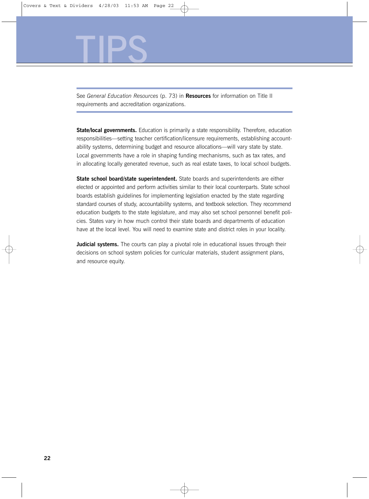# TIPS

See *General Education Resources* (p. 73) in **Resources** for information on Title II requirements and accreditation organizations.

**State/local governments.** Education is primarily a state responsibility. Therefore, education responsibilities—setting teacher certification/licensure requirements, establishing accountability systems, determining budget and resource allocations—will vary state by state. Local governments have a role in shaping funding mechanisms, such as tax rates, and in allocating locally generated revenue, such as real estate taxes, to local school budgets.

**State school board/state superintendent.** State boards and superintendents are either elected or appointed and perform activities similar to their local counterparts. State school boards establish guidelines for implementing legislation enacted by the state regarding standard courses of study, accountability systems, and textbook selection. They recommend education budgets to the state legislature, and may also set school personnel benefit policies. States vary in how much control their state boards and departments of education have at the local level. You will need to examine state and district roles in your locality.

**Judicial systems.** The courts can play a pivotal role in educational issues through their decisions on school system policies for curricular materials, student assignment plans, and resource equity.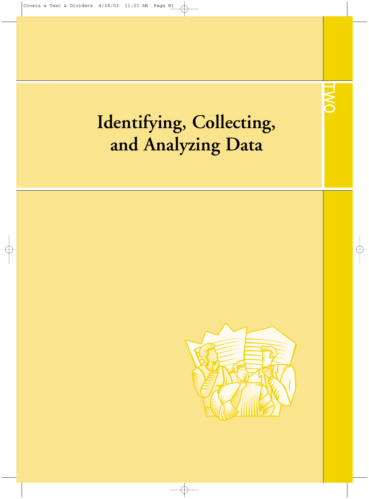# **TNO**

## **Identifying, Collecting, and Analyzing Data**

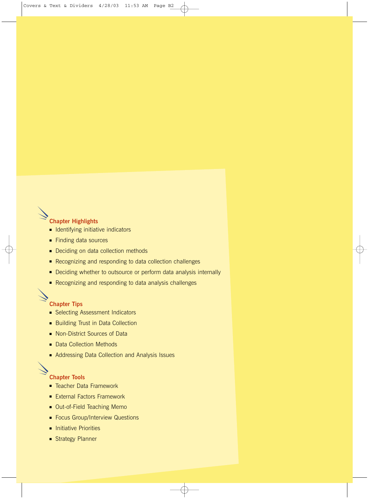#### **Chapter Highlights**

- Identifying initiative indicators
- Finding data sources
- Deciding on data collection methods
- Recognizing and responding to data collection challenges
- Deciding whether to outsource or perform data analysis internally
- Recognizing and responding to data analysis challenges

#### **Chapter Tips**

- Selecting Assessment Indicators
- Building Trust in Data Collection
- Non-District Sources of Data
- Data Collection Methods
- Addressing Data Collection and Analysis Issues

#### **Chapter Tools**

- Teacher Data Framework
- External Factors Framework
- Out-of-Field Teaching Memo
- Focus Group/Interview Questions
- Initiative Priorities
- Strategy Planner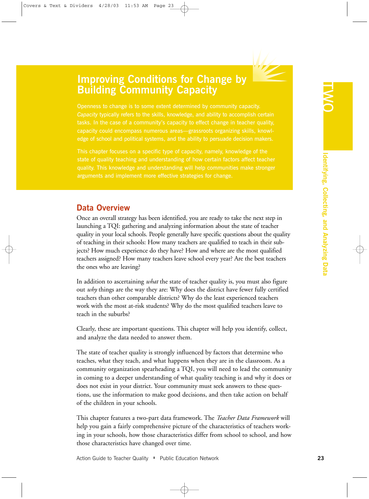### **Improving Conditions for Change by Building Community Capacity**

Openness to change is to some extent determined by community capacity. *Capacity* typically refers to the skills, knowledge, and ability to accomplish certain edge of school and political systems, and the ability to persuade decision makers.

This chapter focuses on a specific type of capacity, namely, knowledge of the state of quality teaching and understanding of how certain factors affect teacher quality. This knowledge and understanding will help communities make stronger arguments and implement more effective strategies for change.

#### **Data Overview**

Once an overall strategy has been identified, you are ready to take the next step in launching a TQI: gathering and analyzing information about the state of teacher quality in your local schools. People generally have specific questions about the quality of teaching in their schools: How many teachers are qualified to teach in their subjects? How much experience do they have? How and where are the most qualified teachers assigned? How many teachers leave school every year? Are the best teachers the ones who are leaving?

In addition to ascertaining *what* the state of teacher quality is, you must also figure out *why* things are the way they are: Why does the district have fewer fully certified teachers than other comparable districts? Why do the least experienced teachers work with the most at-risk students? Why do the most qualified teachers leave to teach in the suburbs?

Clearly, these are important questions. This chapter will help you identify, collect, and analyze the data needed to answer them.

The state of teacher quality is strongly influenced by factors that determine who teaches, what they teach, and what happens when they are in the classroom. As a community organization spearheading a TQI, you will need to lead the community in coming to a deeper understanding of what quality teaching is and why it does or does not exist in your district. Your community must seek answers to these questions, use the information to make good decisions, and then take action on behalf of the children in your schools. **Building Community Capacity**<br>
Commes to change is to some extent determined by community capacity<br>
Commes to change in the shaddle, and the modeling, and during a modelin center of a community capacity of the distributio

This chapter features a two-part data framework. The *Teacher Data Framework* will help you gain a fairly comprehensive picture of the characteristics of teachers working in your schools, how those characteristics differ from school to school, and how those characteristics have changed over time.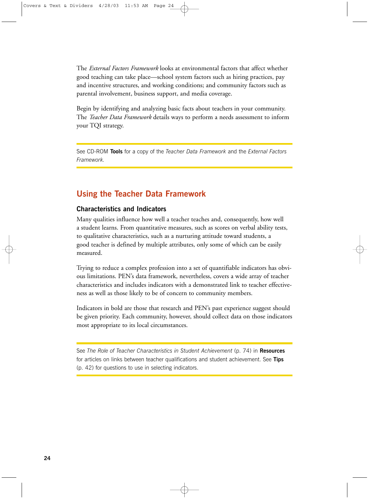The *External Factors Framework* looks at environmental factors that affect whether good teaching can take place—school system factors such as hiring practices, pay and incentive structures, and working conditions; and community factors such as parental involvement, business support, and media coverage.

Begin by identifying and analyzing basic facts about teachers in your community. The *Teacher Data Framework* details ways to perform a needs assessment to inform your TQI strategy.

See CD-ROM **Tools** for a copy of the *Teacher Data Framework* and the *External Factors Framework.*

#### **Using the Teacher Data Framework**

#### **Characteristics and Indicators**

Many qualities influence how well a teacher teaches and, consequently, how well a student learns. From quantitative measures, such as scores on verbal ability tests, to qualitative characteristics, such as a nurturing attitude toward students, a good teacher is defined by multiple attributes, only some of which can be easily measured.

Trying to reduce a complex profession into a set of quantifiable indicators has obvious limitations. PEN's data framework, nevertheless, covers a wide array of teacher characteristics and includes indicators with a demonstrated link to teacher effectiveness as well as those likely to be of concern to community members.

Indicators in bold are those that research and PEN's past experience suggest should be given priority. Each community, however, should collect data on those indicators most appropriate to its local circumstances.

See *The Role of Teacher Characteristics in Student Achievement* (p. 74) in **Resources** for articles on links between teacher qualifications and student achievement. See **Tips** (p. 42) for questions to use in selecting indicators.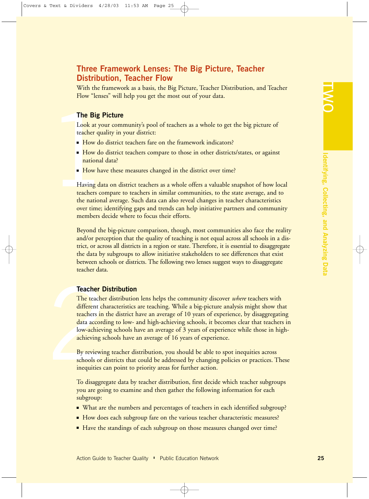#### **Three Framework Lenses: The Big Picture, Teacher Distribution, Teacher Flow**

With the framework as a basis, the Big Picture, Teacher Distribution, and Teacher Flow "lenses" will help you get the most out of your data.

#### **The Big Picture**

Look at your community's pool of teachers as a whole to get the big picture of teacher quality in your district:

- How do district teachers fare on the framework indicators?
- How do district teachers compare to those in other districts/states, or against national data?
- How have these measures changed in the district over time?

The Big Pi<br>
Look at your<br>
teacher quali<br>
• How do d<br>
• How do d<br>
national d<br>
• How have<br>
Having data<br>
teachers com<br>
the national Having data on district teachers as a whole offers a valuable snapshot of how local teachers compare to teachers in similar communities, to the state average, and to the national average. Such data can also reveal changes in teacher characteristics over time; identifying gaps and trends can help initiative partners and community members decide where to focus their efforts.

> Beyond the big-picture comparison, though, most communities also face the reality and/or perception that the quality of teaching is not equal across all schools in a district, or across all districts in a region or state. Therefore, it is essential to disaggregate the data by subgroups to allow initiative stakeholders to see differences that exist between schools or districts. The following two lenses suggest ways to disaggregate teacher data.

#### **Teacher Distribution**

With the functions has a basis, the Hig Ficture, Teacher Distribution, and Teacher<br>The **Pice Big Picture**<br>
The **Pice Pice Toward Court and Analyzing and the Signal Law are proposed to the symphony of the Signal Data<br>
Look** Teacher Di<br>
The teacher<br>
different cha<br>
teachers in the<br>
data accordin<br>
low-achieving<br>
achieving scl<br>
By reviewing<br>
schools or di<br>
inequities ca The teacher distribution lens helps the community discover *where* teachers with different characteristics are teaching. While a big-picture analysis might show that teachers in the district have an average of 10 years of experience, by disaggregating data according to low- and high-achieving schools, it becomes clear that teachers in low-achieving schools have an average of 3 years of experience while those in highachieving schools have an average of 16 years of experience.

By reviewing teacher distribution, you should be able to spot inequities across schools or districts that could be addressed by changing policies or practices. These inequities can point to priority areas for further action.

To disaggregate data by teacher distribution, first decide which teacher subgroups you are going to examine and then gather the following information for each subgroup:

- What are the numbers and percentages of teachers in each identified subgroup?
- How does each subgroup fare on the various teacher characteristic measures?
- Have the standings of each subgroup on those measures changed over time?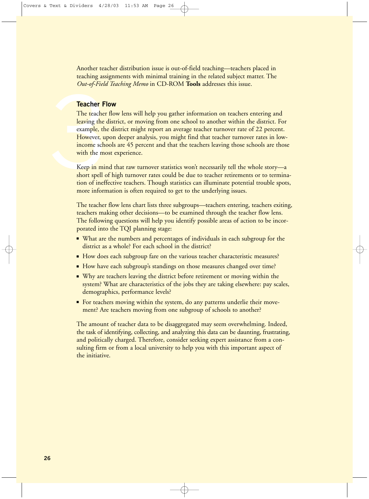Another teacher distribution issue is out-of-field teaching—teachers placed in teaching assignments with minimal training in the related subject matter. The *Out-of-Field Teaching Memo* in CD-ROM **Tools** addresses this issue.

#### **Teacher Flow**

Teacher Flo<br>The teacher<br>Leaving the d<br>example, the<br>However, up<br>income school<br>with the mos<br>Keep in min<br>short spell of<br>tion of ineffe The teacher flow lens will help you gather information on teachers entering and leaving the district, or moving from one school to another within the district. For example, the district might report an average teacher turnover rate of 22 percent. However, upon deeper analysis, you might find that teacher turnover rates in lowincome schools are 45 percent and that the teachers leaving those schools are those with the most experience.

Keep in mind that raw turnover statistics won't necessarily tell the whole story—a short spell of high turnover rates could be due to teacher retirements or to termination of ineffective teachers. Though statistics can illuminate potential trouble spots, more information is often required to get to the underlying issues.

The teacher flow lens chart lists three subgroups—teachers entering, teachers exiting, teachers making other decisions—to be examined through the teacher flow lens. The following questions will help you identify possible areas of action to be incorporated into the TQI planning stage:

- What are the numbers and percentages of individuals in each subgroup for the district as a whole? For each school in the district?
- How does each subgroup fare on the various teacher characteristic measures?
- How have each subgroup's standings on those measures changed over time?
- Why are teachers leaving the district before retirement or moving within the system? What are characteristics of the jobs they are taking elsewhere: pay scales, demographics, performance levels?
- For teachers moving within the system, do any patterns underlie their movement? Are teachers moving from one subgroup of schools to another?

The amount of teacher data to be disaggregated may seem overwhelming. Indeed, the task of identifying, collecting, and analyzing this data can be daunting, frustrating, and politically charged. Therefore, consider seeking expert assistance from a consulting firm or from a local university to help you with this important aspect of the initiative.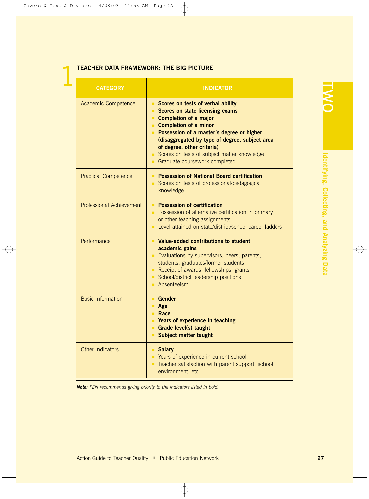### **TEACHER DATA FRAMEWORK: THE BIG PICTURE**  1

| <b>CATEGORY</b>                 | <b>INDICATOR</b>                                                                                                                                                                                                                                                                                                                                        |                                    |
|---------------------------------|---------------------------------------------------------------------------------------------------------------------------------------------------------------------------------------------------------------------------------------------------------------------------------------------------------------------------------------------------------|------------------------------------|
| Academic Competence             | Scores on tests of verbal ability<br>m.<br><b>Scores on state licensing exams</b><br>٠<br>Completion of a major<br>Completion of a minor<br>• Possession of a master's degree or higher<br>(disaggregated by type of degree, subject area<br>of degree, other criteria)<br>Scores on tests of subject matter knowledge<br>Graduate coursework completed |                                    |
| <b>Practical Competence</b>     | • Possession of National Board certification<br>Scores on tests of professional/pedagogical<br>knowledge                                                                                                                                                                                                                                                |                                    |
| <b>Professional Achievement</b> | <b>Possession of certification</b><br>• Possession of alternative certification in primary<br>or other teaching assignments<br>- Level attained on state/district/school career ladders                                                                                                                                                                 |                                    |
| Performance                     | • Value-added contributions to student<br>academic gains<br>Evaluations by supervisors, peers, parents,<br>students, graduates/former students<br>Receipt of awards, fellowships, grants<br>School/district leadership positions<br>Absenteeism                                                                                                         | ying, Collecting, and Analyzing Da |
| <b>Basic Information</b>        | Gender<br>Age<br>Race<br>Years of experience in teaching<br><b>Grade level(s) taught</b><br><b>Subject matter taught</b>                                                                                                                                                                                                                                |                                    |
| Other Indicators                | <b>Salary</b><br>Years of experience in current school<br>Teacher satisfaction with parent support, school<br>environment, etc.                                                                                                                                                                                                                         |                                    |
|                                 | <b>Note:</b> PEN recommends giving priority to the indicators listed in bold.                                                                                                                                                                                                                                                                           |                                    |
|                                 | Action Guide to Teacher Quality • Public Education Network                                                                                                                                                                                                                                                                                              | 27                                 |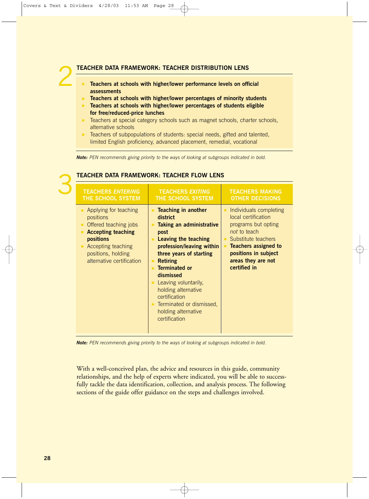2

#### **TEACHER DATA FRAMEWORK: TEACHER DISTRIBUTION LENS**

- **Teachers at schools with higher/lower performance levels on official assessments**
- **Teachers at schools with higher/lower percentages of minority students**
- **Teachers at schools with higher/lower percentages of students eligible for free/reduced-price lunches**
- Teachers at special category schools such as magnet schools, charter schools, alternative schools
- Teachers of subpopulations of students: special needs, gifted and talented, limited English proficiency, advanced placement, remedial, vocational

*Note: PEN recommends giving priority to the ways of looking at subgroups indicated in bold.*

| <b>TEACHER DATA FRAMEWORK: TEACHER FLOW LENS</b>                                                                                                                                                     |                                                                                                                                                                                                                                                                                                                                                                                                            |                                                                                                                                                                                                          |  |  |
|------------------------------------------------------------------------------------------------------------------------------------------------------------------------------------------------------|------------------------------------------------------------------------------------------------------------------------------------------------------------------------------------------------------------------------------------------------------------------------------------------------------------------------------------------------------------------------------------------------------------|----------------------------------------------------------------------------------------------------------------------------------------------------------------------------------------------------------|--|--|
| <b>TEACHERS ENTERING</b><br>THE SCHOOL SYSTEM                                                                                                                                                        | <b>TEACHERS EXITING</b><br>THE SCHOOL SYSTEM                                                                                                                                                                                                                                                                                                                                                               | <b>TEACHERS MAKING</b><br><b>OTHER DECISIONS</b>                                                                                                                                                         |  |  |
| • Applying for teaching<br>positions<br>Offered teaching jobs<br>$\mathbf{H}$ .<br><b>Accepting teaching</b><br>positions<br>• Accepting teaching<br>positions, holding<br>alternative certification | <b>Teaching in another</b><br>district<br><b>Taking an administrative</b><br>post<br><b>Leaving the teaching</b><br>п<br>profession/leaving within<br>three years of starting<br><b>Retiring</b><br>п<br><b>Terminated or</b><br>٠<br>dismissed<br>Leaving voluntarily,<br>п<br>holding alternative<br>certification<br>Terminated or dismissed,<br>$\blacksquare$<br>holding alternative<br>certification | Individuals completing<br>local certification<br>programs but opting<br>not to teach<br>Substitute teachers<br><b>Teachers assigned to</b><br>positions in subject<br>areas they are not<br>certified in |  |  |

#### **TEACHER DATA FRAMEWORK: TEACHER FLOW LENS**

*Note: PEN recommends giving priority to the ways of looking at subgroups indicated in bold.* 

With a well-conceived plan, the advice and resources in this guide, community relationships, and the help of experts where indicated, you will be able to successfully tackle the data identification, collection, and analysis process. The following sections of the guide offer guidance on the steps and challenges involved.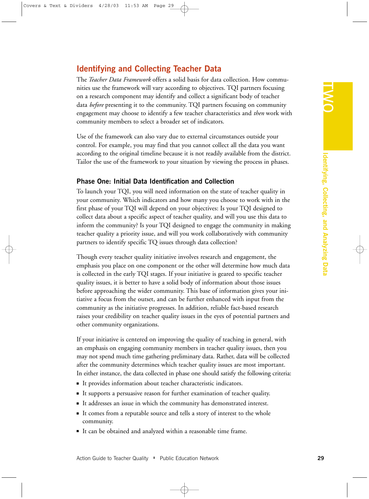### **Identifying and Collecting Teacher Data**

The *Teacher Data Framework* offers a solid basis for data collection. How communities use the framework will vary according to objectives. TQI partners focusing on a research component may identify and collect a significant body of teacher data *before* presenting it to the community. TQI partners focusing on community engagement may choose to identify a few teacher characteristics and *then* work with community members to select a broader set of indicators.

Use of the framework can also vary due to external circumstances outside your control. For example, you may find that you cannot collect all the data you want according to the original timeline because it is not readily available from the district. Tailor the use of the framework to your situation by viewing the process in phases.

### **Phase One: Initial Data Identification and Collection**

To launch your TQI, you will need information on the state of teacher quality in your community. Which indicators and how many you choose to work with in the first phase of your TQI will depend on your objectives: Is your TQI designed to collect data about a specific aspect of teacher quality, and will you use this data to inform the community? Is your TQI designed to engage the community in making teacher quality a priority issue, and will you work collaboratively with community partners to identify specific TQ issues through data collection?

Though every teacher quality initiative involves research and engagement, the emphasis you place on one component or the other will determine how much data is collected in the early TQI stages. If your initiative is geared to specific teacher quality issues, it is better to have a solid body of information about those issues before approaching the wider community. This base of information gives your initiative a focus from the outset, and can be further enhanced with input from the community as the initiative progresses. In addition, reliable fact-based research raises your credibility on teacher quality issues in the eyes of potential partners and other community organizations. minist use the framework will tury according to the<br>juristic use the framework will consider the action of the community. TQI partame frequencies to the community<br>data (pipe presenting it to the community respective of the

If your initiative is centered on improving the quality of teaching in general, with an emphasis on engaging community members in teacher quality issues, then you may not spend much time gathering preliminary data. Rather, data will be collected after the community determines which teacher quality issues are most important. In either instance, the data collected in phase one should satisfy the following criteria:

- It provides information about teacher characteristic indicators.
- It supports a persuasive reason for further examination of teacher quality.
- It addresses an issue in which the community has demonstrated interest.
- It comes from a reputable source and tells a story of interest to the whole community.
- It can be obtained and analyzed within a reasonable time frame.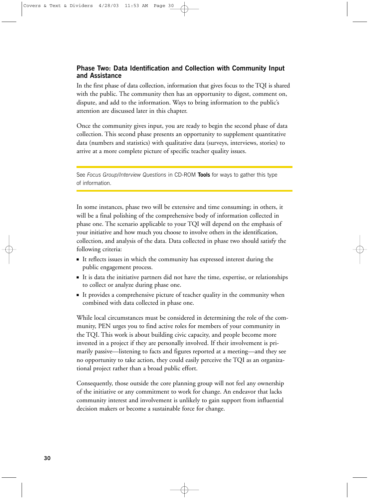### **Phase Two: Data Identification and Collection with Community Input and Assistance**

In the first phase of data collection, information that gives focus to the TQI is shared with the public. The community then has an opportunity to digest, comment on, dispute, and add to the information. Ways to bring information to the public's attention are discussed later in this chapter.

Once the community gives input, you are ready to begin the second phase of data collection. This second phase presents an opportunity to supplement quantitative data (numbers and statistics) with qualitative data (surveys, interviews, stories) to arrive at a more complete picture of specific teacher quality issues.

See *Focus Group/Interview Questions* in CD-ROM **Tools** for ways to gather this type of information.

In some instances, phase two will be extensive and time consuming; in others, it will be a final polishing of the comprehensive body of information collected in phase one. The scenario applicable to your TQI will depend on the emphasis of your initiative and how much you choose to involve others in the identification, collection, and analysis of the data. Data collected in phase two should satisfy the following criteria:

- It reflects issues in which the community has expressed interest during the public engagement process.
- It is data the initiative partners did not have the time, expertise, or relationships to collect or analyze during phase one.
- It provides a comprehensive picture of teacher quality in the community when combined with data collected in phase one.

While local circumstances must be considered in determining the role of the community, PEN urges you to find active roles for members of your community in the TQI. This work is about building civic capacity, and people become more invested in a project if they are personally involved. If their involvement is primarily passive—listening to facts and figures reported at a meeting—and they see no opportunity to take action, they could easily perceive the TQI as an organizational project rather than a broad public effort.

Consequently, those outside the core planning group will not feel any ownership of the initiative or any commitment to work for change. An endeavor that lacks community interest and involvement is unlikely to gain support from influential decision makers or become a sustainable force for change.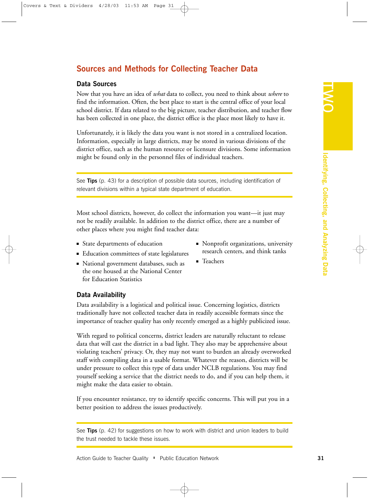### **Sources and Methods for Collecting Teacher Data**

### **Data Sources**

Now that you have an idea of *what* data to collect, you need to think about *where* to find the information. Often, the best place to start is the central office of your local school district. If data related to the big picture, teacher distribution, and teacher flow has been collected in one place, the district office is the place most likely to have it.

Unfortunately, it is likely the data you want is not stored in a centralized location. Information, especially in large districts, may be stored in various divisions of the district office, such as the human resource or licensure divisions. Some information might be found only in the personnel files of individual teachers.

See **Tips** (p. 43) for a description of possible data sources, including identification of relevant divisions within a typical state department of education.

Most school districts, however, do collect the information you want—it just may not be readily available. In addition to the district office, there are a number of other places where you might find teacher data:

- State departments of education
- Education committees of state legislatures
- National government databases, such as the one housed at the National Center for Education Statistics
	- Teachers

### **Data Availability**

Data availability is a logistical and political issue. Concerning logistics, districts traditionally have not collected teacher data in readily accessible formats since the importance of teacher quality has only recently emerged as a highly publicized issue.

**Data Sources**<br>
Dow that you have an isla of *u*<sup>6</sup>n/tax to collect, you need to think about *where* to<br>
thow the style collection. Often, the best place to start is the control of the start<br>
Leformancian, Fig. Haloly the With regard to political concerns, district leaders are naturally reluctant to release data that will cast the district in a bad light. They also may be apprehensive about violating teachers' privacy. Or, they may not want to burden an already overworked staff with compiling data in a usable format. Whatever the reason, districts will be under pressure to collect this type of data under NCLB regulations. You may find yourself seeking a service that the district needs to do, and if you can help them, it might make the data easier to obtain.

If you encounter resistance, try to identify specific concerns. This will put you in a better position to address the issues productively.

See **Tips** (p. 42) for suggestions on how to work with district and union leaders to build the trust needed to tackle these issues.

■ Nonprofit organizations, university research centers, and think tanks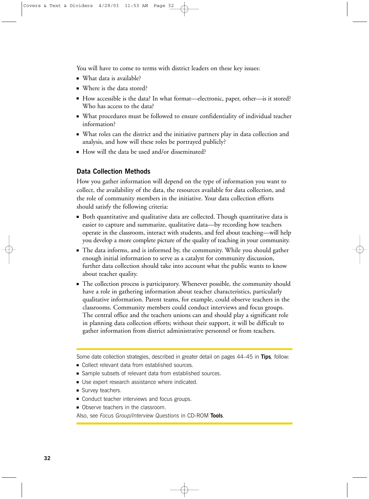You will have to come to terms with district leaders on these key issues:

- What data is available?
- Where is the data stored?
- How accessible is the data? In what format—electronic, paper, other—is it stored? Who has access to the data?
- What procedures must be followed to ensure confidentiality of individual teacher information?
- What roles can the district and the initiative partners play in data collection and analysis, and how will these roles be portrayed publicly?
- How will the data be used and/or disseminated?

### **Data Collection Methods**

How you gather information will depend on the type of information you want to collect, the availability of the data, the resources available for data collection, and the role of community members in the initiative. Your data collection efforts should satisfy the following criteria:

- Both quantitative and qualitative data are collected. Though quantitative data is easier to capture and summarize, qualitative data—by recording how teachers operate in the classroom, interact with students, and feel about teaching—will help you develop a more complete picture of the quality of teaching in your community.
- The data informs, and is informed by, the community. While you should gather enough initial information to serve as a catalyst for community discussion, further data collection should take into account what the public wants to know about teacher quality.
- The collection process is participatory. Whenever possible, the community should have a role in gathering information about teacher characteristics, particularly qualitative information. Parent teams, for example, could observe teachers in the classrooms. Community members could conduct interviews and focus groups. The central office and the teachers unions can and should play a significant role in planning data collection efforts; without their support, it will be difficult to gather information from district administrative personnel or from teachers.

Some date collection strategies, described in greater detail on pages 44–45 in **Tips***,* follow:

- Collect relevant data from established sources.
- Sample subsets of relevant data from established sources.
- Use expert research assistance where indicated.
- Survey teachers.
- Conduct teacher interviews and focus groups.
- Observe teachers in the classroom.

Also, see *Focus Group/Interview Questions* in CD-ROM **Tools**.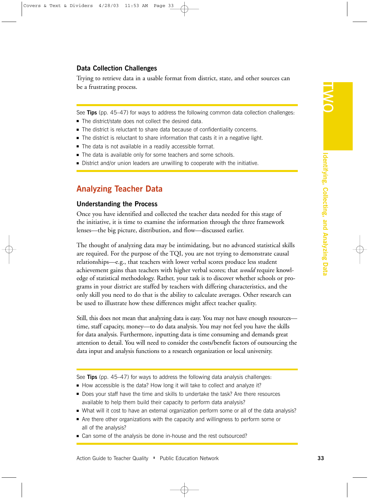### **Data Collection Challenges**

Trying to retrieve data in a usable format from district, state, and other sources can be a frustrating process.

See **Tips** (pp. 45–47) for ways to address the following common data collection challenges:

- The district/state does not collect the desired data.
- The district is reluctant to share data because of confidentiality concerns.
- The district is reluctant to share information that casts it in a negative light.
- The data is not available in a readily accessible format.
- The data is available only for some teachers and some schools.
- District and/or union leaders are unwilling to cooperate with the initiative.

### **Analyzing Teacher Data**

### **Understanding the Process**

Once you have identified and collected the teacher data needed for this stage of the initiative, it is time to examine the information through the three framework lenses—the big picture, distribution, and flow—discussed earlier.

**Exarting process.**<br>
See Tips (gp. 45-47) to wear to about the osteroid case, and the collection challenges:<br>
The district is electrated to the distributed to confidentally concerns.<br>
The district is electrated to the dis The thought of analyzing data may be intimidating, but no advanced statistical skills are required. For the purpose of the TQI, you are not trying to demonstrate causal relationships—e.g., that teachers with lower verbal scores produce less student achievement gains than teachers with higher verbal scores; that *would* require knowledge of statistical methodology. Rather, your task is to discover whether schools or programs in your district are staffed by teachers with differing characteristics, and the only skill you need to do that is the ability to calculate averages. Other research can be used to illustrate how these differences might affect teacher quality.

Still, this does not mean that analyzing data is easy. You may not have enough resources time, staff capacity, money—to do data analysis. You may not feel you have the skills for data analysis. Furthermore, inputting data is time consuming and demands great attention to detail. You will need to consider the costs/benefit factors of outsourcing the data input and analysis functions to a research organization or local university.

See **Tips** (pp. 45–47) for ways to address the following data analysis challenges:

- How accessible is the data? How long it will take to collect and analyze it?
- Does your staff have the time and skills to undertake the task? Are there resources available to help them build their capacity to perform data analysis?
- What will it cost to have an external organization perform some or all of the data analysis?
- Are there other organizations with the capacity and willingness to perform some or all of the analysis?
- Can some of the analysis be done in-house and the rest outsourced?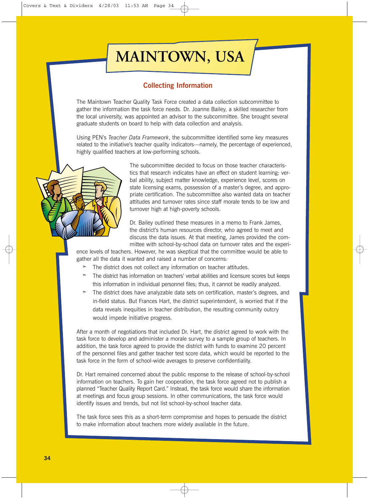## **MAINTOWN, USA**

### **Collecting Information**

The Maintown Teacher Quality Task Force created a data collection subcommittee to gather the information the task force needs. Dr. Joanne Bailey, a skilled researcher from the local university, was appointed an advisor to the subcommittee. She brought several graduate students on board to help with data collection and analysis.

Using PEN's *Teacher Data Framework*, the subcommittee identified some key measures related to the initiative's teacher quality indicators—namely, the percentage of experienced, highly qualified teachers at low-performing schools.



The subcommittee decided to focus on those teacher characteristics that research indicates have an effect on student learning: verbal ability, subject matter knowledge, experience level, scores on state licensing exams, possession of a master's degree, and appropriate certification. The subcommittee also wanted data on teacher attitudes and turnover rates since staff morale tends to be low and turnover high at high-poverty schools.

Dr. Bailey outlined these measures in a memo to Frank James, the district's human resources director, who agreed to meet and discuss the data issues. At that meeting, James provided the committee with school-by-school data on turnover rates and the experi-

ence levels of teachers. However, he was skeptical that the committee would be able to gather all the data it wanted and raised a number of concerns:

- The district does not collect any information on teacher attitudes.
- ➣ The district has information on teachers' verbal abilities and licensure scores but keeps this information in individual personnel files; thus, it cannot be readily analyzed.
- ➣ The district does have analyzable data sets on certification, master's degrees, and in-field status. But Frances Hart, the district superintendent, is worried that if the data reveals inequities in teacher distribution, the resulting community outcry would impede initiative progress.

After a month of negotiations that included Dr. Hart, the district agreed to work with the task force to develop and administer a morale survey to a sample group of teachers. In addition, the task force agreed to provide the district with funds to examine 20 percent of the personnel files and gather teacher test score data, which would be reported to the task force in the form of school-wide averages to preserve confidentiality.

Dr. Hart remained concerned about the public response to the release of school-by-school information on teachers. To gain her cooperation, the task force agreed not to publish a planned "Teacher Quality Report Card." Instead, the task force would share the information at meetings and focus group sessions. In other communications, the task force would identify issues and trends, but not list school-by-school teacher data.

The task force sees this as a short-term compromise and hopes to persuade the district to make information about teachers more widely available in the future.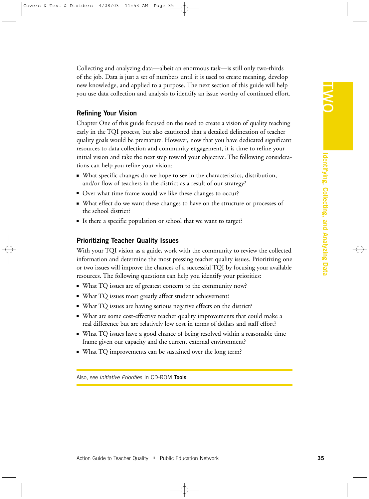Collecting and analyzing data—albeit an enormous task—is still only two-thirds of the job. Data is just a set of numbers until it is used to create meaning, develop new knowledge, and applied to a purpose. The next section of this guide will help you use data collection and analysis to identify an issue worthy of continued effort.

### **Refining Your Vision**

new lanowidge, and applied to a purpose. The next section of this guide will help<br>you we data collection and analysis to identify an issue worthy of continued effort.<br> **Refining Your Vision**<br>
Chapter One of this guide forc Chapter One of this guide focused on the need to create a vision of quality teaching early in the TQI process, but also cautioned that a detailed delineation of teacher quality goals would be premature. However, now that you have dedicated significant resources to data collection and community engagement, it is time to refine your initial vision and take the next step toward your objective. The following considerations can help you refine your vision:

- What specific changes do we hope to see in the characteristics, distribution, and/or flow of teachers in the district as a result of our strategy?
- Over what time frame would we like these changes to occur?
- What effect do we want these changes to have on the structure or processes of the school district?
- Is there a specific population or school that we want to target?

### **Prioritizing Teacher Quality Issues**

With your TQI vision as a guide, work with the community to review the collected information and determine the most pressing teacher quality issues. Prioritizing one or two issues will improve the chances of a successful TQI by focusing your available resources. The following questions can help you identify your priorities:

- What TQ issues are of greatest concern to the community now?
- What TQ issues most greatly affect student achievement?
- What TQ issues are having serious negative effects on the district?
- What are some cost-effective teacher quality improvements that could make a real difference but are relatively low cost in terms of dollars and staff effort?
- What TQ issues have a good chance of being resolved within a reasonable time frame given our capacity and the current external environment?
- What TQ improvements can be sustained over the long term?

Also, see *Initiative Priorities* in CD-ROM **Tools**.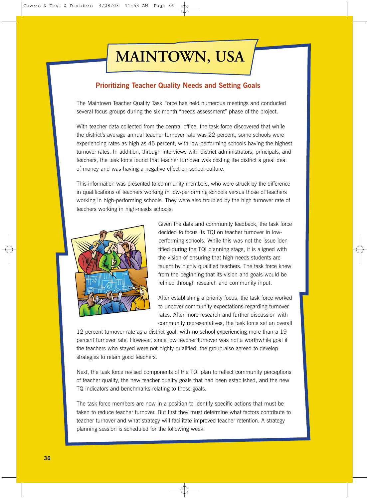## **MAINTOWN, USA**

### **Prioritizing Teacher Quality Needs and Setting Goals**

The Maintown Teacher Quality Task Force has held numerous meetings and conducted several focus groups during the six-month "needs assessment" phase of the project.

With teacher data collected from the central office, the task force discovered that while the district's average annual teacher turnover rate was 22 percent, some schools were experiencing rates as high as 45 percent, with low-performing schools having the highest turnover rates. In addition, through interviews with district administrators, principals, and teachers, the task force found that teacher turnover was costing the district a great deal of money and was having a negative effect on school culture.

This information was presented to community members, who were struck by the difference in qualifications of teachers working in low-performing schools versus those of teachers working in high-performing schools. They were also troubled by the high turnover rate of teachers working in high-needs schools.



Given the data and community feedback, the task force decided to focus its TQI on teacher turnover in lowperforming schools. While this was not the issue identified during the TQI planning stage, it is aligned with the vision of ensuring that high-needs students are taught by highly qualified teachers. The task force knew from the beginning that its vision and goals would be refined through research and community input.

After establishing a priority focus, the task force worked to uncover community expectations regarding turnover rates. After more research and further discussion with community representatives, the task force set an overall

12 percent turnover rate as a district goal, with no school experiencing more than a 19 percent turnover rate. However, since low teacher turnover was not a worthwhile goal if the teachers who stayed were not highly qualified, the group also agreed to develop strategies to retain good teachers.

Next, the task force revised components of the TQI plan to reflect community perceptions of teacher quality, the new teacher quality goals that had been established, and the new TQ indicators and benchmarks relating to those goals.

The task force members are now in a position to identify specific actions that must be taken to reduce teacher turnover. But first they must determine what factors contribute to teacher turnover and what strategy will facilitate improved teacher retention. A strategy planning session is scheduled for the following week.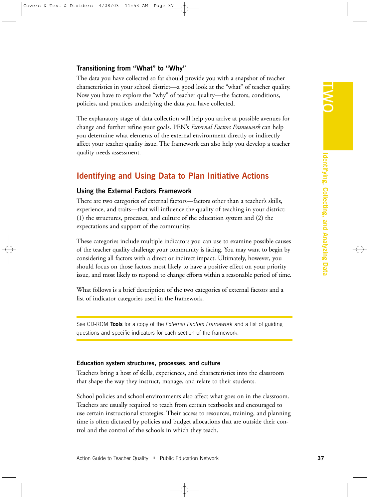### **Transitioning from "What" to "Why"**

The data you have collected so far should provide you with a snapshot of teacher characteristics in your school district—a good look at the "what" of teacher quality. Now you have to explore the "why" of teacher quality—the factors, conditions, policies, and practices underlying the data you have collected.

The explanatory stage of data collection will help you arrive at possible avenues for change and further refine your goals. PEN's *External Factors Framework* can help you determine what elements of the external environment directly or indirectly affect your teacher quality issue. The framework can also help you develop a teacher quality needs assessment.

### **Identifying and Using Data to Plan Initiative Actions**

### **Using the External Factors Framework**

There are two categories of external factors—factors other than a teacher's skills, experience, and traits—that will influence the quality of teaching in your district: (1) the structures, processes, and culture of the education system and (2) the expectations and support of the community.

duranteristins in your school district—a good look at the "solary" of track-order quality-<br>
Alway nu lave to track out control with lequy on the action of track and position of the exploration of the exploration of the de These categories include multiple indicators you can use to examine possible causes of the teacher quality challenge your community is facing. You may want to begin by considering all factors with a direct or indirect impact. Ultimately, however, you should focus on those factors most likely to have a positive effect on your priority issue, and most likely to respond to change efforts within a reasonable period of time.

What follows is a brief description of the two categories of external factors and a list of indicator categories used in the framework.

See CD-ROM **Tools** for a copy of the *External Factors Framework* and a list of guiding questions and specific indicators for each section of the framework.

### **Education system structures, processes, and culture**

Teachers bring a host of skills, experiences, and characteristics into the classroom that shape the way they instruct, manage, and relate to their students.

School policies and school environments also affect what goes on in the classroom. Teachers are usually required to teach from certain textbooks and encouraged to use certain instructional strategies. Their access to resources, training, and planning time is often dictated by policies and budget allocations that are outside their control and the control of the schools in which they teach.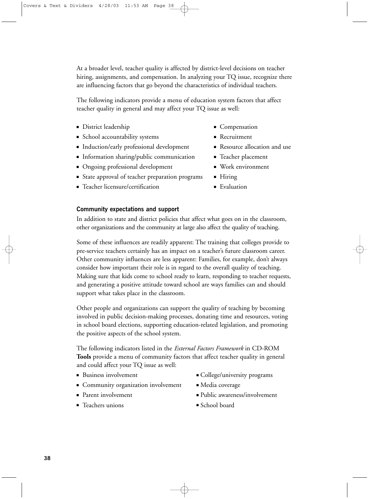At a broader level, teacher quality is affected by district-level decisions on teacher hiring, assignments, and compensation. In analyzing your TQ issue, recognize there are influencing factors that go beyond the characteristics of individual teachers.

The following indicators provide a menu of education system factors that affect teacher quality in general and may affect your TQ issue as well:

- District leadership
- School accountability systems
- Induction/early professional development
- Information sharing/public communication
- Ongoing professional development
- State approval of teacher preparation programs
- Teacher licensure/certification

### **Community expectations and support**

In addition to state and district policies that affect what goes on in the classroom, other organizations and the community at large also affect the quality of teaching.

Some of these influences are readily apparent: The training that colleges provide to pre-service teachers certainly has an impact on a teacher's future classroom career. Other community influences are less apparent: Families, for example, don't always consider how important their role is in regard to the overall quality of teaching. Making sure that kids come to school ready to learn, responding to teacher requests, and generating a positive attitude toward school are ways families can and should support what takes place in the classroom.

Other people and organizations can support the quality of teaching by becoming involved in public decision-making processes, donating time and resources, voting in school board elections, supporting education-related legislation, and promoting the positive aspects of the school system.

The following indicators listed in the *External Factors Framework* in CD-ROM **Tools** provide a menu of community factors that affect teacher quality in general and could affect your TQ issue as well:

- 
- Community organization involvement Media coverage
- 
- Teachers unions School board
- Business involvement College/university programs
	-
- Parent involvement Public awareness/involvement
	-
- Compensation
- Recruitment
- Resource allocation and use
- Teacher placement
- Work environment
- Hiring
- Evaluation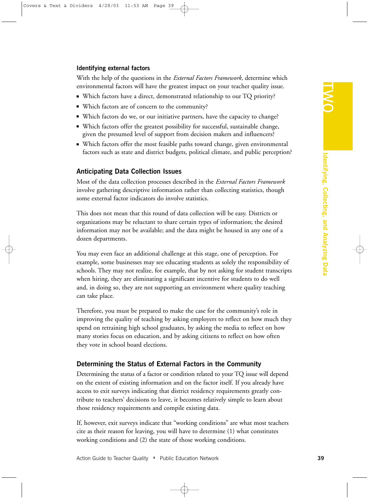### **Identifying external factors**

With the help of the questions in the *External Factors Framework,* determine which environmental factors will have the greatest impact on your teacher quality issue.

- Which factors have a direct, demonstrated relationship to our TQ priority?
- Which factors are of concern to the community?
- Which factors do we, or our initiative partners, have the capacity to change?
- Which factors offer the greatest possibility for successful, sustainable change, given the presumed level of support from decision makers and influencers?
- Which factors offer the most feasible paths toward change, given environmental factors such as state and district budgets, political climate, and public perception?

### **Anticipating Data Collection Issues**

Most of the data collection processes described in the *External Factors Framework* involve gathering descriptive information rather than collecting statistics, though some external factor indicators do involve statistics.

This does not mean that this round of data collection will be easy. Districts or organizations may be reluctant to share certain types of information; the desired information may not be available; and the data might be housed in any one of a dozen departments.

You may even face an additional challenge at this stage, one of perception. For example, some businesses may see educating students as solely the responsibility of schools. They may not realize, for example, that by not asking for student transcripts when hiring, they are eliminating a significant incentive for students to do well and, in doing so, they are not supporting an environment where quality teaching can take place. environmental factors will have the greater impact on your reacher quality issue.<br> **•** Which factors lave as on the current unit excellent is contributely to cour TQ principy?<br> **•** Which factors are of convert to the curre

Therefore, you must be prepared to make the case for the community's role in improving the quality of teaching by asking employers to reflect on how much they spend on retraining high school graduates, by asking the media to reflect on how many stories focus on education, and by asking citizens to reflect on how often they vote in school board elections.

### **Determining the Status of External Factors in the Community**

Determining the status of a factor or condition related to your TQ issue will depend on the extent of existing information and on the factor itself. If you already have access to exit surveys indicating that district residency requirements greatly contribute to teachers' decisions to leave, it becomes relatively simple to learn about those residency requirements and compile existing data.

If, however, exit surveys indicate that "working conditions" are what most teachers cite as their reason for leaving, you will have to determine (1) what constitutes working conditions and (2) the state of those working conditions.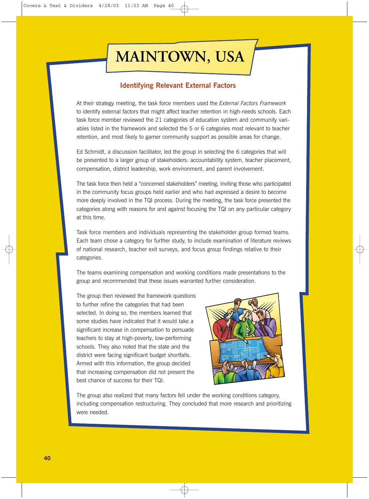## **MAINTOWN, USA**

### **Identifying Relevant External Factors**

At their strategy meeting, the task force members used the *External Factors Framework* to identify external factors that might affect teacher retention in high-needs schools. Each task force member reviewed the 21 categories of education system and community variables listed in the framework and selected the 5 or 6 categories most relevant to teacher retention, and most likely to garner community support as possible areas for change.

Ed Schmidt, a discussion facilitator, led the group in selecting the 6 categories that will be presented to a larger group of stakeholders: accountability system, teacher placement, compensation, district leadership, work environment, and parent involvement.

The task force then held a "concerned stakeholders" meeting, inviting those who participated in the community focus groups held earlier and who had expressed a desire to become more deeply involved in the TQI process. During the meeting, the task force presented the categories along with reasons for and against focusing the TQI on any particular category at this time.

Task force members and individuals representing the stakeholder group formed teams. Each team chose a category for further study, to include examination of literature reviews of national research, teacher exit surveys, and focus group findings relative to their categories.

The teams examining compensation and working conditions made presentations to the group and recommended that these issues warranted further consideration.

The group then reviewed the framework questions to further refine the categories that had been selected. In doing so, the members learned that some studies have indicated that it would take a significant increase in compensation to persuade teachers to stay at high-poverty, low-performing schools. They also noted that the state and the district were facing significant budget shortfalls. Armed with this information, the group decided that increasing compensation did not present the best chance of success for their TQI.



The group also realized that many factors fell under the working conditions category, including compensation restructuring. They concluded that more research and prioritizing were needed.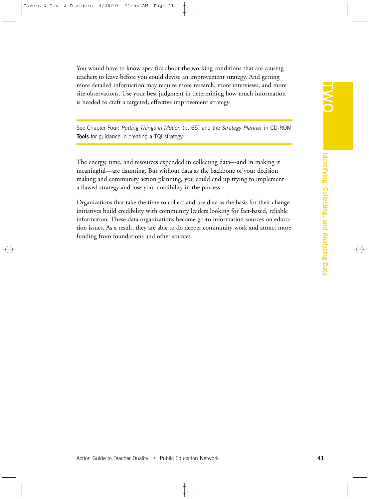You would have to know specifics about the working conditions that are causing teachers to leave before you could devise an improvement strategy. And getting more detailed information may require more research, more interviews, and more site observations. Use your best judgment in determining how much information is needed to craft a targeted, effective improvement strategy.

See Chapter Four: *Putting Things in Motion* (p. 65) and the *Strategy Planner* in CD-ROM **Tools** for guidance in creating a TQI strategy.

The energy, time, and resources expended in collecting data—and in making it meaningful—are daunting. But without data as the backbone of your decision making and community action planning, you could end up trying to implement a flawed strategy and lose your credibility in the process.

Organizations that take the time to collect and use data as the basis for their change initiatives build credibility with community leaders looking for fact-based, reliable information. These data organizations become go-to information sources on education issues. As a result, they are able to do deeper community work and attract more funding from foundations and other sources. more detailed information may require more research, more tracked information orientation and information in the strength out the strength of the strength of the strength of the public orientation of the public orientation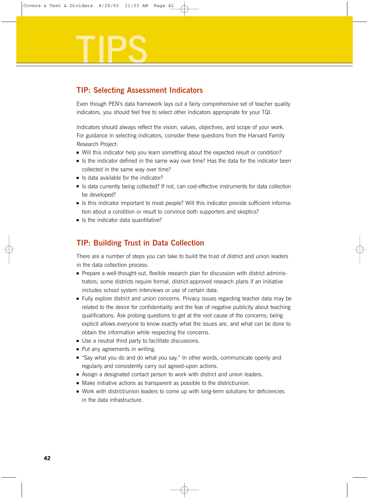

### **TIP: Selecting Assessment Indicators**

Even though PEN's data framework lays out a fairly comprehensive set of teacher quality indicators, you should feel free to select other indicators appropriate for your TQI.

Indicators should always reflect the vision, values, objectives, and scope of your work. For guidance in selecting indicators, consider these questions from the Harvard Family Research Project:

- Will this indicator help you learn something about the expected result or condition?
- Is the indicator defined in the same way over time? Has the data for the indicator been collected in the same way over time?
- Is data available for the indicator?
- Is data currently being collected? If not, can cost-effective instruments for data collection be developed?
- Is this indicator important to most people? Will this indicator provide sufficient information about a condition or result to convince both supporters and skeptics?
- Is the indicator data quantitative?

### **TIP: Building Trust in Data Collection**

There are a number of steps you can take to build the trust of district and union leaders in the data collection process:

- Prepare a well-thought-out, flexible research plan for discussion with district administrators; some districts require formal, district-approved research plans if an initiative includes school system interviews or use of certain data.
- Fully explore district and union concerns. Privacy issues regarding teacher data may be related to the desire for confidentiality and the fear of negative publicity about teaching qualifications. Ask probing questions to get at the root cause of the concerns; being explicit allows everyone to know exactly what the issues are, and what can be done to obtain the information while respecting the concerns.
- Use a neutral third party to facilitate discussions.
- Put any agreements in writing.
- "Say what you do and do what you say." In other words, communicate openly and regularly and consistently carry out agreed-upon actions.
- Assign a designated contact person to work with district and union leaders.
- Make initiative actions as transparent as possible to the district/union.
- Work with district/union leaders to come up with long-term solutions for deficiencies in the data infrastructure.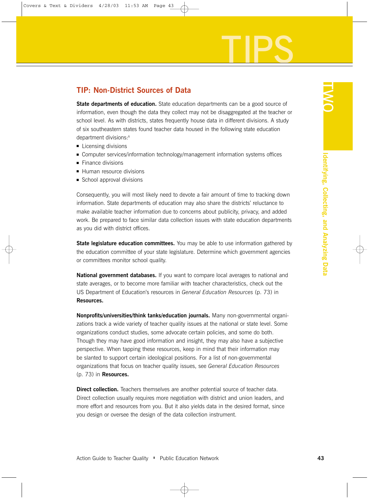### **TIP: Non-District Sources of Data**

**State departments of education.** State education departments can be a good source of information, even though the data they collect may not be disaggregated at the teacher or school level. As with districts, states frequently house data in different divisions. A study of six southeastern states found teacher data housed in the following state education department divisions:6

- Licensing divisions
- Computer services/information technology/management information systems offices
- Finance divisions
- Human resource divisions
- School approval divisions

Consequently, you will most likely need to devote a fair amount of time to tracking down information. State departments of education may also share the districts' reluctance to make available teacher information due to concerns about publicity, privacy, and added work. Be prepared to face similar data collection issues with state education departments as you did with district offices.

**State legislature education committees.** You may be able to use information gathered by the education committee of your state legislature. Determine which government agencies or committees monitor school quality.

**National government databases.** If you want to compare local averages to national and state averages, or to become more familiar with teacher characteristics, check out the US Department of Education's resources in *General Education Resources* (p. 73) in **Resources.**

**Nonprofits/universities/think tanks/education journals.** Many non-governmental organizations track a wide variety of teacher quality issues at the national or state level. Some organizations conduct studies, some advocate certain policies, and some do both. Though they may have good information and insight, they may also have a subjective perspective. When tapping these resources, keep in mind that their information may be slanted to support certain ideological positions. For a list of non-governmental organizations that focus on teacher quality issues, see *General Education Resources* (p. 73) in **Resources.**

**Direct collection.** Teachers themselves are another potential source of teacher data. Direct collection usually requires more negotiation with district and union leaders, and more effort and resources from you. But it also yields data in the desired format, since you design or oversee the design of the data collection instrument.

Identifying, Collecting, and Analyzing Data **Identifying, Collecting, and Analyzing Data**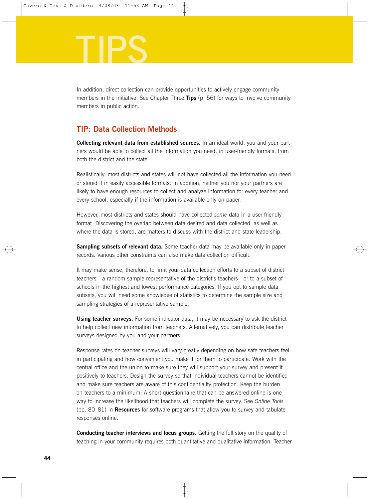

In addition, direct collection can provide opportunities to actively engage community members in the initiative. See Chapter Three **Tips** (p. 56) for ways to involve community members in public action.

### **TIP: Data Collection Methods**

**Collecting relevant data from established sources.** In an ideal world, you and your partners would be able to collect all the information you need, in user-friendly formats, from both the district and the state.

Realistically, most districts and states will not have collected all the information you need or stored it in easily accessible formats. In addition, neither you nor your partners are likely to have enough resources to collect and analyze information for every teacher and every school, especially if the information is available only on paper.

However, most districts and states should have collected *some* data in a user-friendly format. Discovering the overlap between data desired and data collected, as well as where the data is stored, are matters to discuss with the district and state leadership.

**Sampling subsets of relevant data.** Some teacher data may be available only in paper records. Various other constraints can also make data collection difficult.

It may make sense, therefore, to limit your data collection efforts to a subset of district teachers—a random sample representative of the district's teachers—or to a subset of schools in the highest and lowest performance categories. If you opt to sample data subsets, you will need some knowledge of statistics to determine the sample size and sampling strategies of a representative sample.

**Using teacher surveys.** For some indicator data, it may be necessary to ask the district to help collect new information from teachers. Alternatively, you can distribute teacher surveys designed by you and your partners.

Response rates on teacher surveys will vary greatly depending on how safe teachers feel in participating and how convenient you make it for them to participate. Work with the central office and the union to make sure they will support your survey and present it positively to teachers. Design the survey so that individual teachers cannot be identified and make sure teachers are aware of this confidentiality protection. Keep the burden on teachers to a minimum: A short questionnaire that can be answered online is one way to increase the likelihood that teachers will complete the survey. See *Online Tools* (pp. 80–81) in **Resources** for software programs that allow you to survey and tabulate responses online.

**Conducting teacher interviews and focus groups.** Getting the full story on the quality of teaching in your community requires both quantitative and qualitative information. Teacher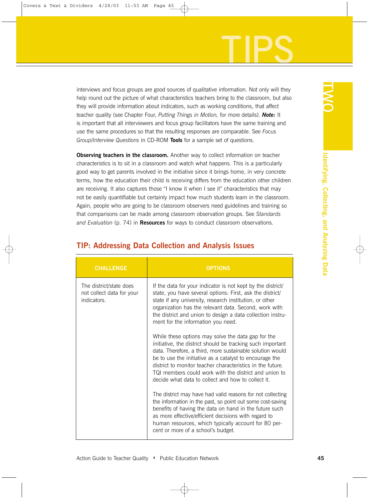interviews and focus groups are good sources of qualitative information. Not only will they help round out the picture of what characteristics teachers bring to the classroom, but also they will provide information about indicators, such as working conditions, that affect teacher quality (see Chapter Four, *Putting Things in Motion,* for more details). *Note:* It is important that all interviewers and focus group facilitators have the same training and use the same procedures so that the resulting responses are comparable. See *Focus Group/Interview Questions* in CD-ROM **Tools** for a sample set of questions.

**Observing teachers in the classroom.** Another way to collect information on teacher characteristics is to sit in a classroom and watch what happens. This is a particularly good way to get parents involved in the initiative since it brings home, in very concrete terms, how the education their child is receiving differs from the education other children are receiving. It also captures those "I know it when I see it" characteristics that may not be easily quantifiable but certainly impact how much students learn in the classroom. Again, people who are going to be classroom observers need guidelines and training so that comparisons can be made among classroom observation groups. See *Standards and Evaluation* (p. 74) in **Resources** for ways to conduct classroom observations.

| <b>CHALLENGE</b>                                                    | <b>OPTIONS</b>                                                                                                                                                                                                                                                                                                                                                                                                        |
|---------------------------------------------------------------------|-----------------------------------------------------------------------------------------------------------------------------------------------------------------------------------------------------------------------------------------------------------------------------------------------------------------------------------------------------------------------------------------------------------------------|
| The district/state does<br>not collect data for your<br>indicators. | If the data for your indicator is not kept by the district/<br>state, you have several options: First, ask the district/<br>state if any university, research institution, or other<br>organization has the relevant data. Second, work with<br>the district and union to design a data collection instru-<br>ment for the information you need.                                                                      |
|                                                                     | While these options may solve the data gap for the<br>initiative, the district should be tracking such important<br>data. Therefore, a third, more sustainable solution would<br>be to use the initiative as a catalyst to encourage the<br>district to monitor teacher characteristics in the future.<br>TOI members could work with the district and union to<br>decide what data to collect and how to collect it. |
|                                                                     | The district may have had valid reasons for not collecting<br>the information in the past, so point out some cost-saving<br>benefits of having the data on hand in the future such<br>as more effective/efficient decisions with regard to<br>human resources, which typically account for 80 per-<br>cent or more of a school's budget.                                                                              |

### **TIP: Addressing Data Collection and Analysis Issues**

**TNO** 

**Identifying, Collecting, and Analyzing Data**

Identifying, Collecting, and Analyzing Data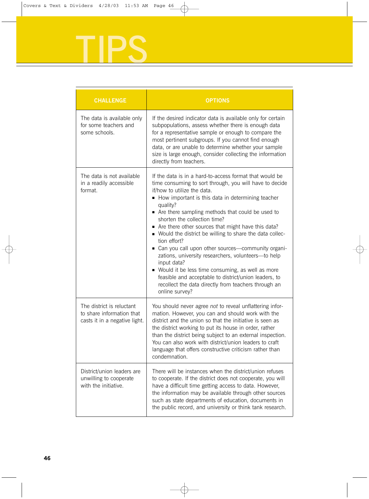| <b>CHALLENGE</b>                                                                        | <b>OPTIONS</b>                                                                                                                                                                                                                                                                                                                                                                                                                                                                                                                                                                                                                                                                                                                                                      |  |
|-----------------------------------------------------------------------------------------|---------------------------------------------------------------------------------------------------------------------------------------------------------------------------------------------------------------------------------------------------------------------------------------------------------------------------------------------------------------------------------------------------------------------------------------------------------------------------------------------------------------------------------------------------------------------------------------------------------------------------------------------------------------------------------------------------------------------------------------------------------------------|--|
| The data is available only<br>for some teachers and<br>some schools.                    | If the desired indicator data is available only for certain<br>subpopulations, assess whether there is enough data<br>for a representative sample or enough to compare the<br>most pertinent subgroups. If you cannot find enough<br>data, or are unable to determine whether your sample<br>size is large enough, consider collecting the information<br>directly from teachers.                                                                                                                                                                                                                                                                                                                                                                                   |  |
| The data is not available<br>in a readily accessible<br>format.                         | If the data is in a hard-to-access format that would be<br>time consuming to sort through, you will have to decide<br>if/how to utilize the data.<br>• How important is this data in determining teacher<br>quality?<br>• Are there sampling methods that could be used to<br>shorten the collection time?<br>Are there other sources that might have this data?<br>• Would the district be willing to share the data collec-<br>tion effort?<br>• Can you call upon other sources—community organi-<br>zations, university researchers, volunteers-to help<br>input data?<br>• Would it be less time consuming, as well as more<br>feasible and acceptable to district/union leaders, to<br>recollect the data directly from teachers through an<br>online survey? |  |
| The district is reluctant<br>to share information that<br>casts it in a negative light. | You should never agree not to reveal unflattering infor-<br>mation. However, you can and should work with the<br>district and the union so that the initiative is seen as<br>the district working to put its house in order, rather<br>than the district being subject to an external inspection.<br>You can also work with district/union leaders to craft<br>language that offers constructive criticism rather than<br>condemnation.                                                                                                                                                                                                                                                                                                                             |  |
| District/union leaders are<br>unwilling to cooperate<br>with the initiative.            | There will be instances when the district/union refuses<br>to cooperate. If the district does not cooperate, you will<br>have a difficult time getting access to data. However,<br>the information may be available through other sources<br>such as state departments of education, documents in<br>the public record, and university or think tank research.                                                                                                                                                                                                                                                                                                                                                                                                      |  |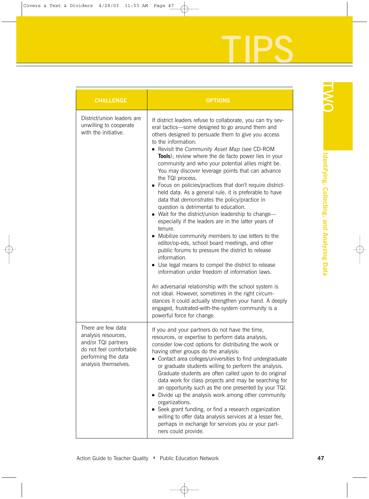| <b>CHALLENGE</b>                                                                                                                           | <b>OPTIONS</b>                                                                                                                                                                                                                                                                                                                                                                                                                                                                                                                                                                                                                                                                                                                                                                                                                                                                                                                                                                                                                                                                                                                                                                                                                                                                                                                     |
|--------------------------------------------------------------------------------------------------------------------------------------------|------------------------------------------------------------------------------------------------------------------------------------------------------------------------------------------------------------------------------------------------------------------------------------------------------------------------------------------------------------------------------------------------------------------------------------------------------------------------------------------------------------------------------------------------------------------------------------------------------------------------------------------------------------------------------------------------------------------------------------------------------------------------------------------------------------------------------------------------------------------------------------------------------------------------------------------------------------------------------------------------------------------------------------------------------------------------------------------------------------------------------------------------------------------------------------------------------------------------------------------------------------------------------------------------------------------------------------|
| District/union leaders are<br>unwilling to cooperate<br>with the initiative.                                                               | If district leaders refuse to collaborate, you can try sev-<br>eral tactics-some designed to go around them and<br>others designed to persuade them to give you access<br>to the information:<br>Revisit the Community Asset Map (see CD-ROM<br>Tools); review where the de facto power lies in your<br>community and who your potential allies might be.<br>You may discover leverage points that can advance<br>the TQI process.<br>Focus on policies/practices that don't require district-<br>held data. As a general rule, it is preferable to have<br>data that demonstrates the policy/practice in<br>question is detrimental to education.<br>• Wait for the district/union leadership to change-<br>especially if the leaders are in the latter years of<br>tenure.<br>• Mobilize community members to use letters to the<br>editor/op-eds, school board meetings, and other<br>public forums to pressure the district to release<br>information.<br>• Use legal means to compel the district to release<br>information under freedom of information laws.<br>An adversarial relationship with the school system is<br>not ideal. However, sometimes in the right circum-<br>stances it could actually strengthen your hand. A deeply<br>engaged, frustrated-with-the-system community is a<br>powerful force for change. |
| There are few data<br>analysis resources,<br>and/or TQI partners<br>do not feel comfortable<br>performing the data<br>analysis themselves. | If you and your partners do not have the time,<br>resources, or expertise to perform data analysis,<br>consider low-cost options for distributing the work or<br>having other groups do the analysis:<br>• Contact area colleges/universities to find undergraduate<br>or graduate students willing to perform the analysis.<br>Graduate students are often called upon to do original<br>data work for class projects and may be searching for<br>an opportunity such as the one presented by your TQI.<br>• Divide up the analysis work among other community<br>organizations.<br>• Seek grant funding, or find a research organization<br>willing to offer data analysis services at a lesser fee,<br>perhaps in exchange for services you or your part-<br>ners could provide.                                                                                                                                                                                                                                                                                                                                                                                                                                                                                                                                                |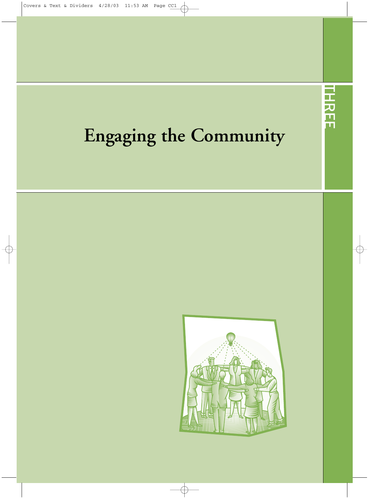## **Engaging the Community**



 $\frac{1}{11}$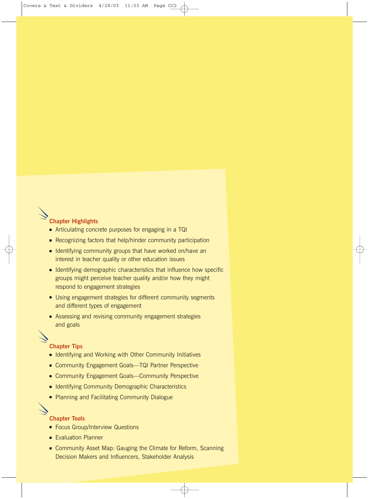### **Chapter Highlights**

- Articulating concrete purposes for engaging in a TQI
- Recognizing factors that help/hinder community participation
- Identifying community groups that have worked on/have an interest in teacher quality or other education issues
- Identifying demographic characteristics that influence how specific groups might perceive teacher quality and/or how they might respond to engagement strategies
- Using engagement strategies for different community segments and different types of engagement
- Assessing and revising community engagement strategies and goals

### **Chapter Tips**

- Identifying and Working with Other Community Initiatives
- Community Engagement Goals—TQI Partner Perspective
- Community Engagement Goals—Community Perspective
- Identifying Community Demographic Characteristics
- Planning and Facilitating Community Dialogue

### **Chapter Tools**

- Focus Group/Interview Questions
- Evaluation Planner
- Community Asset Map: Gauging the Climate for Reform, Scanning Decision Makers and Influencers, Stakeholder Analysis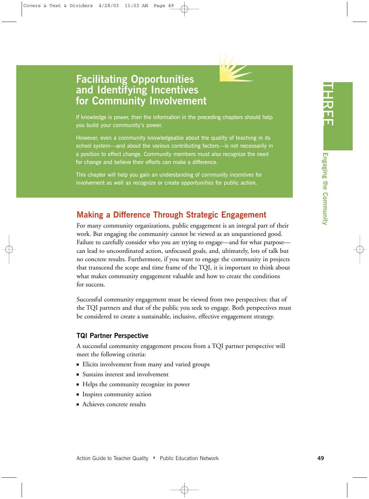

### **Facilitating Opportunities and Identifying Incentives for Community Involvement**

If knowledge is power, then the information in the preceding chapters should help you build your community's power.

However, even a community knowledgeable about the quality of teaching in its school system—and about the various contributing factors—is not necessarily in a position to effect change. Community members must also recognize the need for change and believe their efforts can make a difference.

This chapter will help you gain an understanding of community *incentives* for involvement as well as recognize or create *opportunities* for public action.

### **Making a Difference Through Strategic Engagement**

For many community organizations, public engagement is an integral part of their work. But engaging the community cannot be viewed as an unquestioned good. Failure to carefully consider who you are trying to engage—and for what purpose can lead to uncoordinated action, unfocused goals, and, ultimately, lots of talk but no concrete results. Furthermore, if you want to engage the community in projects that transcend the scope and time frame of the TQI, it is important to think about what makes community engagement valuable and how to create the conditions for success. **Example 11 Community Constrained to Teacher Community Community Community Engaging to the community and the intervent of the community and the survey of the community and the survey of the community and the comm** 

Successful community engagement must be viewed from two perspectives: that of the TQI partners and that of the public you seek to engage. Both perspectives must be considered to create a sustainable, inclusive, effective engagement strategy.

### **TQI Partner Perspective**

A successful community engagement process from a TQI partner perspective will meet the following criteria:

- Elicits involvement from many and varied groups
- Sustains interest and involvement
- Helps the community recognize its power
- Inspires community action
- Achieves concrete results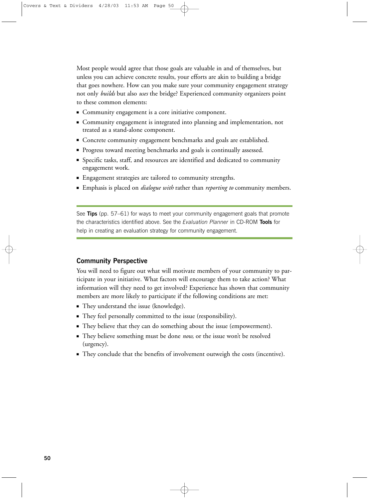Most people would agree that those goals are valuable in and of themselves, but unless you can achieve concrete results, your efforts are akin to building a bridge that goes nowhere. How can you make sure your community engagement strategy not only *builds* but also *uses* the bridge? Experienced community organizers point to these common elements:

- Community engagement is a core initiative component.
- Community engagement is integrated into planning and implementation, not treated as a stand-alone component.
- Concrete community engagement benchmarks and goals are established.
- Progress toward meeting benchmarks and goals is continually assessed.
- Specific tasks, staff, and resources are identified and dedicated to community engagement work.
- Engagement strategies are tailored to community strengths.
- Emphasis is placed on *dialogue with* rather than *reporting to* community members.

See **Tips** (pp. 57–61) for ways to meet your community engagement goals that promote the characteristics identified above. See the *Evaluation Planner* in CD-ROM **Tools** for help in creating an evaluation strategy for community engagement.

### **Community Perspective**

You will need to figure out what will motivate members of your community to participate in your initiative. What factors will encourage them to take action? What information will they need to get involved? Experience has shown that community members are more likely to participate if the following conditions are met:

- They understand the issue (knowledge).
- They feel personally committed to the issue (responsibility).
- They believe that they can do something about the issue (empowerment).
- They believe something must be done *now*, or the issue won't be resolved (urgency).
- They conclude that the benefits of involvement outweigh the costs (incentive).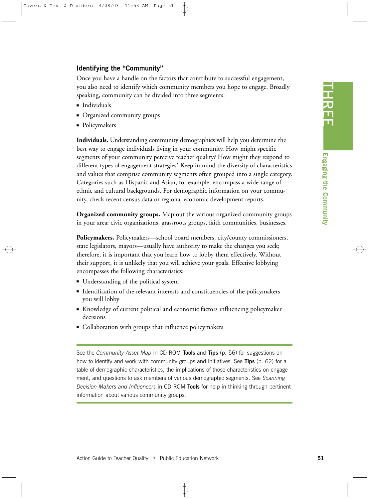### **Identifying the "Community"**

Once you have a handle on the factors that contribute to successful engagement, you also need to identify which community members you hope to engage. Broadly speaking, community can be divided into three segments:

- Individuals
- Organized community groups
- Policymakers

**Individuals.** Understanding community demographics will help you determine the best way to engage individuals living in your community. How might specific segments of your community perceive teacher quality? How might they respond to different types of engagement strategies? Keep in mind the diversity of characteristics and values that comprise community segments often grouped into a single category. Categories such as Hispanic and Asian, for example, encompass a wide range of ethnic and cultural backgrounds. For demographic information on your community, check recent census data or regional economic development reports. Symultant and the community members you hope to engage. Broadly<br>
speaking, community can be divided into three segments:<br> **1.** Lohivaluaks<br> **1.** Disciplinated community groups<br> **1.** Policymakes<br> **1.** Policymakes<br> **1.** Pol

**Organized community groups.** Map out the various organized community groups in your area: civic organizations, grassroots groups, faith communities, businesses.

**Policymakers.** Policymakers—school board members, city/county commissioners, state legislators, mayors—usually have authority to make the changes you seek; therefore, it is important that you learn how to lobby them effectively. Without their support, it is unlikely that you will achieve your goals. Effective lobbying encompasses the following characteristics:

- Understanding of the political system
- Identification of the relevant interests and constituencies of the policymakers you will lobby
- Knowledge of current political and economic factors influencing policymaker decisions
- Collaboration with groups that influence policymakers

See the *Community Asset Map* in CD-ROM **Tools** and **Tips** (p. 56) for suggestions on how to identify and work with community groups and initiatives. See **Tips** (p. 62) for a table of demographic characteristics, the implications of those characteristics on engagement, and questions to ask members of various demographic segments. See *Scanning Decision Makers and Influencers* in CD-ROM **Tools** for help in thinking through pertinent information about various community groups.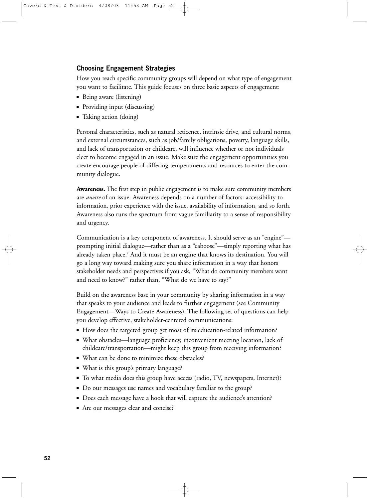### **Choosing Engagement Strategies**

How you reach specific community groups will depend on what type of engagement you want to facilitate. This guide focuses on three basic aspects of engagement:

- Being aware (listening)
- Providing input (discussing)
- Taking action (doing)

Personal characteristics, such as natural reticence, intrinsic drive, and cultural norms, and external circumstances, such as job/family obligations, poverty, language skills, and lack of transportation or childcare, will influence whether or not individuals elect to become engaged in an issue. Make sure the engagement opportunities you create encourage people of differing temperaments and resources to enter the community dialogue.

**Awareness.** The first step in public engagement is to make sure community members are *aware* of an issue. Awareness depends on a number of factors: accessibility to information, prior experience with the issue, availability of information, and so forth. Awareness also runs the spectrum from vague familiarity to a sense of responsibility and urgency.

Communication is a key component of awareness. It should serve as an "engine" prompting initial dialogue—rather than as a "caboose"—simply reporting what has already taken place.7 And it must be an engine that knows its destination. You will go a long way toward making sure you share information in a way that honors stakeholder needs and perspectives if you ask, "What do community members want and need to know?" rather than, "What do we have to say?"

Build on the awareness base in your community by sharing information in a way that speaks to your audience and leads to further engagement (see Community Engagement—Ways to Create Awareness). The following set of questions can help you develop effective, stakeholder-centered communications:

- How does the targeted group get most of its education-related information?
- What obstacles—language proficiency, inconvenient meeting location, lack of childcare/transportation—might keep this group from receiving information?
- What can be done to minimize these obstacles?
- What is this group's primary language?
- To what media does this group have access (radio, TV, newspapers, Internet)?
- Do our messages use names and vocabulary familiar to the group?
- Does each message have a hook that will capture the audience's attention?
- Are our messages clear and concise?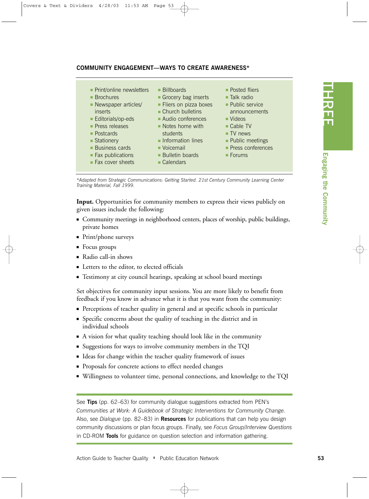### **COMMUNITY ENGAGEMENT—WAYS TO CREATE AWARENESS\***

| - Print/online newsletters<br><b>Billboards</b><br>• Posted fliers<br>Grocery bag inserts<br>Talk radio<br>■ Brochures                                                                                                                                                                                                                                                                                                                                                                                                                                                                                                                          | $\sim$ 10 $\mu$<br>T            |
|-------------------------------------------------------------------------------------------------------------------------------------------------------------------------------------------------------------------------------------------------------------------------------------------------------------------------------------------------------------------------------------------------------------------------------------------------------------------------------------------------------------------------------------------------------------------------------------------------------------------------------------------------|---------------------------------|
| Fliers on pizza boxes<br>• Public service<br>Newspaper articles/<br>• Church bulletins<br>inserts<br>announcements<br>Editorials/op-eds<br>Audio conferences<br>$\blacksquare$ Videos<br><b>Press releases</b><br>$\blacksquare$ Notes home with<br>■ Cable TV<br>$\blacksquare$ TV news<br>• Postcards<br>students<br>Information lines<br>• Public meetings<br>■ Stationery<br><b>Business cards</b><br>■ Voicemail<br>• Press conferences<br>Fax publications<br><b>Bulletin boards</b><br>$\blacksquare$ Forums<br>Fax cover sheets<br>• Calendars                                                                                          | $\overline{\lambda}$<br>щ<br>U, |
| *Adapted from Strategic Communications: Getting Started. 21st Century Community Learning Center<br>Training Material, Fall 1999.<br>Input. Opportunities for community members to express their views publicly on<br>given issues include the following:                                                                                                                                                                                                                                                                                                                                                                                        | Engaging the Community          |
| • Community meetings in neighborhood centers, places of worship, public buildings,<br>private homes<br>■ Print/phone surveys<br>■ Focus groups<br>Radio call-in shows<br>Letters to the editor, to elected officials<br>■ Testimony at city council hearings, speaking at school board meetings<br>Set objectives for community input sessions. You are more likely to benefit from<br>feedback if you know in advance what it is that you want from the community:<br>$\blacksquare$ Perceptions of teacher quality in general and at specific schools in particular<br>Specific concerns about the quality of teaching in the district and in |                                 |
| individual schools<br>$\blacksquare$ A vision for what quality teaching should look like in the community<br>Suggestions for ways to involve community members in the TQI<br>■ Ideas for change within the teacher quality framework of issues<br>Proposals for concrete actions to effect needed changes<br>■ Willingness to volunteer time, personal connections, and knowledge to the TQI                                                                                                                                                                                                                                                    |                                 |
| See Tips (pp. 62-63) for community dialogue suggestions extracted from PEN's<br>Communities at Work: A Guidebook of Strategic Interventions for Community Change.<br>Also, see Dialogue (pp. 82-83) in Resources for publications that can help you design<br>community discussions or plan focus groups. Finally, see Focus Group/Interview Questions<br>in CD-ROM Tools for guidance on question selection and information gathering.<br>Action Guide to Teacher Quality Public Education Network<br>53                                                                                                                                       |                                 |

*<sup>\*</sup>Adapted from Strategic Communications: Getting Started. 21st Century Community Learning Center Training Material, Fall 1999.* 

- Community meetings in neighborhood centers, places of worship, public buildings, private homes
- Print/phone surveys
- Focus groups
- Radio call-in shows
- Letters to the editor, to elected officials
- Testimony at city council hearings, speaking at school board meetings

- Perceptions of teacher quality in general and at specific schools in particular
- Specific concerns about the quality of teaching in the district and in individual schools
- A vision for what quality teaching should look like in the community
- Suggestions for ways to involve community members in the TQI
- Ideas for change within the teacher quality framework of issues
- Proposals for concrete actions to effect needed changes
- Willingness to volunteer time, personal connections, and knowledge to the TQI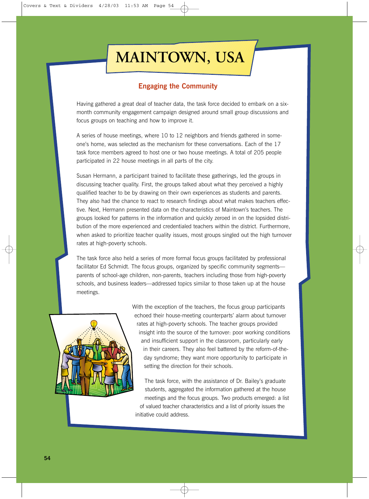## **MAINTOWN, USA**

### **Engaging the Community**

Having gathered a great deal of teacher data, the task force decided to embark on a sixmonth community engagement campaign designed around small group discussions and focus groups on teaching and how to improve it.

A series of house meetings, where 10 to 12 neighbors and friends gathered in someone's home, was selected as the mechanism for these conversations. Each of the 17 task force members agreed to host one or two house meetings. A total of 205 people participated in 22 house meetings in all parts of the city.

Susan Hermann, a participant trained to facilitate these gatherings, led the groups in discussing teacher quality. First, the groups talked about what they perceived a highly qualified teacher to be by drawing on their own experiences as students and parents. They also had the chance to react to research findings about what makes teachers effective. Next, Hermann presented data on the characteristics of Maintown's teachers. The groups looked for patterns in the information and quickly zeroed in on the lopsided distribution of the more experienced and credentialed teachers within the district. Furthermore, when asked to prioritize teacher quality issues, most groups singled out the high turnover rates at high-poverty schools.

The task force also held a series of more formal focus groups facilitated by professional facilitator Ed Schmidt. The focus groups, organized by specific community segments parents of school-age children, non-parents, teachers including those from high-poverty schools, and business leaders—addressed topics similar to those taken up at the house meetings.



With the exception of the teachers, the focus group participants echoed their house-meeting counterparts' alarm about turnover rates at high-poverty schools. The teacher groups provided insight into the source of the turnover: poor working conditions and insufficient support in the classroom, particularly early in their careers. They also feel battered by the reform-of-theday syndrome; they want more opportunity to participate in setting the direction for their schools.

The task force, with the assistance of Dr. Bailey's graduate students, aggregated the information gathered at the house meetings and the focus groups. Two products emerged: a list of valued teacher characteristics and a list of priority issues the initiative could address.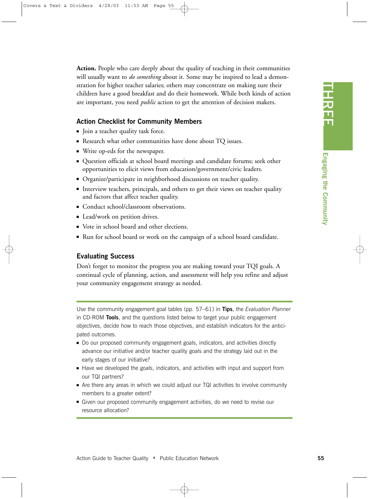**Action.** People who care deeply about the quality of teaching in their communities will usually want to *do something* about it. Some may be inspired to lead a demonstration for higher teacher salaries; others may concentrate on making sure their children have a good breakfast and do their homework. While both kinds of action are important, you need *public* action to get the attention of decision makers.

### **Action Checklist for Community Members**

- Join a teacher quality task force.
- Research what other communities have done about TQ issues.
- Write op-eds for the newspaper.
- Question officials at school board meetings and candidate forums; seek other opportunities to elicit views from education/government/civic leaders.
- Organize/participate in neighborhood discussions on teacher quality.
- Interview teachers, principals, and others to get their views on teacher quality and factors that affect teacher quality.
- Conduct school/classroom observations.
- Lead/work on petition drives.
- Vote in school board and other elections.
- Run for school board or work on the campaign of a school board candidate.

### **Evaluating Success**

Don't forget to monitor the progress you are making toward your TQI goals. A continual cycle of planning, action, and assessment will help you refine and adjust your community engagement strategy as needed.

Use the community engagement goal tables (pp. 57–61) in **Tips**, the *Evaluation Planner* in CD-ROM **Tools**, and the questions listed below to target your public engagement objectives, decide how to reach those objectives, and establish indicators for the anticipated outcomes. xtrain for lighter teacher saidiest condens any concernation on making sure their<br>
Action Checklist for Community Members<br>
are inportant, you need *poloitic* action to get the attention of decision makers.<br> **Action Check** 

- Do our proposed community engagement goals, indicators, and activities directly advance our initiative and/or teacher quality goals and the strategy laid out in the early stages of our initiative?
- Have we developed the goals, indicators, and activities with input and support from our TQI partners?
- Are there any areas in which we could adjust our TQI activities to involve community members to a greater extent?
- Given our proposed community engagement activities, do we need to revise our resource allocation?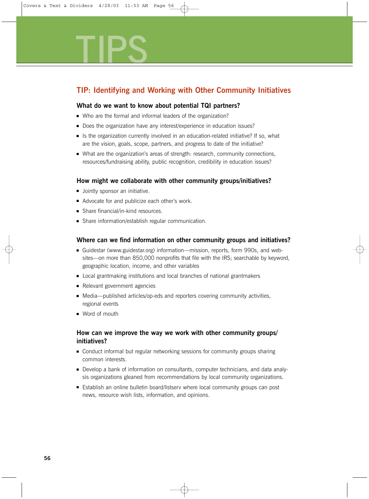

### **TIP: Identifying and Working with Other Community Initiatives**

### **What do we want to know about potential TQI partners?**

- Who are the formal and informal leaders of the organization?
- Does the organization have any interest/experience in education issues?
- Is the organization currently involved in an education-related initiative? If so, what are the vision, goals, scope, partners, and progress to date of the initiative?
- What are the organization's areas of strength: research, community connections, resources/fundraising ability, public recognition, credibility in education issues?

### **How might we collaborate with other community groups/initiatives?**

- Jointly sponsor an initiative.
- Advocate for and publicize each other's work.
- Share financial/in-kind resources.
- Share information/establish regular communication.

### **Where can we find information on other community groups and initiatives?**

- Guidestar (www.guidestar.org) information—mission, reports, form 990s, and websites—on more than 850,000 nonprofits that file with the IRS; searchable by keyword, geographic location, income, and other variables
- Local grantmaking institutions and local branches of national grantmakers
- Relevant government agencies
- Media—published articles/op-eds and reporters covering community activities, regional events
- Word of mouth

### **How can we improve the way we work with other community groups/ initiatives?**

- Conduct informal but regular networking sessions for community groups sharing common interests.
- Develop a bank of information on consultants, computer technicians, and data analysis organizations gleaned from recommendations by local community organizations.
- Establish an online bulletin board/listserv where local community groups can post news, resource wish lists, information, and opinions.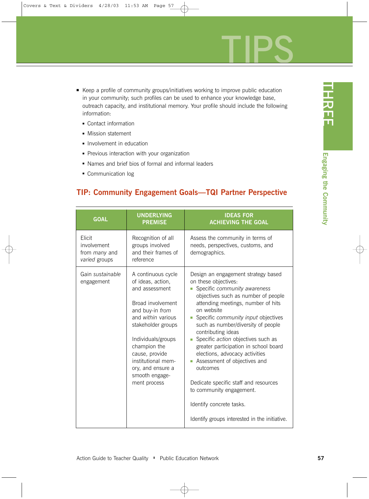- Keep a profile of community groups/initiatives working to improve public education in your community; such profiles can be used to enhance your knowledge base, outreach capacity, and institutional memory. Your profile should include the following information:
	- Contact information
	- Mission statement
	- Involvement in education
	- Previous interaction with your organization
	- Names and brief bios of formal and informal leaders
	- Communication log

### **TIP: Community Engagement Goals—TQI Partner Perspective**

| <b>GOAL</b>                                                    | <b>UNDERLYING</b><br><b>PREMISE</b>                                                                                                                                                                                                                                                | <b>IDEAS FOR</b><br><b>ACHIEVING THE GOAL</b>                                                                                                                                                                                                                                                                                                                                                                                                                                                                                                                                                                  |
|----------------------------------------------------------------|------------------------------------------------------------------------------------------------------------------------------------------------------------------------------------------------------------------------------------------------------------------------------------|----------------------------------------------------------------------------------------------------------------------------------------------------------------------------------------------------------------------------------------------------------------------------------------------------------------------------------------------------------------------------------------------------------------------------------------------------------------------------------------------------------------------------------------------------------------------------------------------------------------|
| Elicit<br>involvement<br>from <i>many</i> and<br>varied groups | Recognition of all<br>groups involved<br>and their frames of<br>reference                                                                                                                                                                                                          | Assess the community in terms of<br>needs, perspectives, customs, and<br>demographics.                                                                                                                                                                                                                                                                                                                                                                                                                                                                                                                         |
| Gain sustainable<br>engagement                                 | A continuous cycle<br>of ideas, action,<br>and assessment<br>Broad involvement<br>and buy-in from<br>and within various<br>stakeholder groups<br>Individuals/groups<br>champion the<br>cause, provide<br>institutional mem-<br>ory, and ensure a<br>smooth engage-<br>ment process | Design an engagement strategy based<br>on these objectives:<br>Specific community awareness<br>m.<br>objectives such as number of people<br>attending meetings, number of hits<br>on website<br>Specific community input objectives<br>such as number/diversity of people<br>contributing ideas<br>Specific action objectives such as<br>greater participation in school board<br>elections, advocacy activities<br>Assessment of objectives and<br>outcomes<br>Dedicate specific staff and resources<br>to community engagement.<br>Identify concrete tasks.<br>Identify groups interested in the initiative. |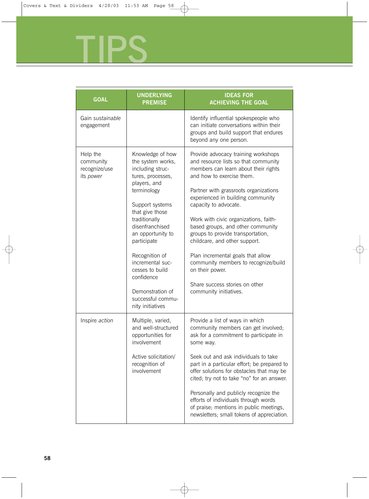| <b>GOAL</b>                                         | <b>UNDERLYING</b><br><b>PREMISE</b>                                                                                                                                                                                                                                                                                                                             | <b>IDEAS FOR</b><br><b>ACHIEVING THE GOAL</b>                                                                                                                                                                                                                                                                                                                                                                                                                                                                                                                           |
|-----------------------------------------------------|-----------------------------------------------------------------------------------------------------------------------------------------------------------------------------------------------------------------------------------------------------------------------------------------------------------------------------------------------------------------|-------------------------------------------------------------------------------------------------------------------------------------------------------------------------------------------------------------------------------------------------------------------------------------------------------------------------------------------------------------------------------------------------------------------------------------------------------------------------------------------------------------------------------------------------------------------------|
| Gain sustainable<br>engagement                      |                                                                                                                                                                                                                                                                                                                                                                 | Identify influential spokespeople who<br>can initiate conversations within their<br>groups and build support that endures<br>beyond any one person.                                                                                                                                                                                                                                                                                                                                                                                                                     |
| Help the<br>community<br>recognize/use<br>its power | Knowledge of how<br>the system works,<br>including struc-<br>tures, processes,<br>players, and<br>terminology<br>Support systems<br>that give those<br>traditionally<br>disenfranchised<br>an opportunity to<br>participate<br>Recognition of<br>incremental suc-<br>cesses to build<br>confidence<br>Demonstration of<br>successful commu-<br>nity initiatives | Provide advocacy training workshops<br>and resource lists so that community<br>members can learn about their rights<br>and how to exercise them.<br>Partner with grassroots organizations<br>experienced in building community<br>capacity to advocate.<br>Work with civic organizations, faith-<br>based groups, and other community<br>groups to provide transportation,<br>childcare, and other support.<br>Plan incremental goals that allow<br>community members to recognize/build<br>on their power.<br>Share success stories on other<br>community initiatives. |
| Inspire action                                      | Multiple, varied,<br>and well-structured<br>opportunities for<br>involvement<br>Active solicitation/<br>recognition of<br>involvement                                                                                                                                                                                                                           | Provide a list of ways in which<br>community members can get involved;<br>ask for a commitment to participate in<br>some way.<br>Seek out and ask individuals to take<br>part in a particular effort; be prepared to<br>offer solutions for obstacles that may be<br>cited; try not to take "no" for an answer.<br>Personally and publicly recognize the<br>efforts of individuals through words<br>of praise; mentions in public meetings,<br>newsletters; small tokens of appreciation.                                                                               |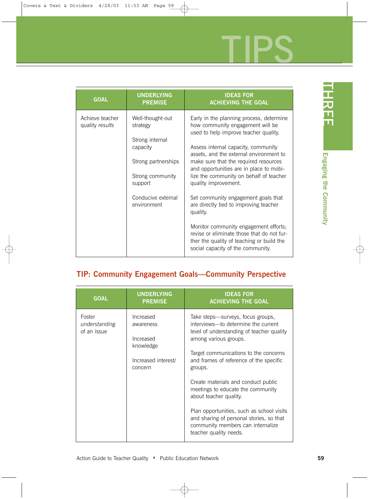| <b>GOAL</b>                        | UNDERLYING<br><b>PREMISE</b>                    | <b>IDEAS FOR</b><br><b>ACHIEVING THE GOAL</b>                                                                                                                         |
|------------------------------------|-------------------------------------------------|-----------------------------------------------------------------------------------------------------------------------------------------------------------------------|
| Achieve teacher<br>quality results | Well-thought-out<br>strategy<br>Strong internal | Early in the planning process, determine<br>how community engagement will be<br>used to help improve teacher quality.                                                 |
|                                    | capacity<br>Strong partnerships                 | Assess internal capacity, community<br>assets, and the external environment to<br>make sure that the required resources                                               |
|                                    | Strong community<br>support                     | and opportunities are in place to mobi-<br>lize the community on behalf of teacher<br>quality improvement.                                                            |
|                                    | Conducive external<br>environment               | Set community engagement goals that<br>are directly tied to improving teacher<br>quality.                                                                             |
|                                    |                                                 | Monitor community engagement efforts;<br>revise or eliminate those that do not fur-<br>ther the quality of teaching or build the<br>social capacity of the community. |

### **TIP: Community Engagement Goals—Community Perspective**

| <b>GOAL</b>                            | <b>UNDERLYING</b><br><b>PREMISE</b>                                                | <b>IDEAS FOR</b><br><b>ACHIEVING THE GOAL</b>                                                                                                                                                                                                 |
|----------------------------------------|------------------------------------------------------------------------------------|-----------------------------------------------------------------------------------------------------------------------------------------------------------------------------------------------------------------------------------------------|
| Foster<br>understanding<br>of an issue | Increased<br>awareness<br>Increased<br>knowledge<br>Increased interest/<br>concern | Take steps—surveys, focus groups,<br>interviews—to determine the current<br>level of understanding of teacher quality<br>among various groups.<br>Target communications to the concerns<br>and frames of reference of the specific<br>groups. |
|                                        |                                                                                    | Create materials and conduct public<br>meetings to educate the community<br>about teacher quality.                                                                                                                                            |
|                                        |                                                                                    | Plan opportunities, such as school visits<br>and sharing of personal stories, so that<br>community members can internalize<br>teacher quality needs.                                                                                          |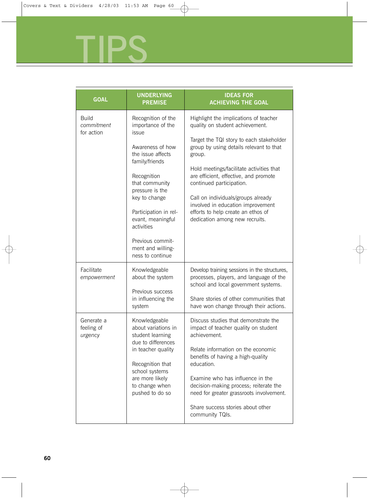| <b>GOAL</b>                              | <b>UNDERLYING</b><br><b>PREMISE</b>                                                                                                                                                                                                                   | <b>IDEAS FOR</b><br><b>ACHIEVING THE GOAL</b>                                                                                                                                                                                                                                                                                                                           |
|------------------------------------------|-------------------------------------------------------------------------------------------------------------------------------------------------------------------------------------------------------------------------------------------------------|-------------------------------------------------------------------------------------------------------------------------------------------------------------------------------------------------------------------------------------------------------------------------------------------------------------------------------------------------------------------------|
| <b>Build</b><br>commitment<br>for action | Recognition of the<br>importance of the<br>issue                                                                                                                                                                                                      | Highlight the implications of teacher<br>quality on student achievement.                                                                                                                                                                                                                                                                                                |
|                                          | Awareness of how<br>the issue affects<br>family/friends<br>Recognition<br>that community<br>pressure is the<br>key to change<br>Participation in rel-<br>evant, meaningful<br>activities<br>Previous commit-<br>ment and willing-<br>ness to continue | Target the TQI story to each stakeholder<br>group by using details relevant to that<br>group.<br>Hold meetings/facilitate activities that<br>are efficient, effective, and promote<br>continued participation.<br>Call on individuals/groups already<br>involved in education improvement<br>efforts to help create an ethos of<br>dedication among new recruits.       |
| Facilitate<br>empowerment                | Knowledgeable<br>about the system<br>Previous success<br>in influencing the<br>system                                                                                                                                                                 | Develop training sessions in the structures,<br>processes, players, and language of the<br>school and local government systems.<br>Share stories of other communities that<br>have won change through their actions.                                                                                                                                                    |
| Generate a<br>feeling of<br>urgency      | Knowledgeable<br>about variations in<br>student learning<br>due to differences<br>in teacher quality<br>Recognition that<br>school systems<br>are more likely<br>to change when<br>pushed to do so                                                    | Discuss studies that demonstrate the<br>impact of teacher quality on student<br>achievement.<br>Relate information on the economic<br>benefits of having a high-quality<br>education.<br>Examine who has influence in the<br>decision-making process; reiterate the<br>need for greater grassroots involvement.<br>Share success stories about other<br>community TQIs. |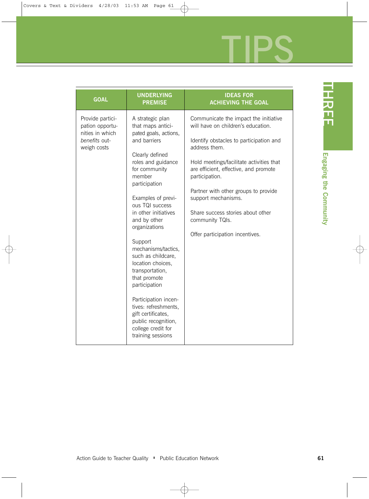| <b>GOAL</b>                                                                            | <b>UNDERLYING</b><br><b>PREMISE</b>                                                                                                                                                                                                                                                                                                                                                                                                                                                                                                            | <b>IDEAS FOR</b><br><b>ACHIEVING THE GOAL</b>                                                                                                                                                                                                                                                                                                                                                            |
|----------------------------------------------------------------------------------------|------------------------------------------------------------------------------------------------------------------------------------------------------------------------------------------------------------------------------------------------------------------------------------------------------------------------------------------------------------------------------------------------------------------------------------------------------------------------------------------------------------------------------------------------|----------------------------------------------------------------------------------------------------------------------------------------------------------------------------------------------------------------------------------------------------------------------------------------------------------------------------------------------------------------------------------------------------------|
| Provide partici-<br>pation opportu-<br>nities in which<br>benefits out-<br>weigh costs | A strategic plan<br>that maps antici-<br>pated goals, actions,<br>and barriers<br>Clearly defined<br>roles and guidance<br>for community<br>member<br>participation<br>Examples of previ-<br>ous TQI success<br>in other initiatives<br>and by other<br>organizations<br>Support<br>mechanisms/tactics,<br>such as childcare,<br>location choices,<br>transportation,<br>that promote<br>participation<br>Participation incen-<br>tives: refreshments,<br>gift certificates,<br>public recognition,<br>college credit for<br>training sessions | Communicate the impact the initiative<br>will have on children's education.<br>Identify obstacles to participation and<br>address them.<br>Hold meetings/facilitate activities that<br>are efficient, effective, and promote<br>participation.<br>Partner with other groups to provide<br>support mechanisms.<br>Share success stories about other<br>community TQIs.<br>Offer participation incentives. |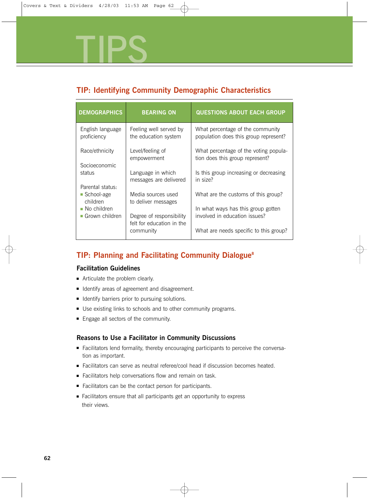### **TIP: Identifying Community Demographic Characteristics**

| <b>DEMOGRAPHICS</b>           | <b>BEARING ON</b>                         | <b>QUESTIONS ABOUT EACH GROUP</b>      |
|-------------------------------|-------------------------------------------|----------------------------------------|
| English language              | Feeling well served by                    | What percentage of the community       |
| proficiency                   | the education system                      | population does this group represent?  |
| Race/ethnicity                | Level/feeling of                          | What percentage of the voting popula-  |
| Socioeconomic                 | empowerment                               | tion does this group represent?        |
| status                        | Language in which                         | Is this group increasing or decreasing |
| Parental status:              | messages are delivered                    | in size?                               |
| ■ School-age<br>children      | Media sources used<br>to deliver messages | What are the customs of this group?    |
| $\blacksquare$ No children    | Degree of responsibility                  | In what ways has this group gotten     |
| $\blacksquare$ Grown children | felt for education in the                 | involved in education issues?          |
|                               | community                                 | What are needs specific to this group? |

### **TIP: Planning and Facilitating Community Dialogue8**

### **Facilitation Guidelines**

TIPS

- Articulate the problem clearly.
- Identify areas of agreement and disagreement.
- Identify barriers prior to pursuing solutions.
- Use existing links to schools and to other community programs.
- Engage all sectors of the community.

### **Reasons to Use a Facilitator in Community Discussions**

- Facilitators lend formality, thereby encouraging participants to perceive the conversation as important.
- Facilitators can serve as neutral referee/cool head if discussion becomes heated.
- Facilitators help conversations flow and remain on task.
- Facilitators can be the contact person for participants.
- Facilitators ensure that all participants get an opportunity to express their views.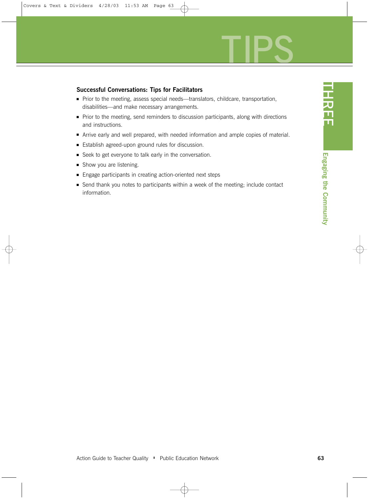# TIPS

#### **Successful Conversations: Tips for Facilitators**

- Prior to the meeting, assess special needs—translators, childcare, transportation, disabilities—and make necessary arrangements.
- Prior to the meeting, send reminders to discussion participants, along with directions and instructions.
- Arrive early and well prepared, with needed information and ample copies of material.
- Establish agreed-upon ground rules for discussion.
- Seek to get everyone to talk early in the conversation.
- Show you are listening.
- Engage participants in creating action-oriented next steps
- Send thank you notes to participants within a week of the meeting; include contact information.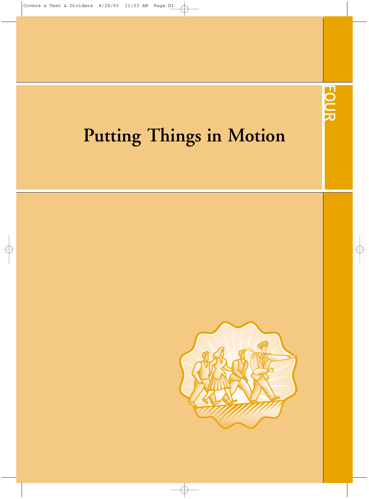### **Putting Things in Motion**



**FOUR**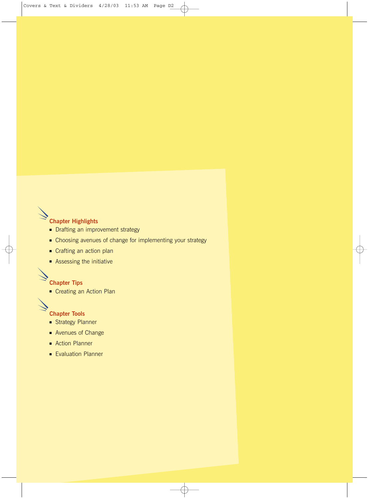#### **Chapter Highlights**

- Drafting an improvement strategy
- Choosing avenues of change for implementing your strategy
- Crafting an action plan
- Assessing the initiative

#### **Chapter Tips**

■ Creating an Action Plan

#### **Chapter Tools**

- Strategy Planner
- Avenues of Change
- Action Planner
- Evaluation Planner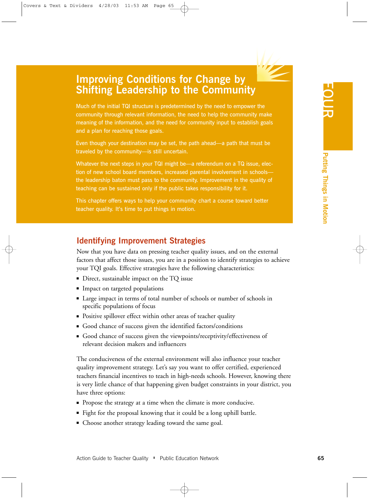### **Improving Conditions for Change by Shifting Leadership to the Community**

Much of the initial TQI structure is predetermined by the need to empower the community through relevant information, the need to help the community make meaning of the information, and the need for community input to establish goals and a plan for reaching those goals.

Even though your destination may be set, the path ahead—a path that must be traveled by the community—is still uncertain.

Whatever the next steps in your TQI might be—a referendum on a TQ issue, election of new school board members, increased parental involvement in schools the leadership baton must pass to the community. Improvement in the quality of teaching can be sustained only if the public takes responsibility for it.

This chapter offers ways to help your community chart a course toward better teacher quality. It's time to put things in motion.

#### **Identifying Improvement Strategies**

Now that you have data on pressing teacher quality issues, and on the external factors that affect those issues, you are in a position to identify strategies to achieve your TQI goals. Effective strategies have the following characteristics:

- Direct, sustainable impact on the TQ issue
- Impact on targeted populations
- Large impact in terms of total number of schools or number of schools in specific populations of focus
- Positive spillover effect within other areas of teacher quality
- Good chance of success given the identified factors/conditions
- Good chance of success given the viewpoints/receptivity/effectiveness of relevant decision makers and influencers

The conduciveness of the external environment will also influence your teacher quality improvement strategy. Let's say you want to offer certified, experienced teachers financial incentives to teach in high-needs schools. However, knowing there is very little chance of that happening given budget constraints in your district, you have three options: **Shifting Leadership to the Community**<br>
Noth et the nails TOI structure is peddetermined by the east to empower frequenties and the method of the network included in the reacher Construction Network **FOUR CONSTAN CONSTAN** 

- Propose the strategy at a time when the climate is more conducive.
- Fight for the proposal knowing that it could be a long uphill battle.
- Choose another strategy leading toward the same goal.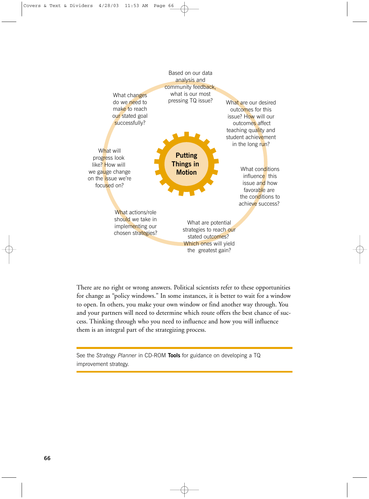

There are no right or wrong answers. Political scientists refer to these opportunities for change as "policy windows." In some instances, it is better to wait for a window to open. In others, you make your own window or find another way through. You and your partners will need to determine which route offers the best chance of success. Thinking through who you need to influence and how you will influence them is an integral part of the strategizing process.

See the *Strategy Planner* in CD-ROM **Tools** for guidance on developing a TQ improvement strategy.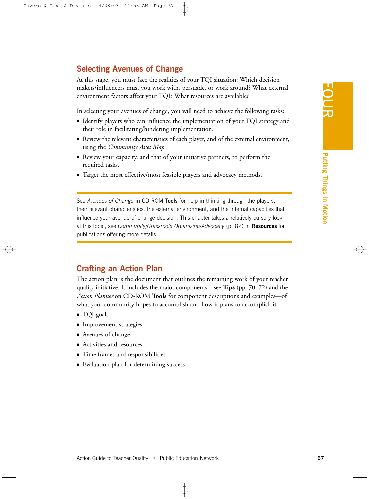### **Selecting Avenues of Change**

At this stage, you must face the realities of your TQI situation: Which decision makers/influencers must you work with, persuade, or work around? What external environment factors affect your TQI? What resources are available?

In selecting your avenues of change, you will need to achieve the following tasks:

- Identify players who can influence the implementation of your TQI strategy and their role in facilitating/hindering implementation.
- Review the relevant characteristics of each player, and of the external environment, using the *Community Asset Map*.
- Review your capacity, and that of your initiative partners, to perform the required tasks.
- Target the most effective/most feasible players and advocacy methods.

See *Avenues of Change* in CD-ROM **Tools** for help in thinking through the players, their relevant characteristics, the external environment, and the internal capacities that influence your avenue-of-change decision. This chapter takes a relatively cursory look at this topic; see *Community/Grassroots Organizing/Advocacy* (p. 82) in **Resources** for publications offering more details. Interofunduations make you wholk poising on the and controll with the mondant weaker of the public to the Teacher Definition of your TQ1 strategy transfer to the Holidary Hopes who can influence the intellection of the se

### **Crafting an Action Plan**

The action plan is the document that outlines the remaining work of your teacher quality initiative. It includes the major components—see **Tips** (pp. 70–72) and the *Action Planner* on CD-ROM **Tools** for component descriptions and examples—of what your community hopes to accomplish and how it plans to accomplish it:

- TQI goals
- Improvement strategies
- Avenues of change
- Activities and resources
- Time frames and responsibilities
- Evaluation plan for determining success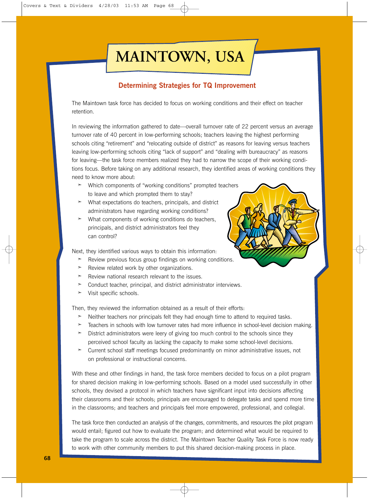### **MAINTOWN, USA**

#### **Determining Strategies for TQ Improvement**

The Maintown task force has decided to focus on working conditions and their effect on teacher retention.

In reviewing the information gathered to date—overall turnover rate of 22 percent versus an average turnover rate of 40 percent in low-performing schools; teachers leaving the highest performing schools citing "retirement" and "relocating outside of district" as reasons for leaving versus teachers leaving low-performing schools citing "lack of support" and "dealing with bureaucracy" as reasons for leaving—the task force members realized they had to narrow the scope of their working conditions focus. Before taking on any additional research, they identified areas of working conditions they need to know more about:

- ➣ Which components of "working conditions" prompted teachers to leave and which prompted them to stay?
- ➣ What expectations do teachers, principals, and district administrators have regarding working conditions?
- ➣ What components of working conditions do teachers, principals, and district administrators feel they can control?

Next, they identified various ways to obtain this information:

- ➣ Review previous focus group findings on working conditions.
- ➣ Review related work by other organizations.
- ➣ Review national research relevant to the issues.
- ➣ Conduct teacher, principal, and district administrator interviews.
- ➣ Visit specific schools.

Then, they reviewed the information obtained as a result of their efforts:

- ➣ Neither teachers nor principals felt they had enough time to attend to required tasks.
- ➣ Teachers in schools with low turnover rates had more influence in school-level decision making.
- ➣ District administrators were leery of giving too much control to the schools since they perceived school faculty as lacking the capacity to make some school-level decisions.
- ➣ Current school staff meetings focused predominantly on minor administrative issues, not on professional or instructional concerns.

With these and other findings in hand, the task force members decided to focus on a pilot program for shared decision making in low-performing schools. Based on a model used successfully in other schools, they devised a protocol in which teachers have significant input into decisions affecting their classrooms and their schools; principals are encouraged to delegate tasks and spend more time in the classrooms; and teachers and principals feel more empowered, professional, and collegial.

The task force then conducted an analysis of the changes, commitments, and resources the pilot program would entail; figured out how to evaluate the program; and determined what would be required to take the program to scale across the district. The Maintown Teacher Quality Task Force is now ready to work with other community members to put this shared decision-making process in place.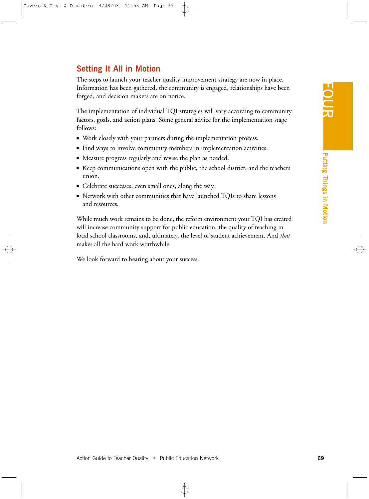### **Setting It All in Motion**

The steps to launch your teacher quality improvement strategy are now in place. Information has been gathered, the community is engaged, relationships have been forged, and decision makers are on notice.

The implementation of individual TQI strategies will vary according to community factors, goals, and action plans. Some general advice for the implementation stage follows:

- Work closely with your partners during the implementation process.
- Find ways to involve community members in implementation activities.
- Measure progress regularly and revise the plan as needed.
- Keep communications open with the public, the school district, and the teachers union.
- Celebrate successes, even small ones, along the way.
- Network with other communities that have launched TQIs to share lessons and resources.

While much work remains to be done, the reform environment your TQI has created will increase community support for public education, the quality of teaching in local school classrooms, and, ultimately, the level of student achievement. And *that* makes all the hard work worthwhile. Information has been gathered, the community is engaged, relationships have been<br>foregrl, and decision makers are on notice.<br>The implementation of individual TQI strategies will vary according to community<br>finding, goals,

We look forward to hearing about your success.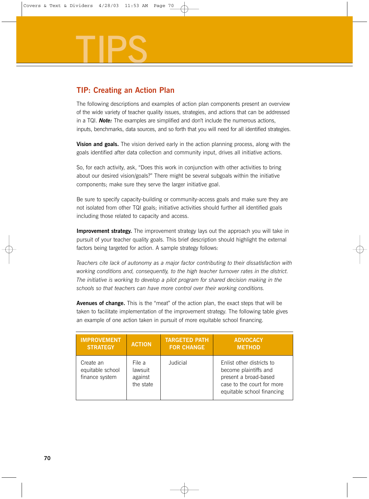

#### **TIP: Creating an Action Plan**

The following descriptions and examples of action plan components present an overview of the wide variety of teacher quality issues, strategies, and actions that can be addressed in a TQI. *Note:* The examples are simplified and don't include the numerous actions, inputs, benchmarks, data sources, and so forth that you will need for all identified strategies.

**Vision and goals.** The vision derived early in the action planning process, along with the goals identified after data collection and community input, drives all initiative actions.

So, for each activity, ask, "Does this work in conjunction with other activities to bring about our desired vision/goals?" There might be several subgoals within the initiative components; make sure they serve the larger initiative goal.

Be sure to specify capacity-building or community-access goals and make sure they are not isolated from other TQI goals; initiative activities should further all identified goals including those related to capacity and access.

**Improvement strategy.** The improvement strategy lays out the approach you will take in pursuit of your teacher quality goals. This brief description should highlight the external factors being targeted for action. A sample strategy follows:

*Teachers cite lack of autonomy as a major factor contributing to their dissatisfaction with working conditions and, consequently, to the high teacher turnover rates in the district. The initiative is working to develop a pilot program for shared decision making in the schools so that teachers can have more control over their working conditions.*

**Avenues of change.** This is the "meat" of the action plan, the exact steps that will be taken to facilitate implementation of the improvement strategy. The following table gives an example of one action taken in pursuit of more equitable school financing.

| <b>IMPROVEMENT</b>                              | <b>ACTION</b>                             | <b>TARGETED PATH</b> | <b>ADVOCACY</b>                                                                                                                         |
|-------------------------------------------------|-------------------------------------------|----------------------|-----------------------------------------------------------------------------------------------------------------------------------------|
| <b>STRATEGY</b>                                 |                                           | <b>FOR CHANGE</b>    | <b>METHOD</b>                                                                                                                           |
| Create an<br>equitable school<br>finance system | File a<br>lawsuit<br>against<br>the state | Judicial             | Enlist other districts to<br>become plaintiffs and<br>present a broad-based<br>case to the court for more<br>equitable school financing |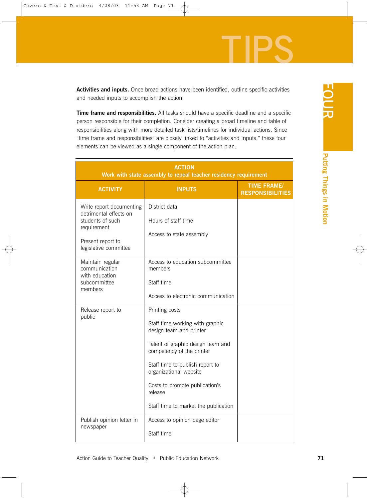## TIPS

Activities and inputs. Once broad actions have been identified, outline specific activities and needed inputs to accomplish the action.

**Time frame and responsibilities.** All tasks should have a specific deadline and a specific person responsible for their completion. Consider creating a broad timeline and table of responsibilities along with more detailed task lists/timelines for individual actions. Since "time frame and responsibilities" are closely linked to "activities and inputs," these four elements can be viewed as a single component of the action plan.

| <b>ACTION</b><br>Work with state assembly to repeal teacher residency requirement                                                   |                                                                                                                                                                                                                                                                                                  |                                               |
|-------------------------------------------------------------------------------------------------------------------------------------|--------------------------------------------------------------------------------------------------------------------------------------------------------------------------------------------------------------------------------------------------------------------------------------------------|-----------------------------------------------|
| <b>ACTIVITY</b>                                                                                                                     | <b>INPUTS</b>                                                                                                                                                                                                                                                                                    | <b>TIME FRAME/</b><br><b>RESPONSIBILITIES</b> |
| Write report documenting<br>detrimental effects on<br>students of such<br>requirement<br>Present report to<br>legislative committee | District data<br>Hours of staff time<br>Access to state assembly                                                                                                                                                                                                                                 |                                               |
| Maintain regular<br>communication<br>with education<br>subcommittee<br>members                                                      | Access to education subcommittee<br>members<br>Staff time<br>Access to electronic communication                                                                                                                                                                                                  |                                               |
| Release report to<br>public                                                                                                         | Printing costs<br>Staff time working with graphic<br>design team and printer<br>Talent of graphic design team and<br>competency of the printer<br>Staff time to publish report to<br>organizational website<br>Costs to promote publication's<br>release<br>Staff time to market the publication |                                               |
| Publish opinion letter in<br>newspaper                                                                                              | Access to opinion page editor<br>Staff time                                                                                                                                                                                                                                                      |                                               |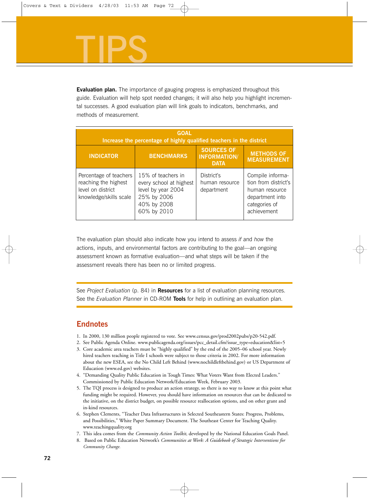

**Evaluation plan.** The importance of gauging progress is emphasized throughout this guide. Evaluation will help spot needed changes; it will also help you highlight incremental successes. A good evaluation plan will link goals to indicators, benchmarks, and methods of measurement.

| <b>GOAL</b><br>Increase the percentage of highly qualified teachers in the district           |                                                                                                                  |                                                         |                                                                                                               |
|-----------------------------------------------------------------------------------------------|------------------------------------------------------------------------------------------------------------------|---------------------------------------------------------|---------------------------------------------------------------------------------------------------------------|
| <b>INDICATOR</b>                                                                              | <b>BENCHMARKS</b>                                                                                                | <b>SOURCES OF</b><br><b>INFORMATION/</b><br><b>DATA</b> | <b>METHODS OF</b><br><b>MEASUREMENT</b>                                                                       |
| Percentage of teachers<br>reaching the highest<br>level on district<br>knowledge/skills scale | 15% of teachers in<br>every school at highest<br>level by year 2004<br>25% by 2006<br>40% by 2008<br>60% by 2010 | District's<br>human resource<br>department              | Compile informa-<br>tion from district's<br>human resource<br>department into<br>categories of<br>achievement |

The evaluation plan should also indicate how you intend to assess *if* and *how* the actions, inputs, and environmental factors are contributing to the goal—an ongoing assessment known as formative evaluation—and what steps will be taken if the assessment reveals there has been no or limited progress.

See *Project Evaluation* (p. 84) in **Resources** for a list of evaluation planning resources. See the *Evaluation Planner* in CD-ROM **Tools** for help in outlining an evaluation plan.

#### **Endnotes**

- 1. In 2000, 130 million people registered to vote. See www.census.gov/prod2002pubs/p20-542.pdf.
- 2. See Public Agenda Online. www.publicagenda.org/issues/pcc\_detail.cfm?issue\_type=education&list=5
- 3. Core academic area teachers must be "highly qualified" by the end of the 2005–06 school year. Newly hired teachers teaching in Title I schools were subject to those criteria in 2002. For more information about the new ESEA, see the No Child Left Behind (www.nochildleftbehind.gov) or US Department of Education (www.ed.gov) websites.
- 4. "Demanding Quality Public Education in Tough Times: What Voters Want from Elected Leaders." Commissioned by Public Education Network/Education Week, February 2003.
- 5. The TQI process is designed to produce an action strategy, so there is no way to know at this point what funding might be required. However, you should have information on resources that can be dedicated to the initiative, on the district budget, on possible resource reallocation options, and on other grant and in-kind resources.
- 6. Stephen Clements, "Teacher Data Infrastructures in Selected Southeastern States: Progress, Problems, and Possibilities," White Paper Summary Document. The Southeast Center for Teaching Quality. www.teachingquality.org
- 7. This idea comes from the *Community Action Toolkit,* developed by the National Education Goals Panel.
- 8. Based on Public Education Network's *Communities at Work: A Guidebook of Strategic Interventions for Community Change.*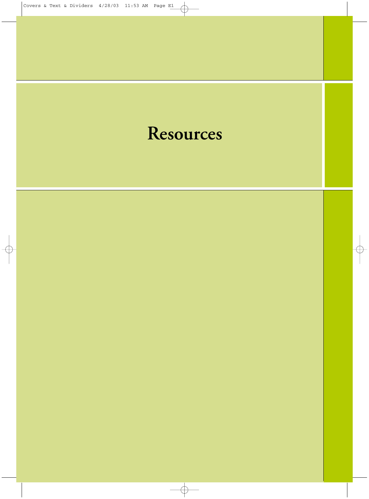### **Resources**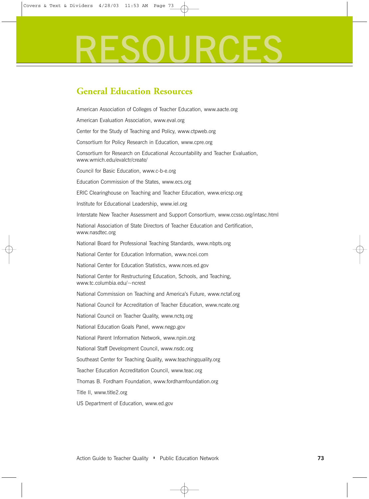### **General Education Resources**

American Association of Colleges of Teacher Education, www.aacte.org American Evaluation Association, www.eval.org Center for the Study of Teaching and Policy, www.ctpweb.org Consortium for Policy Research in Education, www.cpre.org Consortium for Research on Educational Accountability and Teacher Evaluation, www.wmich.edu/evalctr/create/ Council for Basic Education, www.c-b-e.org Education Commission of the States, www.ecs.org ERIC Clearinghouse on Teaching and Teacher Education, www.ericsp.org Institute for Educational Leadership, www.iel.org Interstate New Teacher Assessment and Support Consortium, www.ccsso.org/intasc.html National Association of State Directors of Teacher Education and Certification, www.nasdtec.org National Board for Professional Teaching Standards, www.nbpts.org National Center for Education Information, www.ncei.com National Center for Education Statistics, www.nces.ed.gov National Center for Restructuring Education, Schools, and Teaching, www.tc.columbia.edu/~ncrest National Commission on Teaching and America's Future, www.nctaf.org National Council for Accreditation of Teacher Education, www.ncate.org National Council on Teacher Quality, www.nctq.org National Education Goals Panel, www.negp.gov National Parent Information Network, www.npin.org National Staff Development Council, www.nsdc.org Southeast Center for Teaching Quality, www.teachingquality.org Teacher Education Accreditation Council, www.teac.org Thomas B. Fordham Foundation, www.fordhamfoundation.org Title II, www.title2.org US Department of Education, www.ed.gov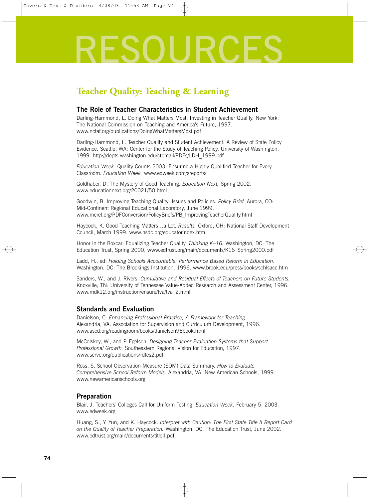### **Teacher Quality: Teaching & Learning**

#### **The Role of Teacher Characteristics in Student Achievement**

Darling-Hammond, L. Doing What Matters Most: Investing in Teacher Quality. New York: The National Commission on Teaching and America's Future, 1997. www.nctaf.org/publications/DoingWhatMattersMost.pdf

Darling-Hammond, L. Teacher Quality and Student Achievement: A Review of State Policy Evidence. Seattle, WA: Center for the Study of Teaching Policy, University of Washington, 1999. http://depts.washington.edu/ctpmail/PDFs/LDH\_1999.pdf

*Education Week.* Quality Counts 2003: Ensuring a Highly Qualified Teacher for Every Classroom. *Education Week.* www.edweek.com/sreports/

Goldhaber, D. The Mystery of Good Teaching. *Education Next,* Spring 2002. www.educationnext.org/20021/50.html

Goodwin, B. Improving Teaching Quality: Issues and Policies. *Policy Brief.* Aurora, CO: Mid-Continent Regional Educational Laboratory, June 1999. www.mcrel.org/PDFConversion/PolicyBriefs/PB\_ImprovingTeacherQuality.html

Haycock, K. Good Teaching Matters…a Lot. *Results.* Oxford, OH: National Staff Development Council, March 1999. www.nsdc.org/educatorindex.htm

Honor in the Boxcar: Equalizing Teacher Quality. *Thinking K–16.* Washington, DC: The Education Trust, Spring 2000. www.edtrust.org/main/documents/K16\_Spring2000.pdf

Ladd, H., ed. *Holding Schools Accountable: Performance Based Reform in Education.* Washington, DC: The Brookings Institution, 1996. www.brook.edu/press/books/schlsacc.htm

Sanders, W., and J. Rivers. *Cumulative and Residual Effects of Teachers on Future Students.* Knoxville, TN: University of Tennessee Value-Added Research and Assessment Center, 1996. www.mdk12.org/instruction/ensure/tva/tva\_2.html

#### **Standards and Evaluation**

Danielson, C. *Enhancing Professional Practice, A Framework for Teaching.* Alexandria, VA: Association for Supervision and Curriculum Development, 1996. www.ascd.org/readingroom/books/danielson96book.html

McColskey, W., and P. Egelson. *Designing Teacher Evaluation Systems that Support Professional Growth.* Southeastern Regional Vision for Education, 1997. www.serve.org/publications/rdtes2.pdf

Ross, S. School Observation Measure (SOM) Data Summary. *How to Evaluate Comprehensive School Reform Models.* Alexandria, VA: New American Schools, 1999. www.newamericanschools.org

#### **Preparation**

Blair, J. Teachers' Colleges Call for Uniform Testing. *Education Week,* February 5, 2003. www.edweek.org

Huang, S., Y. Yun, and K. Haycock. *Interpret with Caution: The First State Title II Report Card on the Quality of Teacher Preparation.* Washington, DC: The Education Trust, June 2002. www.edtrust.org/main/documents/titleII.pdf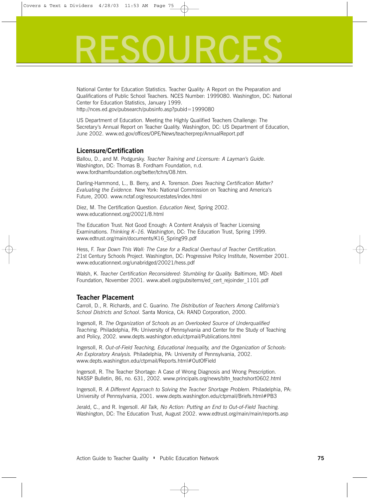National Center for Education Statistics. Teacher Quality: A Report on the Preparation and Qualifications of Public School Teachers. NCES Number: 1999080. Washington, DC: National Center for Education Statistics, January 1999. http://nces.ed.gov/pubsearch/pubsinfo.asp?pubid=1999080

US Department of Education. Meeting the Highly Qualified Teachers Challenge: The Secretary's Annual Report on Teacher Quality. Washington, DC: US Department of Education, June 2002. www.ed.gov/offices/OPE/News/teacherprep/AnnualReport.pdf

#### **Licensure/Certification**

Ballou, D., and M. Podgursky. *Teacher Training and Licensure: A Layman's Guide.* Washington, DC: Thomas B. Fordham Foundation, n.d. www.fordhamfoundation.org/better/tchrs/08.htm.

Darling-Hammond, L., B. Berry, and A. Torenson. *Does Teaching Certification Matter? Evaluating the Evidence.* New York: National Commission on Teaching and America's Future, 2000. www.nctaf.org/resourcestates/index.html

Diez, M. The Certification Question. *Education Next,* Spring 2002. www.educationnext.org/20021/8.html

The Education Trust. Not Good Enough: A Content Analysis of Teacher Licensing Examinations. *Thinking K–16.* Washington, DC: The Education Trust, Spring 1999. www.edtrust.org/main/documents/K16\_Spring99.pdf

Hess, F. *Tear Down This Wall: The Case for a Radical Overhaul of Teacher Certification.* 21st Century Schools Project. Washington, DC: Progressive Policy Institute, November 2001. www.educationnext.org/unabridged/20021/hess.pdf

Walsh, K. *Teacher Certification Reconsidered: Stumbling for Quality.* Baltimore, MD: Abell Foundation, November 2001. www.abell.org/pubsitems/ed\_cert\_rejoinder\_1101.pdf

#### **Teacher Placement**

Carroll, D., R. Richards, and C. Guarino. *The Distribution of Teachers Among California's School Districts and School.* Santa Monica, CA: RAND Corporation, 2000.

Ingersoll, R. *The Organization of Schools as an Overlooked Source of Underqualified Teaching.* Philadelphia, PA: University of Pennsylvania and Center for the Study of Teaching and Policy, 2002. www.depts.washington.edu/ctpmail/Publications.html

Ingersoll, R. *Out-of-Field Teaching, Educational Inequality, and the Organization of Schools: An Exploratory Analysis.* Philadelphia, PA: University of Pennsylvania, 2002. www.depts.washington.edu/ctpmail/Reports.html#OutOfField

Ingersoll, R. The Teacher Shortage: A Case of Wrong Diagnosis and Wrong Prescription. NASSP Bulletin, 86, no. 631, 2002. www.principals.org/news/bltn\_teachshort0602.html

Ingersoll, R. *A Different Approach to Solving the Teacher Shortage Problem.* Philadelphia, PA: University of Pennsylvania, 2001. www.depts.washington.edu/ctpmail/Briefs.html#PB3

Jerald, C., and R. Ingersoll. *All Talk, No Action: Putting an End to Out-of-Field Teaching.* Washington, DC: The Education Trust, August 2002. www.edtrust.org/main/main/reports.asp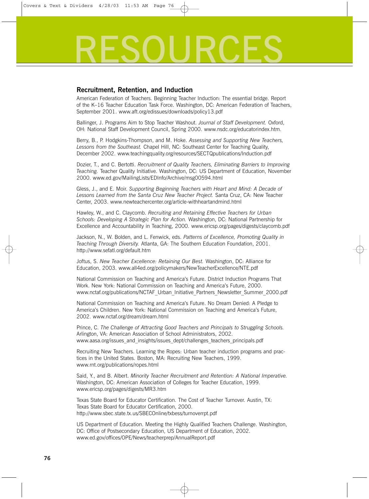#### **Recruitment, Retention, and Induction**

American Federation of Teachers. Beginning Teacher Induction: The essential bridge. Report of the K–16 Teacher Education Task Force. Washington, DC: American Federation of Teachers, September 2001. www.aft.org/edissues/downloads/policy13.pdf

Ballinger, J. Programs Aim to Stop Teacher Washout. *Journal of Staff Development.* Oxford, OH: National Staff Development Council, Spring 2000. www.nsdc.org/educatorindex.htm.

Berry, B., P. Hodgkins-Thompson, and M. Hoke. *Assessing and Supporting New Teachers, Lessons from the Southeast.* Chapel Hill, NC: Southeast Center for Teaching Quality, December 2002. www.teachingquality.org/resources/SECTQpublications/Induction.pdf

Dozier, T., and C. Bertotti. *Recruitment of Quality Teachers, Eliminating Barriers to Improving Teaching.* Teacher Quality Initiative. Washington, DC: US Department of Education, November 2000. www.ed.gov/MailingLists/EDInfo/Archive/msg00594.html

Gless, J., and E. Moir. *Supporting Beginning Teachers with Heart and Mind: A Decade of Lessons Learned from the Santa Cruz New Teacher Project.* Santa Cruz, CA: New Teacher Center, 2003. www.newteachercenter.org/article-withheartandmind.html

Hawley, W., and C. Claycomb. *Recruiting and Retaining Effective Teachers for Urban Schools: Developing A Strategic Plan for Action.* Washington, DC: National Partnership for Excellence and Accountability in Teaching, 2000. www.ericsp.org/pages/digests/claycomb.pdf

Jackson, N., W. Bolden, and L. Fenwick, eds. *Patterns of Excellence, Promoting Quality in Teaching Through Diversity.* Atlanta, GA: The Southern Education Foundation, 2001. http://www.sefatl.org/default.htm

Joftus, S. *New Teacher Excellence: Retaining Our Best.* Washington, DC: Alliance for Education, 2003. www.all4ed.org/policymakers/NewTeacherExcellence/NTE.pdf

National Commission on Teaching and America's Future. District Induction Programs That Work. New York: National Commission on Teaching and America's Future, 2000. www.nctaf.org/publications/NCTAF\_Urban\_Initiative\_Partners\_Newsletter\_Summer\_2000.pdf

National Commission on Teaching and America's Future. No Dream Denied: A Pledge to America's Children. New York: National Commission on Teaching and America's Future, 2002. www.nctaf.org/dream/dream.html

Prince, C. *The Challenge of Attracting Good Teachers and Principals to Struggling Schools.* Arlington, VA: American Association of School Administrators, 2002. www.aasa.org/issues\_and\_insights/issues\_dept/challenges\_teachers\_principals.pdf

Recruiting New Teachers. Learning the Ropes: Urban teacher induction programs and practices in the United States. Boston, MA: Recruiting New Teachers, 1999. www.rnt.org/publications/ropes.html

Said, Y., and B. Albert. *Minority Teacher Recruitment and Retention: A National Imperative.* Washington, DC: American Association of Colleges for Teacher Education, 1999. www.ericsp.org/pages/digests/MR3.htm

Texas State Board for Educator Certification. The Cost of Teacher Turnover. Austin, TX: Texas State Board for Educator Certification, 2000. http://www.sbec.state.tx.us/SBECOnline/txbess/turnoverrpt.pdf

US Department of Education. Meeting the Highly Qualified Teachers Challenge. Washington, DC: Office of Postsecondary Education, US Department of Education, 2002. www.ed.gov/offices/OPE/News/teacherprep/AnnualReport.pdf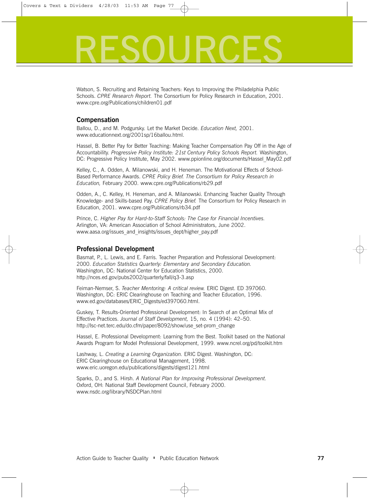Watson, S. Recruiting and Retaining Teachers: Keys to Improving the Philadelphia Public Schools. *CPRE Research Report.* The Consortium for Policy Research in Education, 2001. www.cpre.org/Publications/children01.pdf

#### **Compensation**

Ballou, D., and M. Podgursky. Let the Market Decide. *Education Next,* 2001. www.educationnext.org/2001sp/16ballou.html.

Hassel, B. Better Pay for Better Teaching: Making Teacher Compensation Pay Off in the Age of Accountability. *Progressive Policy Institute: 21st Century Policy Schools Report.* Washington, DC: Progressive Policy Institute, May 2002. www.ppionline.org/documents/Hassel\_May02.pdf

Kelley, C., A. Odden, A. Milanowski, and H. Heneman. The Motivational Effects of School-Based Performance Awards. *CPRE Policy Brief. The Consortium for Policy Research in Education,* February 2000. www.cpre.org/Publications/rb29.pdf

Odden, A., C. Kelley, H. Heneman, and A. Milanowski. Enhancing Teacher Quality Through Knowledge- and Skills-based Pay. *CPRE Policy Brief.* The Consortium for Policy Research in Education, 2001. www.cpre.org/Publications/rb34.pdf

Prince, C. *Higher Pay for Hard-to-Staff Schools: The Case for Financial Incentives.* Arlington, VA: American Association of School Administrators, June 2002. www.aasa.org/issues\_and\_insights/issues\_dept/higher\_pay.pdf

#### **Professional Development**

Basmat, P., L. Lewis, and E. Farris. Teacher Preparation and Professional Development: 2000. *Education Statistics Quarterly: Elementary and Secondary Education.* Washington, DC: National Center for Education Statistics, 2000. http://nces.ed.gov/pubs2002/quarterly/fall/q3-3.asp

Feiman-Nemser, S. *Teacher Mentoring: A critical review.* ERIC Digest. ED 397060. Washington, DC: ERIC Clearinghouse on Teaching and Teacher Education, 1996. www.ed.gov/databases/ERIC\_Digests/ed397060.html.

Guskey, T. Results-Oriented Professional Development: In Search of an Optimal Mix of Effective Practices. *Journal of Staff Development,* 15, no. 4 (1994): 42–50. http://lsc-net.terc.edu/do.cfm/paper/8092/show/use\_set-prom\_change

Hassel, E. Professional Development: Learning from the Best. Toolkit based on the National Awards Program for Model Professional Development, 1999. www.ncrel.org/pd/toolkit.htm

Lashway, L. *Creating a Learning Organization.* ERIC Digest. Washington, DC: ERIC Clearinghouse on Educational Management, 1998. www.eric.uoregon.edu/publications/digests/digest121.html

Sparks, D., and S. Hirsh. *A National Plan for Improving Professional Development.* Oxford, OH: National Staff Development Council, February 2000. www.nsdc.org/library/NSDCPlan.html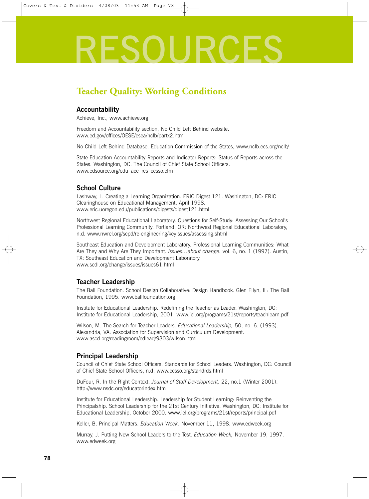### **Teacher Quality: Working Conditions**

#### **Accountability**

Achieve, Inc., www.achieve.org

Freedom and Accountability section, No Child Left Behind website. www.ed.gov/offices/OESE/esea/nclb/partx2.html

No Child Left Behind Database. Education Commission of the States, www.nclb.ecs.org/nclb/

State Education Accountability Reports and Indicator Reports: Status of Reports across the States. Washington, DC: The Council of Chief State School Officers. www.edsource.org/edu\_acc\_res\_ccsso.cfm

#### **School Culture**

Lashway, L. Creating a Learning Organization. ERIC Digest 121. Washington, DC: ERIC Clearinghouse on Educational Management, April 1998. www.eric.uoregon.edu/publications/digests/digest121.html

Northwest Regional Educational Laboratory. Questions for Self-Study: Assessing Our School's Professional Learning Community. Portland, OR: Northwest Regional Educational Laboratory, n.d. www.nwrel.org/scpd/re-engineering/keyissues/assessing.shtml

Southeast Education and Development Laboratory. Professional Learning Communities: What Are They and Why Are They Important. *Issues…about change.* vol. 6, no. 1 (1997). Austin, TX: Southeast Education and Development Laboratory. www.sedl.org/change/issues/issues61.html

#### **Teacher Leadership**

The Ball Foundation. School Design Collaborative: Design Handbook. Glen Ellyn, IL: The Ball Foundation, 1995. www.ballfoundation.org

Institute for Educational Leadership. Redefining the Teacher as Leader. Washington, DC: Institute for Educational Leadership, 2001. www.iel.org/programs/21st/reports/teachlearn.pdf

Wilson, M. The Search for Teacher Leaders. *Educational Leadership,* 50, no. 6. (1993). Alexandria, VA: Association for Supervision and Curriculum Development. www.ascd.org/readingroom/edlead/9303/wilson.html

#### **Principal Leadership**

Council of Chief State School Officers. Standards for School Leaders. Washington, DC: Council of Chief State School Officers, n.d. www.ccsso.org/standrds.html

DuFour, R. In the Right Context. *Journal of Staff Development,* 22, no.1 (Winter 2001). http://www.nsdc.org/educatorindex.htm

Institute for Educational Leadership. Leadership for Student Learning: Reinventing the Principalship. School Leadership for the 21st Century Initiative. Washington, DC: Institute for Educational Leadership, October 2000. www.iel.org/programs/21st/reports/principal.pdf

Keller, B. Principal Matters. *Education Week,* November 11, 1998. www.edweek.org

Murray, J. Putting New School Leaders to the Test. *Education Week,* November 19, 1997. www.edweek.org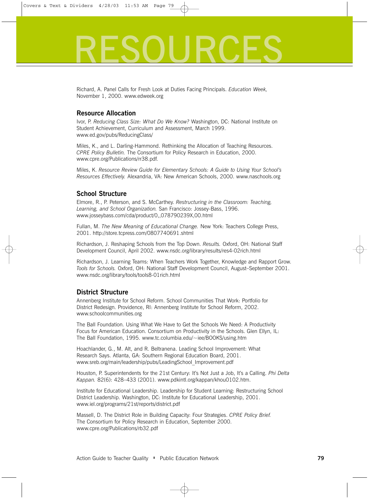Richard, A. Panel Calls for Fresh Look at Duties Facing Principals. *Education Week,* November 1, 2000. www.edweek.org

#### **Resource Allocation**

Ivor, P. *Reducing Class Size: What Do We Know?* Washington, DC: National Institute on Student Achievement, Curriculum and Assessment, March 1999. www.ed.gov/pubs/ReducingClass/

Miles, K., and L. Darling-Hammond. Rethinking the Allocation of Teaching Resources. *CPRE Policy Bulletin.* The Consortium for Policy Research in Education, 2000. www.cpre.org/Publications/rr38.pdf.

Miles, K. *Resource Review Guide for Elementary Schools: A Guide to Using Your School's Resources Effectively.* Alexandria, VA: New American Schools, 2000. www.naschools.org

#### **School Structure**

Elmore, R., P. Peterson, and S. McCarthey. *Restructuring in the Classroom: Teaching, Learning, and School Organization.* San Francisco: Jossey-Bass, 1996. www.josseybass.com/cda/product/0,,078790239X,00.html

Fullan, M. *The New Meaning of Educational Change.* New York: Teachers College Press, 2001. http://store.tcpress.com/0807740691.shtml

Richardson, J. Reshaping Schools from the Top Down. *Results.* Oxford, OH: National Staff Development Council, April 2002. www.nsdc.org/library/results/res4-02rich.html

Richardson, J. Learning Teams: When Teachers Work Together, Knowledge and Rapport Grow. *Tools for Schools.* Oxford, OH: National Staff Development Council, August–September 2001. www.nsdc.org/library/tools/tools8-01rich.html

#### **District Structure**

Annenberg Institute for School Reform. School Communities That Work: Portfolio for District Redesign. Providence, RI: Annenberg Institute for School Reform, 2002. www.schoolcommunities.org

The Ball Foundation. Using What We Have to Get the Schools We Need: A Productivity Focus for American Education. Consortium on Productivity in the Schools. Glen Ellyn, IL: The Ball Foundation, 1995. www.tc.columbia.edu/~iee/BOOKS/using.htm

Hoachlander, G., M. Alt, and R. Beltranena. Leading School Improvement: What Research Says. Atlanta, GA: Southern Regional Education Board, 2001. www.sreb.org/main/leadership/pubs/LeadingSchool\_Improvement.pdf

Houston, P. Superintendents for the 21st Century: It's Not Just a Job, It's a Calling. *Phi Delta Kappan.* 82(6): 428–433 (2001). www.pdkintl.org/kappan/khou0102.htm.

Institute for Educational Leadership. Leadership for Student Learning: Restructuring School District Leadership. Washington, DC: Institute for Educational Leadership, 2001. www.iel.org/programs/21st/reports/district.pdf

Massell, D. The District Role in Building Capacity: Four Strategies. *CPRE Policy Brief.* The Consortium for Policy Research in Education, September 2000. www.cpre.org/Publications/rb32.pdf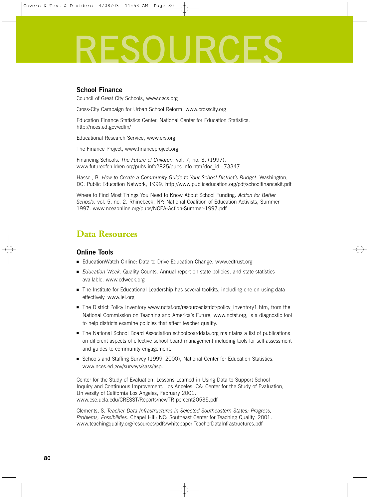#### **School Finance**

Council of Great City Schools, www.cgcs.org

Cross-City Campaign for Urban School Reform, www.crosscity.org

Education Finance Statistics Center, National Center for Education Statistics, http://nces.ed.gov/edfin/

Educational Research Service, www.ers.org

The Finance Project, www.financeproject.org

Financing Schools. *The Future of Children.* vol. 7, no. 3. (1997). www.futureofchildren.org/pubs-info2825/pubs-info.htm?doc\_id=73347

Hassel, B. *How to Create a Community Guide to Your School District's Budget.* Washington, DC: Public Education Network, 1999. http://www.publiceducation.org/pdf/schoolfinancekit.pdf

Where to Find Most Things You Need to Know About School Funding. *Action for Better Schools.* vol. 5, no. 2. Rhinebeck, NY: National Coalition of Education Activists, Summer 1997. www.nceaonline.org/pubs/NCEA-Action-Summer-1997.pdf

### **Data Resources**

#### **Online Tools**

- EducationWatch Online: Data to Drive Education Change. www.edtrust.org
- *Education Week.* Quality Counts. Annual report on state policies, and state statistics available. www.edweek.org
- The Institute for Educational Leadership has several toolkits, including one on using data effectively. www.iel.org
- The District Policy Inventory www.nctaf.org/resourcedistrict/policy inventory1.htm, from the National Commission on Teaching and America's Future, www.nctaf.org, is a diagnostic tool to help districts examine policies that affect teacher quality.
- The National School Board Association schoolboarddata.org maintains a list of publications on different aspects of effective school board management including tools for self-assessment and guides to community engagement.
- Schools and Staffing Survey (1999–2000), National Center for Education Statistics. www.nces.ed.gov/surveys/sass/asp.

Center for the Study of Evaluation. Lessons Learned in Using Data to Support School Inquiry and Continuous Improvement. Los Angeles: CA: Center for the Study of Evaluation, University of California Los Angeles, February 2001. www.cse.ucla.edu/CRESST/Reports/newTR percent20535.pdf

Clements, S. *Teacher Data Infrastructures in Selected Southeastern States: Progress, Problems, Possibilities.* Chapel Hill: NC: Southeast Center for Teaching Quality, 2001. www.teachingquality.org/resources/pdfs/whitepaper-TeacherDataInfrastructures.pdf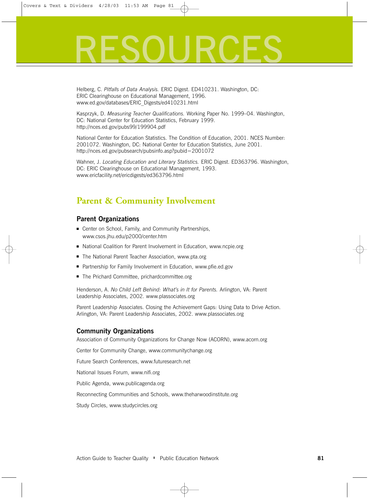Helberg, C. *Pitfalls of Data Analysis.* ERIC Digest. ED410231. Washington, DC: ERIC Clearinghouse on Educational Management, 1996. www.ed.gov/databases/ERIC\_Digests/ed410231.html

Kasprzyk, D. *Measuring Teacher Qualifications.* Working Paper No. 1999–04. Washington, DC: National Center for Education Statistics, February 1999. http://nces.ed.gov/pubs99/199904.pdf

National Center for Education Statistics. The Condition of Education, 2001. NCES Number: 2001072. Washington, DC: National Center for Education Statistics, June 2001. http://nces.ed.gov/pubsearch/pubsinfo.asp?pubid=2001072

Wahner, J. *Locating Education and Literary Statistics.* ERIC Digest. ED363796. Washington, DC: ERIC Clearinghouse on Educational Management, 1993. www.ericfacility.net/ericdigests/ed363796.html

### **Parent & Community Involvement**

#### **Parent Organizations**

- Center on School, Family, and Community Partnerships, www.csos.jhu.edu/p2000/center.htm
- National Coalition for Parent Involvement in Education, www.ncpie.org
- The National Parent Teacher Association, www.pta.org
- Partnership for Family Involvement in Education, www.pfie.ed.gov
- The Prichard Committee, prichardcommittee.org

Henderson, A. *No Child Left Behind: What's in It for Parents.* Arlington, VA: Parent Leadership Associates, 2002. www.plassociates.org

Parent Leadership Associates. Closing the Achievement Gaps: Using Data to Drive Action. Arlington, VA: Parent Leadership Associates, 2002. www.plassociates.org

#### **Community Organizations**

Association of Community Organizations for Change Now (ACORN), www.acorn.org

Center for Community Change, www.communitychange.org

Future Search Conferences, www.futuresearch.net

National Issues Forum, www.nifi.org

Public Agenda, www.publicagenda.org

Reconnecting Communities and Schools, www.theharwoodinstitute.org

Study Circles, www.studycircles.org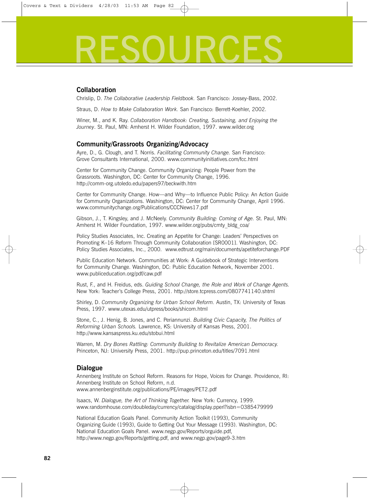#### **Collaboration**

Chrislip, D. *The Collaborative Leadership Fieldbook.* San Francisco: Jossey-Bass, 2002.

Straus, D. *How to Make Collaboration Work.* San Francisco: Berrett-Koehler, 2002.

Winer, M., and K. Ray. *Collaboration Handbook: Creating, Sustaining, and Enjoying the Journey*. St. Paul, MN: Amherst H. Wilder Foundation, 1997. www.wilder.org

#### **Community/Grassroots Organizing/Advocacy**

Ayre, D., G. Clough, and T. Norris. *Facilitating Community Change.* San Francisco: Grove Consultants International, 2000. www.communityinitiatives.com/fcc.html

Center for Community Change. Community Organizing: People Power from the Grassroots. Washington, DC: Center for Community Change, 1996. http://comm-org.utoledo.edu/papers97/beckwith.htm

Center for Community Change. How—and Why—to Influence Public Policy: An Action Guide for Community Organizations. Washington, DC: Center for Community Change, April 1996. www.communitychange.org/Publications/CCCNews17.pdf

Gibson, J., T. Kingsley, and J. McNeely. *Community Building: Coming of Age.* St. Paul, MN: Amherst H. Wilder Foundation, 1997. www.wilder.org/pubs/cmty\_bldg\_coa/

Policy Studies Associates, Inc. Creating an Appetite for Change: Leaders' Perspectives on Promoting K–16 Reform Through Community Collaboration [SR0001]. Washington, DC: Policy Studies Associates, Inc., 2000. www.edtrust.org/main/documents/apetiteforchange.PDF

Public Education Network. Communities at Work: A Guidebook of Strategic Interventions for Community Change. Washington, DC: Public Education Network, November 2001. www.publiceducation.org/pdf/caw.pdf

Rust, F., and H. Freidus, eds. *Guiding School Change, the Role and Work of Change Agents.* New York: Teacher's College Press, 2001. http://store.tcpress.com/0807741140.shtml

Shirley, D. *Community Organizing for Urban School Reform.* Austin, TX: University of Texas Press, 1997. www.utexas.edu/utpress/books/shicom.html

Stone, C., J. Henig, B. Jones, and C. Periannunzi. *Building Civic Capacity, The Politics of Reforming Urban Schools.* Lawrence, KS: University of Kansas Press, 2001. http://www.kansaspress.ku.edu/stobui.html

Warren, M. *Dry Bones Rattling: Community Building to Revitalize American Democracy.* Princeton, NJ: University Press, 2001. http://pup.princeton.edu/titles/7091.html

#### **Dialogue**

Annenberg Institute on School Reform. Reasons for Hope, Voices for Change. Providence, RI: Annenberg Institute on School Reform, n.d. www.annenberginstitute.org/publications/PE/images/PET2.pdf

Isaacs, W. *Dialogue, the Art of Thinking Together.* New York: Currency, 1999. www.randomhouse.com/doubleday/currency/catalog/display.pperl?isbn=0385479999

National Education Goals Panel. Community Action Toolkit (1993), Community Organizing Guide (1993), Guide to Getting Out Your Message (1993). Washington, DC: National Education Goals Panel. www.negp.gov/Reports/orguide.pdf, http://www.negp.gov/Reports/getting.pdf, and www.negp.gov/page9-3.htm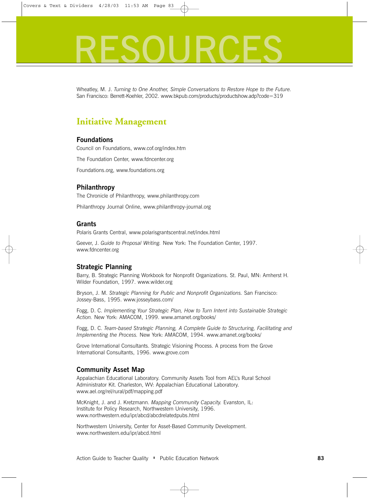Wheatley, M. J. *Turning to One Another, Simple Conversations to Restore Hope to the Future.* San Francisco: Berrett-Koehler, 2002. www.bkpub.com/products/productshow.adp?code=319

### **Initiative Management**

#### **Foundations**

Council on Foundations, www.cof.org/index.htm

The Foundation Center, www.fdncenter.org

Foundations.org, www.foundations.org

#### **Philanthropy**

The Chronicle of Philanthropy, www.philanthropy.com

Philanthropy Journal Online, www.philanthropy-journal.org

#### **Grants**

Polaris Grants Central, www.polarisgrantscentral.net/index.html

Geever, J. *Guide to Proposal Writing.* New York: The Foundation Center, 1997. www.fdncenter.org

#### **Strategic Planning**

Barry, B. Strategic Planning Workbook for Nonprofit Organizations. St. Paul, MN: Amherst H. Wilder Foundation, 1997. www.wilder.org

Bryson, J. M. *Strategic Planning for Public and Nonprofit Organizations.* San Francisco: Jossey-Bass, 1995. www.josseybass.com/

Fogg, D. C. *Implementing Your Strategic Plan, How to Turn Intent into Sustainable Strategic Action.* New York: AMACOM, 1999. www.amanet.org/books/

Fogg, D. C. *Team-based Strategic Planning, A Complete Guide to Structuring, Facilitating and Implementing the Process.* New York: AMACOM, 1994. www.amanet.org/books/

Grove International Consultants. Strategic Visioning Process. A process from the Grove International Consultants, 1996. www.grove.com

#### **Community Asset Map**

Appalachian Educational Laboratory. Community Assets Tool from AEL's Rural School Administrator Kit. Charleston, WV: Appalachian Educational Laboratory. www.ael.org/rel/rural/pdf/mapping.pdf

McKnight, J. and J. Kretzmann. *Mapping Community Capacity.* Evanston, IL: Institute for Policy Research, Northwestern University, 1996. www.northwestern.edu/ipr/abcd/abcdrelatedpubs.html

Northwestern University, Center for Asset-Based Community Development. www.northwestern.edu/ipr/abcd.html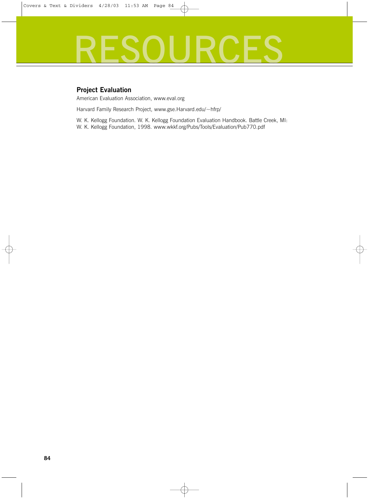#### **Project Evaluation**

American Evaluation Association, www.eval.org

Harvard Family Research Project, www.gse.Harvard.edu/~hfrp/

W. K. Kellogg Foundation. W. K. Kellogg Foundation Evaluation Handbook. Battle Creek, MI: W. K. Kellogg Foundation, 1998. www.wkkf.org/Pubs/Tools/Evaluation/Pub770.pdf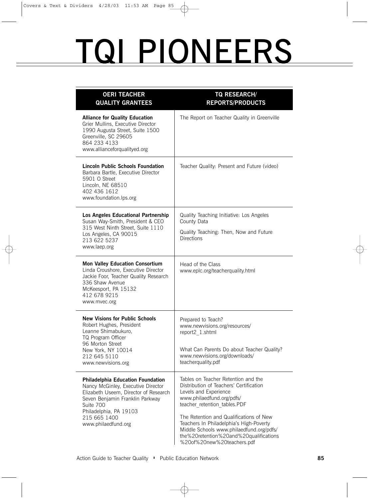## TQI PIONEERS

| <b>OERI TEACHER</b><br><b>QUALITY GRANTEES</b>                                                                                                                                                                                    | <b>TQ RESEARCH/</b><br><b>REPORTS/PRODUCTS</b>                                                                                                                                                                                                                                                                                                                                 |
|-----------------------------------------------------------------------------------------------------------------------------------------------------------------------------------------------------------------------------------|--------------------------------------------------------------------------------------------------------------------------------------------------------------------------------------------------------------------------------------------------------------------------------------------------------------------------------------------------------------------------------|
| <b>Alliance for Quality Education</b><br>Grier Mullins, Executive Director<br>1990 Augusta Street, Suite 1500<br>Greenville, SC 29605<br>864 233 4133<br>www.allianceforqualityed.org                                             | The Report on Teacher Quality in Greenville                                                                                                                                                                                                                                                                                                                                    |
| <b>Lincoln Public Schools Foundation</b><br>Barbara Bartle, Executive Director<br>5901 O Street<br>Lincoln, NE 68510<br>402 436 1612<br>www.foundation.lps.org                                                                    | Teacher Quality: Present and Future (video)                                                                                                                                                                                                                                                                                                                                    |
| Los Angeles Educational Partnership<br>Susan Way-Smith, President & CEO<br>315 West Ninth Street, Suite 1110<br>Los Angeles, CA 90015<br>213 622 5237<br>www.laep.org                                                             | Quality Teaching Initiative: Los Angeles<br>County Data<br>Quality Teaching: Then, Now and Future<br><b>Directions</b>                                                                                                                                                                                                                                                         |
| <b>Mon Valley Education Consortium</b><br>Linda Croushore, Executive Director<br>Jackie Foor, Teacher Quality Research<br>336 Shaw Avenue<br>McKeesport, PA 15132<br>412 678 9215<br>www.mvec.org                                 | Head of the Class<br>www.eplc.org/teacherquality.html                                                                                                                                                                                                                                                                                                                          |
| <b>New Visions for Public Schools</b><br>Robert Hughes, President<br>Leanne Shimabukuro,<br>TQ Program Officer<br>96 Morton Street<br>New York, NY 10014<br>212 645 5110<br>www.newvisions.org                                    | Prepared to Teach?<br>www.newvisions.org/resources/<br>report2 1.shtml<br>What Can Parents Do about Teacher Quality?<br>www.newvisions.org/downloads/<br>teacherquality.pdf                                                                                                                                                                                                    |
| Philadelphia Education Foundation<br>Nancy McGinley, Executive Director<br>Elizabeth Useem, Director of Research<br>Seven Benjamin Franklin Parkway<br>Suite 700<br>Philadelphia, PA 19103<br>215 665 1400<br>www.philaedfund.org | Tables on Teacher Retention and the<br>Distribution of Teachers' Certification<br>Levels and Experience<br>www.philaedfund.org/pdfs/<br>teacher retention tables.PDF<br>The Retention and Qualifications of New<br>Teachers In Philadelphia's High-Poverty<br>Middle Schools www.philaedfund.org/pdfs/<br>the%20retention%20and%20qualifications<br>%20of%20new%20teachers.pdf |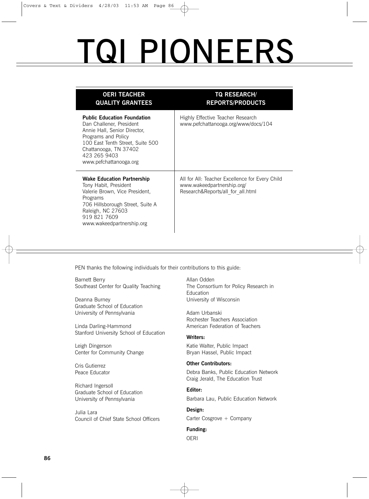## QI PIONEERS

| <b>OERI TEACHER</b><br><b>QUALITY GRANTEES</b>                                                                                                                                                                               | <b>TQ RESEARCH/</b><br><b>REPORTS/PRODUCTS</b>                                                                     |
|------------------------------------------------------------------------------------------------------------------------------------------------------------------------------------------------------------------------------|--------------------------------------------------------------------------------------------------------------------|
| <b>Public Education Foundation</b><br>Dan Challener, President<br>Annie Hall, Senior Director,<br>Programs and Policy<br>100 East Tenth Street, Suite 500<br>Chattanooga, TN 37402<br>423 265 9403<br>www.pefchattanooga.org | Highly Effective Teacher Research<br>www.pefchattanooga.org/www/docs/104                                           |
| <b>Wake Education Partnership</b><br>Tony Habit, President<br>Valerie Brown, Vice President,<br>Programs<br>706 Hillsborough Street, Suite A<br>Raleigh, NC 27603<br>919 821 7609<br>www.wakeedpartnership.org               | All for All: Teacher Excellence for Every Child<br>www.wakeedpartnership.org/<br>Research&Reports/all for all.html |

PEN thanks the following individuals for their contributions to this guide:

Barnett Berry Southeast Center for Quality Teaching

Deanna Burney Graduate School of Education University of Pennsylvania

Linda Darling-Hammond Stanford University School of Education

Leigh Dingerson Center for Community Change

Cris Gutierrez Peace Educator

Richard Ingersoll Graduate School of Education University of Pennsylvania

Julia Lara Council of Chief State School Officers Allan Odden The Consortium for Policy Research in Education University of Wisconsin

Adam Urbanski Rochester Teachers Association American Federation of Teachers

#### **Writers:**

Katie Walter, Public Impact Bryan Hassel, Public Impact

#### **Other Contributors:**

Debra Banks, Public Education Network Craig Jerald, The Education Trust

#### **Editor:**

Barbara Lau, Public Education Network

#### **Design:**

Carter Cosgrove + Company

#### **Funding:**

OERI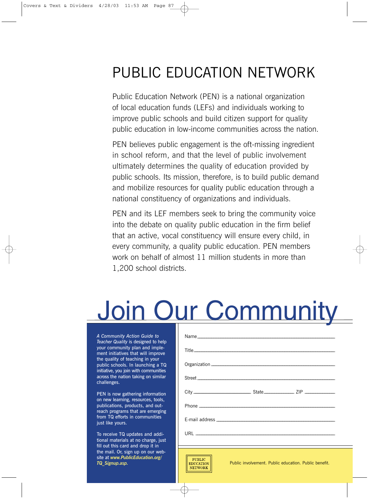### PUBLIC EDUCATION NETWORK

Public Education Network (PEN) is a national organization of local education funds (LEFs) and individuals working to improve public schools and build citizen support for quality public education in low-income communities across the nation.

PEN believes public engagement is the oft-missing ingredient in school reform, and that the level of public involvement ultimately determines the quality of education provided by public schools. Its mission, therefore, is to build public demand and mobilize resources for quality public education through a national constituency of organizations and individuals.

PEN and its LEF members seek to bring the community voice into the debate on quality public education in the firm belief that an active, vocal constituency will ensure every child, in every community, a quality public education. PEN members work on behalf of almost 11 million students in more than 1,200 school districts.

### Join Our Commur

**PUBLIC** 

*A Community Action Guide to Teacher Quality* is designed to help your community plan and implement initiatives that will improve the quality of teaching in your public schools. In launching a TQ initiative, you join with communities across the nation taking on similar challenges.

PEN is now gathering information on new learning, resources, tools, publications, products, and outreach programs that are emerging from TQ efforts in communities just like yours.

To receive TQ updates and additional materials at no charge, just fill out this card and drop it in the mail. Or, sign up on our website at *www.PublicEducation.org/*

| <u> 1989 - Andrea Santa Andrea Andrea Andrea Andrea Andrea Andrea Andrea Andrea Andrea Andrea Andrea Andrea Andr</u> |  |
|----------------------------------------------------------------------------------------------------------------------|--|

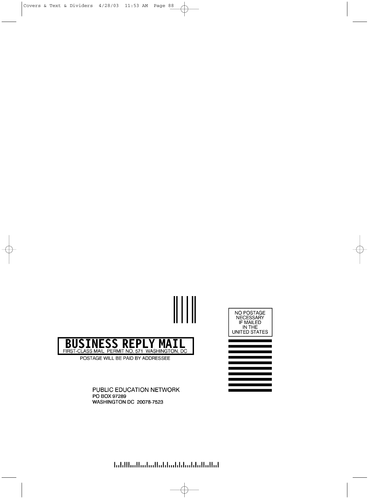

PUBLIC EDUCATION NETWORK PO BOX 97289 WASHINGTON DC 20078-7523



Tablliadtaballabbabbbabbbbbbbbb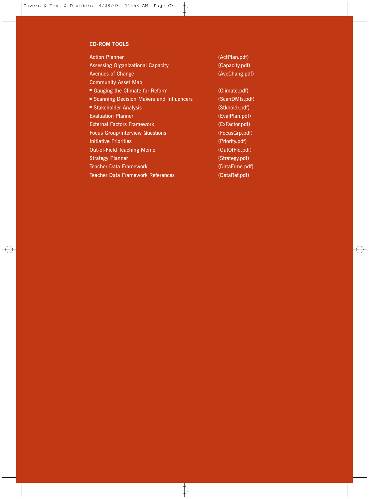#### **CD-ROM TOOLS**

| <b>Action Planner</b>                      | (ActPlan.pdf)  |
|--------------------------------------------|----------------|
| <b>Assessing Organizational Capacity</b>   | (Capacity.pdf) |
| <b>Avenues of Change</b>                   | (AveChang.pdf) |
| <b>Community Asset Map</b>                 |                |
| ■ Gauging the Climate for Reform           | (Climate.pdf)  |
| ■ Scanning Decision Makers and Influencers | (ScanDMIs.pdf) |
| ■ Stakeholder Analysis                     | (Stkholdr.pdf) |
| <b>Evaluation Planner</b>                  | (EvalPlan.pdf) |
| <b>External Factors Framework</b>          | (ExFactor.pdf) |
| <b>Focus Group/Interview Questions</b>     | (FocusGrp.pdf) |
| <b>Initiative Priorities</b>               | (Priority.pdf) |
| <b>Out-of-Field Teaching Memo</b>          | (OutOfFld.pdf) |
| <b>Strategy Planner</b>                    | (Strategy.pdf) |
| <b>Teacher Data Framework</b>              | (DataFrme.pdf) |
| Teacher Data Framework References          | (DataRef.pdf)  |
|                                            |                |